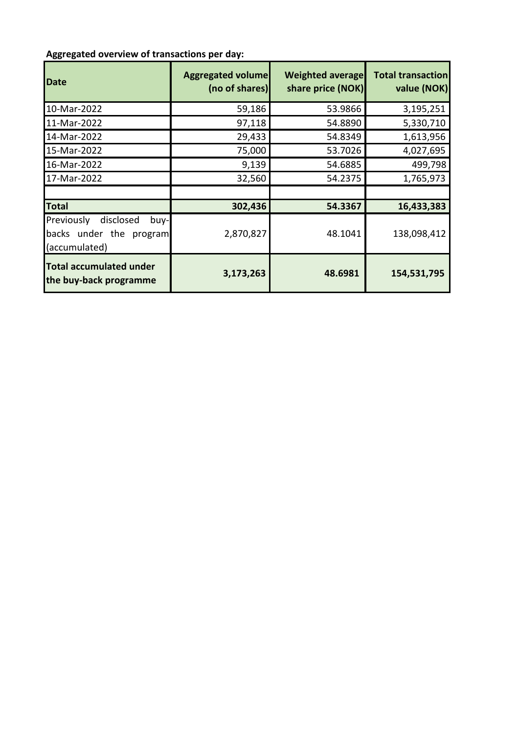## **Aggregated overview of transactions per day:**

| <b>Date</b>                                                                  | <b>Aggregated volume</b><br>(no of shares) | <b>Weighted average</b><br>share price (NOK) | <b>Total transaction</b><br>value (NOK) |
|------------------------------------------------------------------------------|--------------------------------------------|----------------------------------------------|-----------------------------------------|
| 10-Mar-2022                                                                  | 59,186                                     | 53.9866                                      | 3,195,251                               |
| 11-Mar-2022                                                                  | 97,118                                     | 54.8890                                      | 5,330,710                               |
| 14-Mar-2022                                                                  | 29,433                                     | 54.8349                                      | 1,613,956                               |
| 15-Mar-2022                                                                  | 75,000                                     | 53.7026                                      | 4,027,695                               |
| 16-Mar-2022                                                                  | 9,139                                      | 54.6885                                      | 499,798                                 |
| 17-Mar-2022                                                                  | 32,560                                     | 54.2375                                      | 1,765,973                               |
|                                                                              |                                            |                                              |                                         |
| <b>Total</b>                                                                 | 302,436                                    | 54.3367                                      | 16,433,383                              |
| Previously<br>disclosed<br>buy-l<br>backs under the program<br>(accumulated) | 2,870,827                                  | 48.1041                                      | 138,098,412                             |
| <b>Total accumulated under</b><br>the buy-back programme                     | 3,173,263                                  | 48.6981                                      | 154,531,795                             |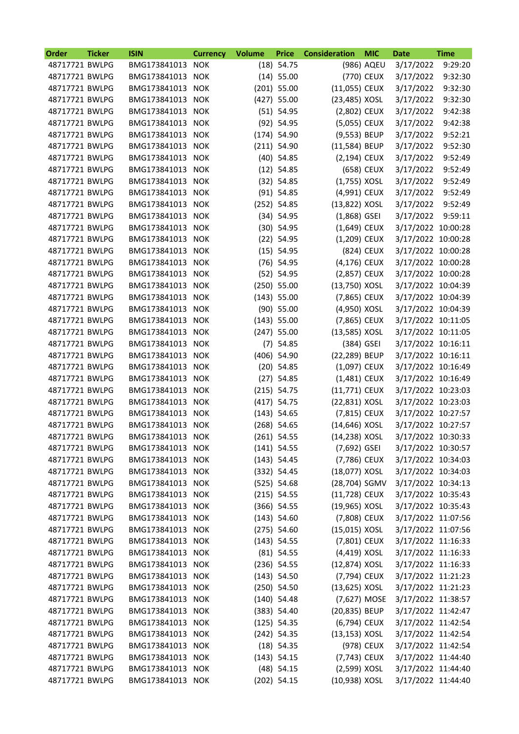| <b>Order</b>   | <b>Ticker</b> | <b>ISIN</b>      | <b>Currency</b> | <b>Volume</b> | <b>Price</b>  | <b>Consideration</b> | <b>MIC</b> | Date               | <b>Time</b> |
|----------------|---------------|------------------|-----------------|---------------|---------------|----------------------|------------|--------------------|-------------|
| 48717721 BWLPG |               | BMG173841013     | <b>NOK</b>      |               | $(18)$ 54.75  |                      | (986) AQEU | 3/17/2022          | 9:29:20     |
| 48717721 BWLPG |               | BMG173841013     | <b>NOK</b>      |               | $(14)$ 55.00  |                      | (770) CEUX | 3/17/2022          | 9:32:30     |
| 48717721 BWLPG |               | BMG173841013     | <b>NOK</b>      |               | $(201)$ 55.00 | $(11,055)$ CEUX      |            | 3/17/2022          | 9:32:30     |
| 48717721 BWLPG |               | BMG173841013     | <b>NOK</b>      |               | $(427)$ 55.00 | (23,485) XOSL        |            | 3/17/2022          | 9:32:30     |
| 48717721 BWLPG |               | BMG173841013     | <b>NOK</b>      |               | $(51)$ 54.95  | (2,802) CEUX         |            | 3/17/2022          | 9:42:38     |
| 48717721 BWLPG |               | BMG173841013     | <b>NOK</b>      |               | $(92)$ 54.95  | (5,055) CEUX         |            | 3/17/2022          | 9:42:38     |
| 48717721 BWLPG |               | BMG173841013     | <b>NOK</b>      |               | $(174)$ 54.90 | (9,553) BEUP         |            | 3/17/2022          | 9:52:21     |
| 48717721 BWLPG |               | BMG173841013     | <b>NOK</b>      |               | $(211)$ 54.90 | (11,584) BEUP        |            | 3/17/2022          | 9:52:30     |
| 48717721 BWLPG |               | BMG173841013     | <b>NOK</b>      |               | $(40)$ 54.85  | (2,194) CEUX         |            | 3/17/2022          | 9:52:49     |
| 48717721 BWLPG |               | BMG173841013     | <b>NOK</b>      |               | $(12)$ 54.85  |                      | (658) CEUX | 3/17/2022          | 9:52:49     |
| 48717721 BWLPG |               | BMG173841013     | <b>NOK</b>      |               | $(32)$ 54.85  | $(1,755)$ XOSL       |            | 3/17/2022          | 9:52:49     |
| 48717721 BWLPG |               | BMG173841013     | <b>NOK</b>      |               | $(91)$ 54.85  | (4,991) CEUX         |            | 3/17/2022          | 9:52:49     |
| 48717721 BWLPG |               | BMG173841013     | <b>NOK</b>      |               | $(252)$ 54.85 | (13,822) XOSL        |            | 3/17/2022          | 9:52:49     |
| 48717721 BWLPG |               | BMG173841013     | <b>NOK</b>      |               | $(34)$ 54.95  | $(1,868)$ GSEI       |            | 3/17/2022          | 9:59:11     |
| 48717721 BWLPG |               | BMG173841013     | <b>NOK</b>      |               | $(30)$ 54.95  | (1,649) CEUX         |            | 3/17/2022 10:00:28 |             |
| 48717721 BWLPG |               | BMG173841013     | <b>NOK</b>      |               | $(22)$ 54.95  | (1,209) CEUX         |            | 3/17/2022 10:00:28 |             |
| 48717721 BWLPG |               | BMG173841013     | <b>NOK</b>      |               | $(15)$ 54.95  |                      | (824) CEUX | 3/17/2022 10:00:28 |             |
| 48717721 BWLPG |               | BMG173841013     | <b>NOK</b>      |               | $(76)$ 54.95  | (4,176) CEUX         |            | 3/17/2022 10:00:28 |             |
| 48717721 BWLPG |               | BMG173841013     | <b>NOK</b>      |               | $(52)$ 54.95  | (2,857) CEUX         |            | 3/17/2022 10:00:28 |             |
| 48717721 BWLPG |               | BMG173841013     | <b>NOK</b>      |               | $(250)$ 55.00 | (13,750) XOSL        |            | 3/17/2022 10:04:39 |             |
| 48717721 BWLPG |               | BMG173841013     | <b>NOK</b>      |               | $(143)$ 55.00 | (7,865) CEUX         |            | 3/17/2022 10:04:39 |             |
| 48717721 BWLPG |               | BMG173841013     | <b>NOK</b>      |               | $(90)$ 55.00  | (4,950) XOSL         |            | 3/17/2022 10:04:39 |             |
| 48717721 BWLPG |               | BMG173841013     | <b>NOK</b>      |               | $(143)$ 55.00 | (7,865) CEUX         |            | 3/17/2022 10:11:05 |             |
| 48717721 BWLPG |               | BMG173841013     | <b>NOK</b>      |               | $(247)$ 55.00 | (13,585) XOSL        |            | 3/17/2022 10:11:05 |             |
| 48717721 BWLPG |               | BMG173841013     | <b>NOK</b>      |               | $(7)$ 54.85   | (384) GSEI           |            | 3/17/2022 10:16:11 |             |
| 48717721 BWLPG |               | BMG173841013     | <b>NOK</b>      |               | $(406)$ 54.90 | (22,289) BEUP        |            | 3/17/2022 10:16:11 |             |
| 48717721 BWLPG |               | BMG173841013     | <b>NOK</b>      |               | $(20)$ 54.85  | (1,097) CEUX         |            | 3/17/2022 10:16:49 |             |
| 48717721 BWLPG |               | BMG173841013     | <b>NOK</b>      |               | $(27)$ 54.85  | (1,481) CEUX         |            | 3/17/2022 10:16:49 |             |
| 48717721 BWLPG |               | BMG173841013     | <b>NOK</b>      |               | $(215)$ 54.75 | (11,771) CEUX        |            | 3/17/2022 10:23:03 |             |
| 48717721 BWLPG |               | BMG173841013     | <b>NOK</b>      |               | $(417)$ 54.75 | (22,831) XOSL        |            | 3/17/2022 10:23:03 |             |
| 48717721 BWLPG |               | BMG173841013     | <b>NOK</b>      |               | $(143)$ 54.65 | (7,815) CEUX         |            | 3/17/2022 10:27:57 |             |
| 48717721 BWLPG |               | BMG173841013     | <b>NOK</b>      |               | $(268)$ 54.65 | (14,646) XOSL        |            | 3/17/2022 10:27:57 |             |
| 48717721 BWLPG |               | BMG173841013     | <b>NOK</b>      |               | $(261)$ 54.55 | (14,238) XOSL        |            | 3/17/2022 10:30:33 |             |
| 48717721 BWLPG |               | BMG173841013 NOK |                 |               | $(141)$ 54.55 | (7,692) GSEI         |            | 3/17/2022 10:30:57 |             |
| 48717721 BWLPG |               | BMG173841013 NOK |                 |               | $(143)$ 54.45 | (7,786) CEUX         |            | 3/17/2022 10:34:03 |             |
| 48717721 BWLPG |               | BMG173841013 NOK |                 |               | (332) 54.45   | (18,077) XOSL        |            | 3/17/2022 10:34:03 |             |
| 48717721 BWLPG |               | BMG173841013 NOK |                 |               | $(525)$ 54.68 | (28,704) SGMV        |            | 3/17/2022 10:34:13 |             |
| 48717721 BWLPG |               | BMG173841013 NOK |                 |               | $(215)$ 54.55 | (11,728) CEUX        |            | 3/17/2022 10:35:43 |             |
| 48717721 BWLPG |               | BMG173841013     | <b>NOK</b>      |               | $(366)$ 54.55 | (19,965) XOSL        |            | 3/17/2022 10:35:43 |             |
| 48717721 BWLPG |               | BMG173841013 NOK |                 |               | $(143)$ 54.60 | (7,808) CEUX         |            | 3/17/2022 11:07:56 |             |
| 48717721 BWLPG |               | BMG173841013 NOK |                 |               | $(275)$ 54.60 | (15,015) XOSL        |            | 3/17/2022 11:07:56 |             |
| 48717721 BWLPG |               | BMG173841013 NOK |                 |               | $(143)$ 54.55 | (7,801) CEUX         |            | 3/17/2022 11:16:33 |             |
| 48717721 BWLPG |               | BMG173841013     | <b>NOK</b>      |               | $(81)$ 54.55  | $(4,419)$ XOSL       |            | 3/17/2022 11:16:33 |             |
| 48717721 BWLPG |               | BMG173841013 NOK |                 |               | $(236)$ 54.55 | (12,874) XOSL        |            | 3/17/2022 11:16:33 |             |
| 48717721 BWLPG |               | BMG173841013 NOK |                 |               | $(143)$ 54.50 | (7,794) CEUX         |            | 3/17/2022 11:21:23 |             |
| 48717721 BWLPG |               | BMG173841013 NOK |                 |               | $(250)$ 54.50 | (13,625) XOSL        |            | 3/17/2022 11:21:23 |             |
| 48717721 BWLPG |               | BMG173841013 NOK |                 |               | $(140)$ 54.48 | (7,627) MOSE         |            | 3/17/2022 11:38:57 |             |
| 48717721 BWLPG |               | BMG173841013     | <b>NOK</b>      |               | (383) 54.40   | (20,835) BEUP        |            | 3/17/2022 11:42:47 |             |
| 48717721 BWLPG |               | BMG173841013 NOK |                 |               | $(125)$ 54.35 | (6,794) CEUX         |            | 3/17/2022 11:42:54 |             |
| 48717721 BWLPG |               | BMG173841013 NOK |                 |               | $(242)$ 54.35 | $(13, 153)$ XOSL     |            | 3/17/2022 11:42:54 |             |
| 48717721 BWLPG |               | BMG173841013 NOK |                 |               | $(18)$ 54.35  |                      | (978) CEUX | 3/17/2022 11:42:54 |             |
| 48717721 BWLPG |               | BMG173841013 NOK |                 |               | $(143)$ 54.15 | (7,743) CEUX         |            | 3/17/2022 11:44:40 |             |
| 48717721 BWLPG |               | BMG173841013 NOK |                 |               | $(48)$ 54.15  | (2,599) XOSL         |            | 3/17/2022 11:44:40 |             |
| 48717721 BWLPG |               | BMG173841013 NOK |                 |               | $(202)$ 54.15 | (10,938) XOSL        |            | 3/17/2022 11:44:40 |             |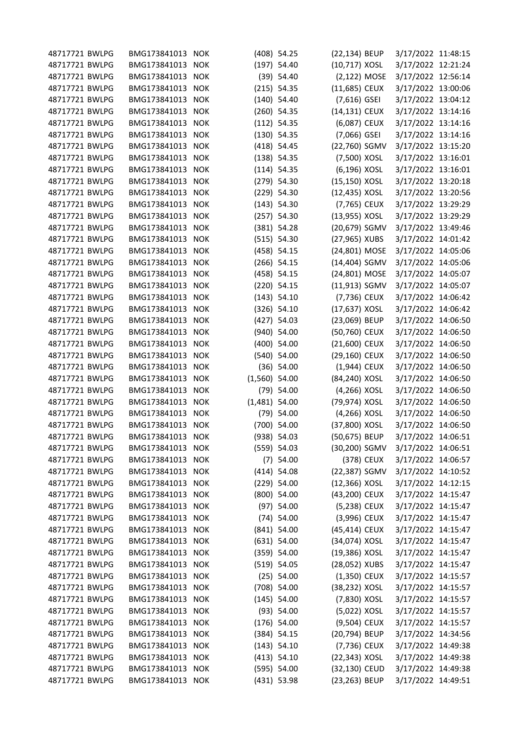| 48717721 BWLPG | BMG173841013 NOK |            |                 | $(408)$ 54.25 | (22,134) BEUP  |            | 3/17/2022 11:48:15 |  |
|----------------|------------------|------------|-----------------|---------------|----------------|------------|--------------------|--|
| 48717721 BWLPG | BMG173841013 NOK |            |                 | $(197)$ 54.40 | (10,717) XOSL  |            | 3/17/2022 12:21:24 |  |
| 48717721 BWLPG | BMG173841013     | <b>NOK</b> |                 | $(39)$ 54.40  | (2,122) MOSE   |            | 3/17/2022 12:56:14 |  |
| 48717721 BWLPG | BMG173841013     | <b>NOK</b> |                 | $(215)$ 54.35 | (11,685) CEUX  |            | 3/17/2022 13:00:06 |  |
| 48717721 BWLPG | BMG173841013 NOK |            |                 | $(140)$ 54.40 | $(7,616)$ GSEI |            | 3/17/2022 13:04:12 |  |
| 48717721 BWLPG | BMG173841013 NOK |            |                 | $(260)$ 54.35 | (14,131) CEUX  |            | 3/17/2022 13:14:16 |  |
| 48717721 BWLPG | BMG173841013 NOK |            |                 | $(112)$ 54.35 | (6,087) CEUX   |            | 3/17/2022 13:14:16 |  |
| 48717721 BWLPG | BMG173841013     | <b>NOK</b> |                 | $(130)$ 54.35 | $(7,066)$ GSEI |            | 3/17/2022 13:14:16 |  |
| 48717721 BWLPG | BMG173841013     | <b>NOK</b> |                 | $(418)$ 54.45 | (22,760) SGMV  |            | 3/17/2022 13:15:20 |  |
| 48717721 BWLPG | BMG173841013 NOK |            |                 | $(138)$ 54.35 | (7,500) XOSL   |            | 3/17/2022 13:16:01 |  |
| 48717721 BWLPG | BMG173841013 NOK |            |                 | $(114)$ 54.35 | (6,196) XOSL   |            | 3/17/2022 13:16:01 |  |
| 48717721 BWLPG | BMG173841013     | <b>NOK</b> |                 | $(279)$ 54.30 | (15,150) XOSL  |            | 3/17/2022 13:20:18 |  |
| 48717721 BWLPG | BMG173841013     | <b>NOK</b> |                 | $(229)$ 54.30 | (12,435) XOSL  |            | 3/17/2022 13:20:56 |  |
| 48717721 BWLPG | BMG173841013 NOK |            |                 | $(143)$ 54.30 | (7,765) CEUX   |            | 3/17/2022 13:29:29 |  |
| 48717721 BWLPG | BMG173841013 NOK |            |                 | $(257)$ 54.30 | (13,955) XOSL  |            | 3/17/2022 13:29:29 |  |
| 48717721 BWLPG | BMG173841013 NOK |            |                 | $(381)$ 54.28 | (20,679) SGMV  |            | 3/17/2022 13:49:46 |  |
| 48717721 BWLPG | BMG173841013     | <b>NOK</b> |                 | (515) 54.30   | (27,965) XUBS  |            | 3/17/2022 14:01:42 |  |
| 48717721 BWLPG | BMG173841013     | <b>NOK</b> |                 | $(458)$ 54.15 | (24,801) MOSE  |            | 3/17/2022 14:05:06 |  |
| 48717721 BWLPG | BMG173841013 NOK |            |                 | $(266)$ 54.15 | (14,404) SGMV  |            | 3/17/2022 14:05:06 |  |
| 48717721 BWLPG | BMG173841013 NOK |            |                 | $(458)$ 54.15 | (24,801) MOSE  |            | 3/17/2022 14:05:07 |  |
| 48717721 BWLPG | BMG173841013     | <b>NOK</b> |                 | $(220)$ 54.15 | (11,913) SGMV  |            | 3/17/2022 14:05:07 |  |
| 48717721 BWLPG | BMG173841013     | <b>NOK</b> |                 | (143) 54.10   | (7,736) CEUX   |            | 3/17/2022 14:06:42 |  |
| 48717721 BWLPG | BMG173841013 NOK |            |                 | $(326)$ 54.10 | (17,637) XOSL  |            | 3/17/2022 14:06:42 |  |
| 48717721 BWLPG | BMG173841013 NOK |            |                 | $(427)$ 54.03 | (23,069) BEUP  |            | 3/17/2022 14:06:50 |  |
| 48717721 BWLPG | BMG173841013 NOK |            |                 | (940) 54.00   | (50,760) CEUX  |            | 3/17/2022 14:06:50 |  |
| 48717721 BWLPG | BMG173841013     | <b>NOK</b> |                 | (400) 54.00   | (21,600) CEUX  |            | 3/17/2022 14:06:50 |  |
| 48717721 BWLPG | BMG173841013     | <b>NOK</b> |                 | $(540)$ 54.00 | (29,160) CEUX  |            | 3/17/2022 14:06:50 |  |
| 48717721 BWLPG | BMG173841013     | <b>NOK</b> |                 | $(36)$ 54.00  | (1,944) CEUX   |            | 3/17/2022 14:06:50 |  |
| 48717721 BWLPG | BMG173841013 NOK |            | $(1,560)$ 54.00 |               | (84,240) XOSL  |            | 3/17/2022 14:06:50 |  |
| 48717721 BWLPG | BMG173841013     | <b>NOK</b> |                 | $(79)$ 54.00  | (4,266) XOSL   |            | 3/17/2022 14:06:50 |  |
| 48717721 BWLPG | BMG173841013     | <b>NOK</b> | $(1,481)$ 54.00 |               | (79,974) XOSL  |            | 3/17/2022 14:06:50 |  |
| 48717721 BWLPG | BMG173841013     | <b>NOK</b> |                 | $(79)$ 54.00  | (4,266) XOSL   |            | 3/17/2022 14:06:50 |  |
| 48717721 BWLPG | BMG173841013 NOK |            |                 | $(700)$ 54.00 |                |            |                    |  |
|                | BMG173841013 NOK |            |                 |               | (37,800) XOSL  |            | 3/17/2022 14:06:50 |  |
| 48717721 BWLPG |                  |            |                 | (938) 54.03   | (50,675) BEUP  |            | 3/17/2022 14:06:51 |  |
| 48717721 BWLPG | BMG173841013 NOK |            |                 | (559) 54.03   | (30,200) SGMV  |            | 3/17/2022 14:06:51 |  |
| 48717721 BWLPG | BMG173841013     | <b>NOK</b> |                 | $(7)$ 54.00   |                | (378) CEUX | 3/17/2022 14:06:57 |  |
| 48717721 BWLPG | BMG173841013 NOK |            |                 | $(414)$ 54.08 | (22,387) SGMV  |            | 3/17/2022 14:10:52 |  |
| 48717721 BWLPG | BMG173841013 NOK |            |                 | $(229)$ 54.00 | (12,366) XOSL  |            | 3/17/2022 14:12:15 |  |
| 48717721 BWLPG | BMG173841013 NOK |            |                 | (800) 54.00   | (43,200) CEUX  |            | 3/17/2022 14:15:47 |  |
| 48717721 BWLPG | BMG173841013     | <b>NOK</b> |                 | $(97)$ 54.00  | (5,238) CEUX   |            | 3/17/2022 14:15:47 |  |
| 48717721 BWLPG | BMG173841013 NOK |            |                 | $(74)$ 54.00  | (3,996) CEUX   |            | 3/17/2022 14:15:47 |  |
| 48717721 BWLPG | BMG173841013 NOK |            |                 | $(841)$ 54.00 | (45,414) CEUX  |            | 3/17/2022 14:15:47 |  |
| 48717721 BWLPG | BMG173841013 NOK |            |                 | $(631)$ 54.00 | (34,074) XOSL  |            | 3/17/2022 14:15:47 |  |
| 48717721 BWLPG | BMG173841013 NOK |            |                 | (359) 54.00   | (19,386) XOSL  |            | 3/17/2022 14:15:47 |  |
| 48717721 BWLPG | BMG173841013     | <b>NOK</b> |                 | (519) 54.05   | (28,052) XUBS  |            | 3/17/2022 14:15:47 |  |
| 48717721 BWLPG | BMG173841013 NOK |            |                 | $(25)$ 54.00  | (1,350) CEUX   |            | 3/17/2022 14:15:57 |  |
| 48717721 BWLPG | BMG173841013 NOK |            |                 | $(708)$ 54.00 | (38,232) XOSL  |            | 3/17/2022 14:15:57 |  |
| 48717721 BWLPG | BMG173841013 NOK |            |                 | $(145)$ 54.00 | (7,830) XOSL   |            | 3/17/2022 14:15:57 |  |
| 48717721 BWLPG | BMG173841013 NOK |            |                 | (93) 54.00    | (5,022) XOSL   |            | 3/17/2022 14:15:57 |  |
| 48717721 BWLPG | BMG173841013 NOK |            |                 | $(176)$ 54.00 | (9,504) CEUX   |            | 3/17/2022 14:15:57 |  |
| 48717721 BWLPG | BMG173841013 NOK |            |                 | (384) 54.15   | (20,794) BEUP  |            | 3/17/2022 14:34:56 |  |
| 48717721 BWLPG | BMG173841013 NOK |            |                 | $(143)$ 54.10 | (7,736) CEUX   |            | 3/17/2022 14:49:38 |  |
| 48717721 BWLPG | BMG173841013     | <b>NOK</b> |                 | $(413)$ 54.10 | (22,343) XOSL  |            | 3/17/2022 14:49:38 |  |
| 48717721 BWLPG | BMG173841013 NOK |            |                 | (595) 54.00   | (32,130) CEUD  |            | 3/17/2022 14:49:38 |  |
| 48717721 BWLPG | BMG173841013 NOK |            |                 | (431) 53.98   | (23,263) BEUP  |            | 3/17/2022 14:49:51 |  |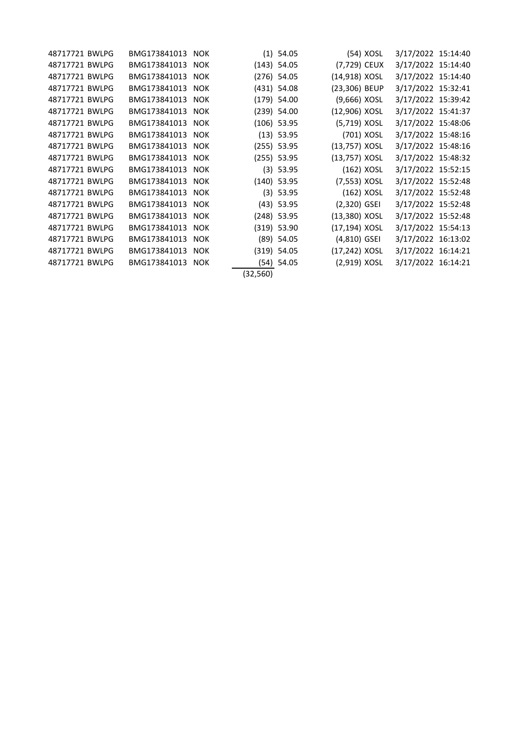| 48717721 BWLPG | BMG173841013 NOK |          | $(1)$ 54.05   | (54) XOSL      | 3/17/2022 15:14:40 |  |
|----------------|------------------|----------|---------------|----------------|--------------------|--|
| 48717721 BWLPG | BMG173841013 NOK |          | $(143)$ 54.05 | (7,729) CEUX   | 3/17/2022 15:14:40 |  |
| 48717721 BWLPG | BMG173841013 NOK |          | $(276)$ 54.05 | (14,918) XOSL  | 3/17/2022 15:14:40 |  |
| 48717721 BWLPG | BMG173841013 NOK |          | $(431)$ 54.08 | (23,306) BEUP  | 3/17/2022 15:32:41 |  |
| 48717721 BWLPG | BMG173841013 NOK |          | $(179)$ 54.00 | (9,666) XOSL   | 3/17/2022 15:39:42 |  |
| 48717721 BWLPG | BMG173841013 NOK |          | $(239)$ 54.00 | (12,906) XOSL  | 3/17/2022 15:41:37 |  |
| 48717721 BWLPG | BMG173841013 NOK |          | (106) 53.95   | (5,719) XOSL   | 3/17/2022 15:48:06 |  |
| 48717721 BWLPG | BMG173841013 NOK |          | $(13)$ 53.95  | (701) XOSL     | 3/17/2022 15:48:16 |  |
| 48717721 BWLPG | BMG173841013 NOK |          | $(255)$ 53.95 | (13,757) XOSL  | 3/17/2022 15:48:16 |  |
| 48717721 BWLPG | BMG173841013 NOK |          | $(255)$ 53.95 | (13,757) XOSL  | 3/17/2022 15:48:32 |  |
| 48717721 BWLPG | BMG173841013 NOK |          | $(3)$ 53.95   | (162) XOSL     | 3/17/2022 15:52:15 |  |
| 48717721 BWLPG | BMG173841013 NOK |          | $(140)$ 53.95 | (7,553) XOSL   | 3/17/2022 15:52:48 |  |
| 48717721 BWLPG | BMG173841013 NOK |          | $(3)$ 53.95   | $(162)$ XOSL   | 3/17/2022 15:52:48 |  |
| 48717721 BWLPG | BMG173841013 NOK |          | $(43)$ 53.95  | $(2,320)$ GSEI | 3/17/2022 15:52:48 |  |
| 48717721 BWLPG | BMG173841013 NOK |          | $(248)$ 53.95 | (13,380) XOSL  | 3/17/2022 15:52:48 |  |
| 48717721 BWLPG | BMG173841013 NOK |          | $(319)$ 53.90 | (17,194) XOSL  | 3/17/2022 15:54:13 |  |
| 48717721 BWLPG | BMG173841013 NOK |          | $(89)$ 54.05  | $(4,810)$ GSEI | 3/17/2022 16:13:02 |  |
| 48717721 BWLPG | BMG173841013 NOK |          | $(319)$ 54.05 | (17,242) XOSL  | 3/17/2022 16:14:21 |  |
| 48717721 BWLPG | BMG173841013 NOK |          | $(54)$ 54.05  | $(2,919)$ XOSL | 3/17/2022 16:14:21 |  |
|                |                  | (32,560) |               |                |                    |  |
|                |                  |          |               |                |                    |  |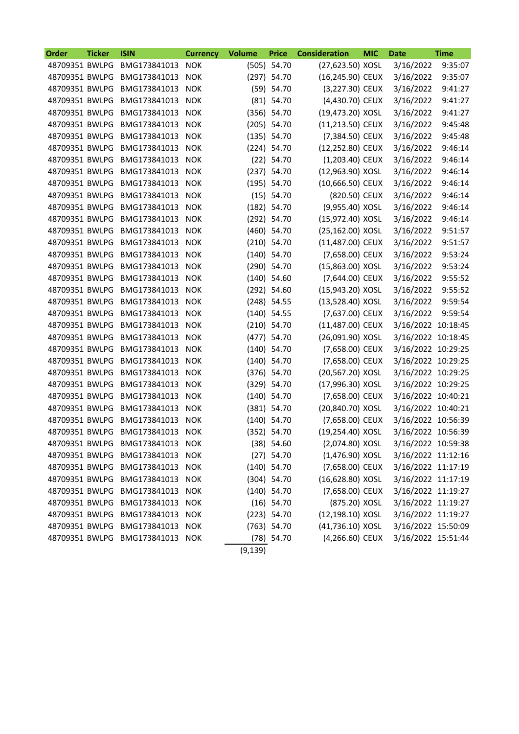| 3/16/2022<br>48709351 BWLPG<br>BMG173841013<br><b>NOK</b><br>(505) 54.70<br>(27,623.50) XOSL<br>9:35:07<br>48709351 BWLPG<br>(16,245.90) CEUX<br>3/16/2022<br>9:35:07<br>BMG173841013<br><b>NOK</b><br>(297) 54.70<br>(59) 54.70<br>48709351 BWLPG<br>(3,227.30) CEUX<br>9:41:27<br>BMG173841013<br><b>NOK</b><br>3/16/2022<br>$(81)$ 54.70<br>48709351 BWLPG<br>(4,430.70) CEUX<br>BMG173841013<br><b>NOK</b><br>3/16/2022<br>9:41:27<br>BMG173841013<br>(356) 54.70<br>(19,473.20) XOSL<br>9:41:27<br>48709351 BWLPG<br><b>NOK</b><br>3/16/2022<br>48709351 BWLPG<br>9:45:48<br>BMG173841013<br><b>NOK</b><br>$(205)$ 54.70<br>(11,213.50) CEUX<br>3/16/2022<br>48709351 BWLPG<br>(135) 54.70<br>(7,384.50) CEUX<br>3/16/2022<br>9:45:48<br>BMG173841013<br><b>NOK</b><br>$(224)$ 54.70<br>(12,252.80) CEUX<br>3/16/2022<br>9:46:14<br>48709351 BWLPG<br>BMG173841013<br><b>NOK</b><br>$(22)$ 54.70<br>$(1,203.40)$ CEUX<br>3/16/2022<br>9:46:14<br>48709351 BWLPG<br>BMG173841013<br><b>NOK</b><br>(12,963.90) XOSL<br>9:46:14<br>48709351 BWLPG<br>BMG173841013<br><b>NOK</b><br>$(237)$ 54.70<br>3/16/2022<br>(195) 54.70<br>(10,666.50) CEUX<br>9:46:14<br>48709351 BWLPG<br>BMG173841013<br><b>NOK</b><br>3/16/2022<br>(15) 54.70<br>(820.50) CEUX<br>9:46:14<br>48709351 BWLPG<br>BMG173841013<br><b>NOK</b><br>3/16/2022<br>48709351 BWLPG<br>BMG173841013<br>(9,955.40) XOSL<br>3/16/2022<br>9:46:14<br><b>NOK</b><br>$(182)$ 54.70<br>48709351 BWLPG<br>(292) 54.70<br>(15,972.40) XOSL<br>3/16/2022<br>9:46:14<br>BMG173841013<br><b>NOK</b><br>(460) 54.70<br>48709351 BWLPG<br>(25,162.00) XOSL<br>3/16/2022<br>9:51:57<br>BMG173841013<br><b>NOK</b><br>48709351 BWLPG<br>$(210)$ 54.70<br>(11,487.00) CEUX<br>3/16/2022<br>9:51:57<br>BMG173841013<br><b>NOK</b><br>48709351 BWLPG<br>$(140)$ 54.70<br>(7,658.00) CEUX<br>3/16/2022<br>9:53:24<br>BMG173841013<br><b>NOK</b><br>(290) 54.70<br>(15,863.00) XOSL<br>9:53:24<br>48709351 BWLPG<br>BMG173841013<br><b>NOK</b><br>3/16/2022<br>$(140)$ 54.60<br>48709351 BWLPG<br>(7,644.00) CEUX<br>9:55:52<br>BMG173841013<br><b>NOK</b><br>3/16/2022<br>48709351 BWLPG<br>BMG173841013<br>(292) 54.60<br>(15,943.20) XOSL<br>3/16/2022<br>9:55:52<br><b>NOK</b><br>9:59:54<br>48709351 BWLPG<br>BMG173841013<br>(13,528.40) XOSL<br>3/16/2022<br><b>NOK</b><br>$(248)$ 54.55<br>$(140)$ 54.55<br>(7,637.00) CEUX<br>9:59:54<br>48709351 BWLPG<br>BMG173841013<br><b>NOK</b><br>3/16/2022<br>$(210)$ 54.70<br>(11,487.00) CEUX<br>48709351 BWLPG<br>BMG173841013<br><b>NOK</b><br>3/16/2022 10:18:45<br>(26,091.90) XOSL<br>48709351 BWLPG<br>BMG173841013<br><b>NOK</b><br>(477) 54.70<br>3/16/2022 10:18:45<br>48709351 BWLPG<br>(7,658.00) CEUX<br>BMG173841013<br><b>NOK</b><br>$(140)$ 54.70<br>3/16/2022 10:29:25<br>48709351 BWLPG<br>$(140)$ 54.70<br>(7,658.00) CEUX<br>3/16/2022 10:29:25<br>BMG173841013<br><b>NOK</b><br>(376) 54.70<br>48709351 BWLPG<br>(20,567.20) XOSL<br>3/16/2022 10:29:25<br>BMG173841013<br><b>NOK</b><br>BMG173841013<br>(329) 54.70<br>(17,996.30) XOSL<br>48709351 BWLPG<br><b>NOK</b><br>3/16/2022 10:29:25<br>48709351 BWLPG<br>BMG173841013<br><b>NOK</b><br>$(140)$ 54.70<br>(7,658.00) CEUX<br>3/16/2022 10:40:21<br>48709351 BWLPG<br>(381) 54.70<br>(20,840.70) XOSL<br>BMG173841013<br><b>NOK</b><br>3/16/2022 10:40:21<br>$(140)$ 54.70<br>48709351 BWLPG<br>BMG173841013<br>(7,658.00) CEUX<br>3/16/2022 10:56:39<br><b>NOK</b><br>(352) 54.70<br>(19,254.40) XOSL<br>3/16/2022 10:56:39<br>48709351 BWLPG<br>BMG173841013<br><b>NOK</b><br>48709351 BWLPG BMG173841013<br>(2,074.80) XOSL<br>3/16/2022 10:59:38<br>$(38)$ 54.60<br><b>NOK</b><br>48709351 BWLPG<br>BMG173841013<br>$(27)$ 54.70<br>(1,476.90) XOSL<br>3/16/2022 11:12:16<br><b>NOK</b><br>BMG173841013<br>(7,658.00) CEUX<br>3/16/2022 11:17:19<br>48709351 BWLPG<br><b>NOK</b><br>$(140)$ 54.70<br>48709351 BWLPG<br>BMG173841013<br>(16,628.80) XOSL<br>3/16/2022 11:17:19<br><b>NOK</b><br>$(304)$ 54.70<br>48709351 BWLPG<br>BMG173841013<br><b>NOK</b><br>(7,658.00) CEUX<br>3/16/2022 11:19:27<br>$(140)$ 54.70<br>(875.20) XOSL<br>48709351 BWLPG<br>BMG173841013<br>$(16)$ 54.70<br>3/16/2022 11:19:27<br><b>NOK</b> | Order | <b>Ticker</b> | <b>ISIN</b>  | <b>Currency</b> | <b>Volume</b> | <b>Price</b> | <b>Consideration</b> | <b>MIC</b> | <b>Date</b> | <b>Time</b> |
|--------------------------------------------------------------------------------------------------------------------------------------------------------------------------------------------------------------------------------------------------------------------------------------------------------------------------------------------------------------------------------------------------------------------------------------------------------------------------------------------------------------------------------------------------------------------------------------------------------------------------------------------------------------------------------------------------------------------------------------------------------------------------------------------------------------------------------------------------------------------------------------------------------------------------------------------------------------------------------------------------------------------------------------------------------------------------------------------------------------------------------------------------------------------------------------------------------------------------------------------------------------------------------------------------------------------------------------------------------------------------------------------------------------------------------------------------------------------------------------------------------------------------------------------------------------------------------------------------------------------------------------------------------------------------------------------------------------------------------------------------------------------------------------------------------------------------------------------------------------------------------------------------------------------------------------------------------------------------------------------------------------------------------------------------------------------------------------------------------------------------------------------------------------------------------------------------------------------------------------------------------------------------------------------------------------------------------------------------------------------------------------------------------------------------------------------------------------------------------------------------------------------------------------------------------------------------------------------------------------------------------------------------------------------------------------------------------------------------------------------------------------------------------------------------------------------------------------------------------------------------------------------------------------------------------------------------------------------------------------------------------------------------------------------------------------------------------------------------------------------------------------------------------------------------------------------------------------------------------------------------------------------------------------------------------------------------------------------------------------------------------------------------------------------------------------------------------------------------------------------------------------------------------------------------------------------------------------------------------------------------------------------------------------------------------------------------------------------------------------------------------------------------------------------------------------------------------------------------------------------------------------------------------------------------------------------------------------------------------------------------------------------------------------------------------------------------------------------------------------------------------------------------------------------------------------------------------------|-------|---------------|--------------|-----------------|---------------|--------------|----------------------|------------|-------------|-------------|
|                                                                                                                                                                                                                                                                                                                                                                                                                                                                                                                                                                                                                                                                                                                                                                                                                                                                                                                                                                                                                                                                                                                                                                                                                                                                                                                                                                                                                                                                                                                                                                                                                                                                                                                                                                                                                                                                                                                                                                                                                                                                                                                                                                                                                                                                                                                                                                                                                                                                                                                                                                                                                                                                                                                                                                                                                                                                                                                                                                                                                                                                                                                                                                                                                                                                                                                                                                                                                                                                                                                                                                                                                                                                                                                                                                                                                                                                                                                                                                                                                                                                                                                                                                                                              |       |               |              |                 |               |              |                      |            |             |             |
|                                                                                                                                                                                                                                                                                                                                                                                                                                                                                                                                                                                                                                                                                                                                                                                                                                                                                                                                                                                                                                                                                                                                                                                                                                                                                                                                                                                                                                                                                                                                                                                                                                                                                                                                                                                                                                                                                                                                                                                                                                                                                                                                                                                                                                                                                                                                                                                                                                                                                                                                                                                                                                                                                                                                                                                                                                                                                                                                                                                                                                                                                                                                                                                                                                                                                                                                                                                                                                                                                                                                                                                                                                                                                                                                                                                                                                                                                                                                                                                                                                                                                                                                                                                                              |       |               |              |                 |               |              |                      |            |             |             |
|                                                                                                                                                                                                                                                                                                                                                                                                                                                                                                                                                                                                                                                                                                                                                                                                                                                                                                                                                                                                                                                                                                                                                                                                                                                                                                                                                                                                                                                                                                                                                                                                                                                                                                                                                                                                                                                                                                                                                                                                                                                                                                                                                                                                                                                                                                                                                                                                                                                                                                                                                                                                                                                                                                                                                                                                                                                                                                                                                                                                                                                                                                                                                                                                                                                                                                                                                                                                                                                                                                                                                                                                                                                                                                                                                                                                                                                                                                                                                                                                                                                                                                                                                                                                              |       |               |              |                 |               |              |                      |            |             |             |
|                                                                                                                                                                                                                                                                                                                                                                                                                                                                                                                                                                                                                                                                                                                                                                                                                                                                                                                                                                                                                                                                                                                                                                                                                                                                                                                                                                                                                                                                                                                                                                                                                                                                                                                                                                                                                                                                                                                                                                                                                                                                                                                                                                                                                                                                                                                                                                                                                                                                                                                                                                                                                                                                                                                                                                                                                                                                                                                                                                                                                                                                                                                                                                                                                                                                                                                                                                                                                                                                                                                                                                                                                                                                                                                                                                                                                                                                                                                                                                                                                                                                                                                                                                                                              |       |               |              |                 |               |              |                      |            |             |             |
|                                                                                                                                                                                                                                                                                                                                                                                                                                                                                                                                                                                                                                                                                                                                                                                                                                                                                                                                                                                                                                                                                                                                                                                                                                                                                                                                                                                                                                                                                                                                                                                                                                                                                                                                                                                                                                                                                                                                                                                                                                                                                                                                                                                                                                                                                                                                                                                                                                                                                                                                                                                                                                                                                                                                                                                                                                                                                                                                                                                                                                                                                                                                                                                                                                                                                                                                                                                                                                                                                                                                                                                                                                                                                                                                                                                                                                                                                                                                                                                                                                                                                                                                                                                                              |       |               |              |                 |               |              |                      |            |             |             |
|                                                                                                                                                                                                                                                                                                                                                                                                                                                                                                                                                                                                                                                                                                                                                                                                                                                                                                                                                                                                                                                                                                                                                                                                                                                                                                                                                                                                                                                                                                                                                                                                                                                                                                                                                                                                                                                                                                                                                                                                                                                                                                                                                                                                                                                                                                                                                                                                                                                                                                                                                                                                                                                                                                                                                                                                                                                                                                                                                                                                                                                                                                                                                                                                                                                                                                                                                                                                                                                                                                                                                                                                                                                                                                                                                                                                                                                                                                                                                                                                                                                                                                                                                                                                              |       |               |              |                 |               |              |                      |            |             |             |
|                                                                                                                                                                                                                                                                                                                                                                                                                                                                                                                                                                                                                                                                                                                                                                                                                                                                                                                                                                                                                                                                                                                                                                                                                                                                                                                                                                                                                                                                                                                                                                                                                                                                                                                                                                                                                                                                                                                                                                                                                                                                                                                                                                                                                                                                                                                                                                                                                                                                                                                                                                                                                                                                                                                                                                                                                                                                                                                                                                                                                                                                                                                                                                                                                                                                                                                                                                                                                                                                                                                                                                                                                                                                                                                                                                                                                                                                                                                                                                                                                                                                                                                                                                                                              |       |               |              |                 |               |              |                      |            |             |             |
|                                                                                                                                                                                                                                                                                                                                                                                                                                                                                                                                                                                                                                                                                                                                                                                                                                                                                                                                                                                                                                                                                                                                                                                                                                                                                                                                                                                                                                                                                                                                                                                                                                                                                                                                                                                                                                                                                                                                                                                                                                                                                                                                                                                                                                                                                                                                                                                                                                                                                                                                                                                                                                                                                                                                                                                                                                                                                                                                                                                                                                                                                                                                                                                                                                                                                                                                                                                                                                                                                                                                                                                                                                                                                                                                                                                                                                                                                                                                                                                                                                                                                                                                                                                                              |       |               |              |                 |               |              |                      |            |             |             |
|                                                                                                                                                                                                                                                                                                                                                                                                                                                                                                                                                                                                                                                                                                                                                                                                                                                                                                                                                                                                                                                                                                                                                                                                                                                                                                                                                                                                                                                                                                                                                                                                                                                                                                                                                                                                                                                                                                                                                                                                                                                                                                                                                                                                                                                                                                                                                                                                                                                                                                                                                                                                                                                                                                                                                                                                                                                                                                                                                                                                                                                                                                                                                                                                                                                                                                                                                                                                                                                                                                                                                                                                                                                                                                                                                                                                                                                                                                                                                                                                                                                                                                                                                                                                              |       |               |              |                 |               |              |                      |            |             |             |
|                                                                                                                                                                                                                                                                                                                                                                                                                                                                                                                                                                                                                                                                                                                                                                                                                                                                                                                                                                                                                                                                                                                                                                                                                                                                                                                                                                                                                                                                                                                                                                                                                                                                                                                                                                                                                                                                                                                                                                                                                                                                                                                                                                                                                                                                                                                                                                                                                                                                                                                                                                                                                                                                                                                                                                                                                                                                                                                                                                                                                                                                                                                                                                                                                                                                                                                                                                                                                                                                                                                                                                                                                                                                                                                                                                                                                                                                                                                                                                                                                                                                                                                                                                                                              |       |               |              |                 |               |              |                      |            |             |             |
|                                                                                                                                                                                                                                                                                                                                                                                                                                                                                                                                                                                                                                                                                                                                                                                                                                                                                                                                                                                                                                                                                                                                                                                                                                                                                                                                                                                                                                                                                                                                                                                                                                                                                                                                                                                                                                                                                                                                                                                                                                                                                                                                                                                                                                                                                                                                                                                                                                                                                                                                                                                                                                                                                                                                                                                                                                                                                                                                                                                                                                                                                                                                                                                                                                                                                                                                                                                                                                                                                                                                                                                                                                                                                                                                                                                                                                                                                                                                                                                                                                                                                                                                                                                                              |       |               |              |                 |               |              |                      |            |             |             |
|                                                                                                                                                                                                                                                                                                                                                                                                                                                                                                                                                                                                                                                                                                                                                                                                                                                                                                                                                                                                                                                                                                                                                                                                                                                                                                                                                                                                                                                                                                                                                                                                                                                                                                                                                                                                                                                                                                                                                                                                                                                                                                                                                                                                                                                                                                                                                                                                                                                                                                                                                                                                                                                                                                                                                                                                                                                                                                                                                                                                                                                                                                                                                                                                                                                                                                                                                                                                                                                                                                                                                                                                                                                                                                                                                                                                                                                                                                                                                                                                                                                                                                                                                                                                              |       |               |              |                 |               |              |                      |            |             |             |
|                                                                                                                                                                                                                                                                                                                                                                                                                                                                                                                                                                                                                                                                                                                                                                                                                                                                                                                                                                                                                                                                                                                                                                                                                                                                                                                                                                                                                                                                                                                                                                                                                                                                                                                                                                                                                                                                                                                                                                                                                                                                                                                                                                                                                                                                                                                                                                                                                                                                                                                                                                                                                                                                                                                                                                                                                                                                                                                                                                                                                                                                                                                                                                                                                                                                                                                                                                                                                                                                                                                                                                                                                                                                                                                                                                                                                                                                                                                                                                                                                                                                                                                                                                                                              |       |               |              |                 |               |              |                      |            |             |             |
|                                                                                                                                                                                                                                                                                                                                                                                                                                                                                                                                                                                                                                                                                                                                                                                                                                                                                                                                                                                                                                                                                                                                                                                                                                                                                                                                                                                                                                                                                                                                                                                                                                                                                                                                                                                                                                                                                                                                                                                                                                                                                                                                                                                                                                                                                                                                                                                                                                                                                                                                                                                                                                                                                                                                                                                                                                                                                                                                                                                                                                                                                                                                                                                                                                                                                                                                                                                                                                                                                                                                                                                                                                                                                                                                                                                                                                                                                                                                                                                                                                                                                                                                                                                                              |       |               |              |                 |               |              |                      |            |             |             |
|                                                                                                                                                                                                                                                                                                                                                                                                                                                                                                                                                                                                                                                                                                                                                                                                                                                                                                                                                                                                                                                                                                                                                                                                                                                                                                                                                                                                                                                                                                                                                                                                                                                                                                                                                                                                                                                                                                                                                                                                                                                                                                                                                                                                                                                                                                                                                                                                                                                                                                                                                                                                                                                                                                                                                                                                                                                                                                                                                                                                                                                                                                                                                                                                                                                                                                                                                                                                                                                                                                                                                                                                                                                                                                                                                                                                                                                                                                                                                                                                                                                                                                                                                                                                              |       |               |              |                 |               |              |                      |            |             |             |
|                                                                                                                                                                                                                                                                                                                                                                                                                                                                                                                                                                                                                                                                                                                                                                                                                                                                                                                                                                                                                                                                                                                                                                                                                                                                                                                                                                                                                                                                                                                                                                                                                                                                                                                                                                                                                                                                                                                                                                                                                                                                                                                                                                                                                                                                                                                                                                                                                                                                                                                                                                                                                                                                                                                                                                                                                                                                                                                                                                                                                                                                                                                                                                                                                                                                                                                                                                                                                                                                                                                                                                                                                                                                                                                                                                                                                                                                                                                                                                                                                                                                                                                                                                                                              |       |               |              |                 |               |              |                      |            |             |             |
|                                                                                                                                                                                                                                                                                                                                                                                                                                                                                                                                                                                                                                                                                                                                                                                                                                                                                                                                                                                                                                                                                                                                                                                                                                                                                                                                                                                                                                                                                                                                                                                                                                                                                                                                                                                                                                                                                                                                                                                                                                                                                                                                                                                                                                                                                                                                                                                                                                                                                                                                                                                                                                                                                                                                                                                                                                                                                                                                                                                                                                                                                                                                                                                                                                                                                                                                                                                                                                                                                                                                                                                                                                                                                                                                                                                                                                                                                                                                                                                                                                                                                                                                                                                                              |       |               |              |                 |               |              |                      |            |             |             |
|                                                                                                                                                                                                                                                                                                                                                                                                                                                                                                                                                                                                                                                                                                                                                                                                                                                                                                                                                                                                                                                                                                                                                                                                                                                                                                                                                                                                                                                                                                                                                                                                                                                                                                                                                                                                                                                                                                                                                                                                                                                                                                                                                                                                                                                                                                                                                                                                                                                                                                                                                                                                                                                                                                                                                                                                                                                                                                                                                                                                                                                                                                                                                                                                                                                                                                                                                                                                                                                                                                                                                                                                                                                                                                                                                                                                                                                                                                                                                                                                                                                                                                                                                                                                              |       |               |              |                 |               |              |                      |            |             |             |
|                                                                                                                                                                                                                                                                                                                                                                                                                                                                                                                                                                                                                                                                                                                                                                                                                                                                                                                                                                                                                                                                                                                                                                                                                                                                                                                                                                                                                                                                                                                                                                                                                                                                                                                                                                                                                                                                                                                                                                                                                                                                                                                                                                                                                                                                                                                                                                                                                                                                                                                                                                                                                                                                                                                                                                                                                                                                                                                                                                                                                                                                                                                                                                                                                                                                                                                                                                                                                                                                                                                                                                                                                                                                                                                                                                                                                                                                                                                                                                                                                                                                                                                                                                                                              |       |               |              |                 |               |              |                      |            |             |             |
|                                                                                                                                                                                                                                                                                                                                                                                                                                                                                                                                                                                                                                                                                                                                                                                                                                                                                                                                                                                                                                                                                                                                                                                                                                                                                                                                                                                                                                                                                                                                                                                                                                                                                                                                                                                                                                                                                                                                                                                                                                                                                                                                                                                                                                                                                                                                                                                                                                                                                                                                                                                                                                                                                                                                                                                                                                                                                                                                                                                                                                                                                                                                                                                                                                                                                                                                                                                                                                                                                                                                                                                                                                                                                                                                                                                                                                                                                                                                                                                                                                                                                                                                                                                                              |       |               |              |                 |               |              |                      |            |             |             |
|                                                                                                                                                                                                                                                                                                                                                                                                                                                                                                                                                                                                                                                                                                                                                                                                                                                                                                                                                                                                                                                                                                                                                                                                                                                                                                                                                                                                                                                                                                                                                                                                                                                                                                                                                                                                                                                                                                                                                                                                                                                                                                                                                                                                                                                                                                                                                                                                                                                                                                                                                                                                                                                                                                                                                                                                                                                                                                                                                                                                                                                                                                                                                                                                                                                                                                                                                                                                                                                                                                                                                                                                                                                                                                                                                                                                                                                                                                                                                                                                                                                                                                                                                                                                              |       |               |              |                 |               |              |                      |            |             |             |
|                                                                                                                                                                                                                                                                                                                                                                                                                                                                                                                                                                                                                                                                                                                                                                                                                                                                                                                                                                                                                                                                                                                                                                                                                                                                                                                                                                                                                                                                                                                                                                                                                                                                                                                                                                                                                                                                                                                                                                                                                                                                                                                                                                                                                                                                                                                                                                                                                                                                                                                                                                                                                                                                                                                                                                                                                                                                                                                                                                                                                                                                                                                                                                                                                                                                                                                                                                                                                                                                                                                                                                                                                                                                                                                                                                                                                                                                                                                                                                                                                                                                                                                                                                                                              |       |               |              |                 |               |              |                      |            |             |             |
|                                                                                                                                                                                                                                                                                                                                                                                                                                                                                                                                                                                                                                                                                                                                                                                                                                                                                                                                                                                                                                                                                                                                                                                                                                                                                                                                                                                                                                                                                                                                                                                                                                                                                                                                                                                                                                                                                                                                                                                                                                                                                                                                                                                                                                                                                                                                                                                                                                                                                                                                                                                                                                                                                                                                                                                                                                                                                                                                                                                                                                                                                                                                                                                                                                                                                                                                                                                                                                                                                                                                                                                                                                                                                                                                                                                                                                                                                                                                                                                                                                                                                                                                                                                                              |       |               |              |                 |               |              |                      |            |             |             |
|                                                                                                                                                                                                                                                                                                                                                                                                                                                                                                                                                                                                                                                                                                                                                                                                                                                                                                                                                                                                                                                                                                                                                                                                                                                                                                                                                                                                                                                                                                                                                                                                                                                                                                                                                                                                                                                                                                                                                                                                                                                                                                                                                                                                                                                                                                                                                                                                                                                                                                                                                                                                                                                                                                                                                                                                                                                                                                                                                                                                                                                                                                                                                                                                                                                                                                                                                                                                                                                                                                                                                                                                                                                                                                                                                                                                                                                                                                                                                                                                                                                                                                                                                                                                              |       |               |              |                 |               |              |                      |            |             |             |
|                                                                                                                                                                                                                                                                                                                                                                                                                                                                                                                                                                                                                                                                                                                                                                                                                                                                                                                                                                                                                                                                                                                                                                                                                                                                                                                                                                                                                                                                                                                                                                                                                                                                                                                                                                                                                                                                                                                                                                                                                                                                                                                                                                                                                                                                                                                                                                                                                                                                                                                                                                                                                                                                                                                                                                                                                                                                                                                                                                                                                                                                                                                                                                                                                                                                                                                                                                                                                                                                                                                                                                                                                                                                                                                                                                                                                                                                                                                                                                                                                                                                                                                                                                                                              |       |               |              |                 |               |              |                      |            |             |             |
|                                                                                                                                                                                                                                                                                                                                                                                                                                                                                                                                                                                                                                                                                                                                                                                                                                                                                                                                                                                                                                                                                                                                                                                                                                                                                                                                                                                                                                                                                                                                                                                                                                                                                                                                                                                                                                                                                                                                                                                                                                                                                                                                                                                                                                                                                                                                                                                                                                                                                                                                                                                                                                                                                                                                                                                                                                                                                                                                                                                                                                                                                                                                                                                                                                                                                                                                                                                                                                                                                                                                                                                                                                                                                                                                                                                                                                                                                                                                                                                                                                                                                                                                                                                                              |       |               |              |                 |               |              |                      |            |             |             |
|                                                                                                                                                                                                                                                                                                                                                                                                                                                                                                                                                                                                                                                                                                                                                                                                                                                                                                                                                                                                                                                                                                                                                                                                                                                                                                                                                                                                                                                                                                                                                                                                                                                                                                                                                                                                                                                                                                                                                                                                                                                                                                                                                                                                                                                                                                                                                                                                                                                                                                                                                                                                                                                                                                                                                                                                                                                                                                                                                                                                                                                                                                                                                                                                                                                                                                                                                                                                                                                                                                                                                                                                                                                                                                                                                                                                                                                                                                                                                                                                                                                                                                                                                                                                              |       |               |              |                 |               |              |                      |            |             |             |
|                                                                                                                                                                                                                                                                                                                                                                                                                                                                                                                                                                                                                                                                                                                                                                                                                                                                                                                                                                                                                                                                                                                                                                                                                                                                                                                                                                                                                                                                                                                                                                                                                                                                                                                                                                                                                                                                                                                                                                                                                                                                                                                                                                                                                                                                                                                                                                                                                                                                                                                                                                                                                                                                                                                                                                                                                                                                                                                                                                                                                                                                                                                                                                                                                                                                                                                                                                                                                                                                                                                                                                                                                                                                                                                                                                                                                                                                                                                                                                                                                                                                                                                                                                                                              |       |               |              |                 |               |              |                      |            |             |             |
|                                                                                                                                                                                                                                                                                                                                                                                                                                                                                                                                                                                                                                                                                                                                                                                                                                                                                                                                                                                                                                                                                                                                                                                                                                                                                                                                                                                                                                                                                                                                                                                                                                                                                                                                                                                                                                                                                                                                                                                                                                                                                                                                                                                                                                                                                                                                                                                                                                                                                                                                                                                                                                                                                                                                                                                                                                                                                                                                                                                                                                                                                                                                                                                                                                                                                                                                                                                                                                                                                                                                                                                                                                                                                                                                                                                                                                                                                                                                                                                                                                                                                                                                                                                                              |       |               |              |                 |               |              |                      |            |             |             |
|                                                                                                                                                                                                                                                                                                                                                                                                                                                                                                                                                                                                                                                                                                                                                                                                                                                                                                                                                                                                                                                                                                                                                                                                                                                                                                                                                                                                                                                                                                                                                                                                                                                                                                                                                                                                                                                                                                                                                                                                                                                                                                                                                                                                                                                                                                                                                                                                                                                                                                                                                                                                                                                                                                                                                                                                                                                                                                                                                                                                                                                                                                                                                                                                                                                                                                                                                                                                                                                                                                                                                                                                                                                                                                                                                                                                                                                                                                                                                                                                                                                                                                                                                                                                              |       |               |              |                 |               |              |                      |            |             |             |
|                                                                                                                                                                                                                                                                                                                                                                                                                                                                                                                                                                                                                                                                                                                                                                                                                                                                                                                                                                                                                                                                                                                                                                                                                                                                                                                                                                                                                                                                                                                                                                                                                                                                                                                                                                                                                                                                                                                                                                                                                                                                                                                                                                                                                                                                                                                                                                                                                                                                                                                                                                                                                                                                                                                                                                                                                                                                                                                                                                                                                                                                                                                                                                                                                                                                                                                                                                                                                                                                                                                                                                                                                                                                                                                                                                                                                                                                                                                                                                                                                                                                                                                                                                                                              |       |               |              |                 |               |              |                      |            |             |             |
|                                                                                                                                                                                                                                                                                                                                                                                                                                                                                                                                                                                                                                                                                                                                                                                                                                                                                                                                                                                                                                                                                                                                                                                                                                                                                                                                                                                                                                                                                                                                                                                                                                                                                                                                                                                                                                                                                                                                                                                                                                                                                                                                                                                                                                                                                                                                                                                                                                                                                                                                                                                                                                                                                                                                                                                                                                                                                                                                                                                                                                                                                                                                                                                                                                                                                                                                                                                                                                                                                                                                                                                                                                                                                                                                                                                                                                                                                                                                                                                                                                                                                                                                                                                                              |       |               |              |                 |               |              |                      |            |             |             |
|                                                                                                                                                                                                                                                                                                                                                                                                                                                                                                                                                                                                                                                                                                                                                                                                                                                                                                                                                                                                                                                                                                                                                                                                                                                                                                                                                                                                                                                                                                                                                                                                                                                                                                                                                                                                                                                                                                                                                                                                                                                                                                                                                                                                                                                                                                                                                                                                                                                                                                                                                                                                                                                                                                                                                                                                                                                                                                                                                                                                                                                                                                                                                                                                                                                                                                                                                                                                                                                                                                                                                                                                                                                                                                                                                                                                                                                                                                                                                                                                                                                                                                                                                                                                              |       |               |              |                 |               |              |                      |            |             |             |
|                                                                                                                                                                                                                                                                                                                                                                                                                                                                                                                                                                                                                                                                                                                                                                                                                                                                                                                                                                                                                                                                                                                                                                                                                                                                                                                                                                                                                                                                                                                                                                                                                                                                                                                                                                                                                                                                                                                                                                                                                                                                                                                                                                                                                                                                                                                                                                                                                                                                                                                                                                                                                                                                                                                                                                                                                                                                                                                                                                                                                                                                                                                                                                                                                                                                                                                                                                                                                                                                                                                                                                                                                                                                                                                                                                                                                                                                                                                                                                                                                                                                                                                                                                                                              |       |               |              |                 |               |              |                      |            |             |             |
|                                                                                                                                                                                                                                                                                                                                                                                                                                                                                                                                                                                                                                                                                                                                                                                                                                                                                                                                                                                                                                                                                                                                                                                                                                                                                                                                                                                                                                                                                                                                                                                                                                                                                                                                                                                                                                                                                                                                                                                                                                                                                                                                                                                                                                                                                                                                                                                                                                                                                                                                                                                                                                                                                                                                                                                                                                                                                                                                                                                                                                                                                                                                                                                                                                                                                                                                                                                                                                                                                                                                                                                                                                                                                                                                                                                                                                                                                                                                                                                                                                                                                                                                                                                                              |       |               |              |                 |               |              |                      |            |             |             |
|                                                                                                                                                                                                                                                                                                                                                                                                                                                                                                                                                                                                                                                                                                                                                                                                                                                                                                                                                                                                                                                                                                                                                                                                                                                                                                                                                                                                                                                                                                                                                                                                                                                                                                                                                                                                                                                                                                                                                                                                                                                                                                                                                                                                                                                                                                                                                                                                                                                                                                                                                                                                                                                                                                                                                                                                                                                                                                                                                                                                                                                                                                                                                                                                                                                                                                                                                                                                                                                                                                                                                                                                                                                                                                                                                                                                                                                                                                                                                                                                                                                                                                                                                                                                              |       |               |              |                 |               |              |                      |            |             |             |
|                                                                                                                                                                                                                                                                                                                                                                                                                                                                                                                                                                                                                                                                                                                                                                                                                                                                                                                                                                                                                                                                                                                                                                                                                                                                                                                                                                                                                                                                                                                                                                                                                                                                                                                                                                                                                                                                                                                                                                                                                                                                                                                                                                                                                                                                                                                                                                                                                                                                                                                                                                                                                                                                                                                                                                                                                                                                                                                                                                                                                                                                                                                                                                                                                                                                                                                                                                                                                                                                                                                                                                                                                                                                                                                                                                                                                                                                                                                                                                                                                                                                                                                                                                                                              |       |               |              |                 |               |              |                      |            |             |             |
|                                                                                                                                                                                                                                                                                                                                                                                                                                                                                                                                                                                                                                                                                                                                                                                                                                                                                                                                                                                                                                                                                                                                                                                                                                                                                                                                                                                                                                                                                                                                                                                                                                                                                                                                                                                                                                                                                                                                                                                                                                                                                                                                                                                                                                                                                                                                                                                                                                                                                                                                                                                                                                                                                                                                                                                                                                                                                                                                                                                                                                                                                                                                                                                                                                                                                                                                                                                                                                                                                                                                                                                                                                                                                                                                                                                                                                                                                                                                                                                                                                                                                                                                                                                                              |       |               |              |                 |               |              |                      |            |             |             |
| 48709351 BWLPG<br>(12,198.10) XOSL<br>3/16/2022 11:19:27<br>$(223)$ 54.70                                                                                                                                                                                                                                                                                                                                                                                                                                                                                                                                                                                                                                                                                                                                                                                                                                                                                                                                                                                                                                                                                                                                                                                                                                                                                                                                                                                                                                                                                                                                                                                                                                                                                                                                                                                                                                                                                                                                                                                                                                                                                                                                                                                                                                                                                                                                                                                                                                                                                                                                                                                                                                                                                                                                                                                                                                                                                                                                                                                                                                                                                                                                                                                                                                                                                                                                                                                                                                                                                                                                                                                                                                                                                                                                                                                                                                                                                                                                                                                                                                                                                                                                    |       |               | BMG173841013 | <b>NOK</b>      |               |              |                      |            |             |             |
| 48709351 BWLPG<br>BMG173841013<br>3/16/2022 15:50:09<br><b>NOK</b><br>(41,736.10) XOSL<br>$(763)$ 54.70                                                                                                                                                                                                                                                                                                                                                                                                                                                                                                                                                                                                                                                                                                                                                                                                                                                                                                                                                                                                                                                                                                                                                                                                                                                                                                                                                                                                                                                                                                                                                                                                                                                                                                                                                                                                                                                                                                                                                                                                                                                                                                                                                                                                                                                                                                                                                                                                                                                                                                                                                                                                                                                                                                                                                                                                                                                                                                                                                                                                                                                                                                                                                                                                                                                                                                                                                                                                                                                                                                                                                                                                                                                                                                                                                                                                                                                                                                                                                                                                                                                                                                      |       |               |              |                 |               |              |                      |            |             |             |
| 48709351 BWLPG<br>BMG173841013<br>$(78)$ 54.70<br>(4,266.60) CEUX<br>3/16/2022 15:51:44<br><b>NOK</b>                                                                                                                                                                                                                                                                                                                                                                                                                                                                                                                                                                                                                                                                                                                                                                                                                                                                                                                                                                                                                                                                                                                                                                                                                                                                                                                                                                                                                                                                                                                                                                                                                                                                                                                                                                                                                                                                                                                                                                                                                                                                                                                                                                                                                                                                                                                                                                                                                                                                                                                                                                                                                                                                                                                                                                                                                                                                                                                                                                                                                                                                                                                                                                                                                                                                                                                                                                                                                                                                                                                                                                                                                                                                                                                                                                                                                                                                                                                                                                                                                                                                                                        |       |               |              |                 |               |              |                      |            |             |             |
| (9, 139)                                                                                                                                                                                                                                                                                                                                                                                                                                                                                                                                                                                                                                                                                                                                                                                                                                                                                                                                                                                                                                                                                                                                                                                                                                                                                                                                                                                                                                                                                                                                                                                                                                                                                                                                                                                                                                                                                                                                                                                                                                                                                                                                                                                                                                                                                                                                                                                                                                                                                                                                                                                                                                                                                                                                                                                                                                                                                                                                                                                                                                                                                                                                                                                                                                                                                                                                                                                                                                                                                                                                                                                                                                                                                                                                                                                                                                                                                                                                                                                                                                                                                                                                                                                                     |       |               |              |                 |               |              |                      |            |             |             |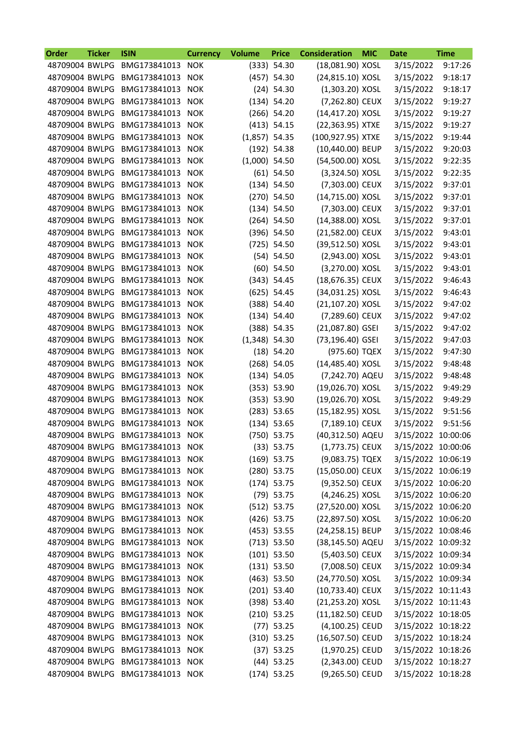| Order          | <b>Ticker</b> | <b>ISIN</b>                  | <b>Currency</b> | <b>Volume</b>   | <b>Price</b>  | <b>Consideration</b> | <b>MIC</b> | <b>Date</b>        | <b>Time</b> |
|----------------|---------------|------------------------------|-----------------|-----------------|---------------|----------------------|------------|--------------------|-------------|
| 48709004 BWLPG |               | BMG173841013                 | <b>NOK</b>      |                 | (333) 54.30   | (18,081.90) XOSL     |            | 3/15/2022          | 9:17:26     |
| 48709004 BWLPG |               | BMG173841013                 | <b>NOK</b>      |                 | $(457)$ 54.30 | (24,815.10) XOSL     |            | 3/15/2022          | 9:18:17     |
| 48709004 BWLPG |               | BMG173841013                 | <b>NOK</b>      |                 | $(24)$ 54.30  | (1,303.20) XOSL      |            | 3/15/2022          | 9:18:17     |
| 48709004 BWLPG |               | BMG173841013                 | <b>NOK</b>      |                 | (134) 54.20   | (7,262.80) CEUX      |            | 3/15/2022          | 9:19:27     |
| 48709004 BWLPG |               | BMG173841013                 | <b>NOK</b>      |                 | $(266)$ 54.20 | (14,417.20) XOSL     |            | 3/15/2022          | 9:19:27     |
| 48709004 BWLPG |               | BMG173841013                 | <b>NOK</b>      |                 | $(413)$ 54.15 | (22,363.95) XTXE     |            | 3/15/2022          | 9:19:27     |
| 48709004 BWLPG |               | BMG173841013                 | <b>NOK</b>      | $(1,857)$ 54.35 |               | (100,927.95) XTXE    |            | 3/15/2022          | 9:19:44     |
| 48709004 BWLPG |               | BMG173841013                 | <b>NOK</b>      |                 | $(192)$ 54.38 | (10,440.00) BEUP     |            | 3/15/2022          | 9:20:03     |
| 48709004 BWLPG |               | BMG173841013                 | <b>NOK</b>      | $(1,000)$ 54.50 |               | (54,500.00) XOSL     |            | 3/15/2022          | 9:22:35     |
| 48709004 BWLPG |               | BMG173841013                 | <b>NOK</b>      |                 | $(61)$ 54.50  | (3,324.50) XOSL      |            | 3/15/2022          | 9:22:35     |
| 48709004 BWLPG |               | BMG173841013                 | <b>NOK</b>      |                 | (134) 54.50   | (7,303.00) CEUX      |            | 3/15/2022          | 9:37:01     |
| 48709004 BWLPG |               | BMG173841013                 | <b>NOK</b>      |                 | $(270)$ 54.50 | (14,715.00) XOSL     |            | 3/15/2022          | 9:37:01     |
| 48709004 BWLPG |               | BMG173841013                 | <b>NOK</b>      |                 | (134) 54.50   | (7,303.00) CEUX      |            | 3/15/2022          | 9:37:01     |
| 48709004 BWLPG |               | BMG173841013                 | <b>NOK</b>      |                 | $(264)$ 54.50 | (14,388.00) XOSL     |            | 3/15/2022          | 9:37:01     |
| 48709004 BWLPG |               | BMG173841013                 | <b>NOK</b>      |                 | $(396)$ 54.50 | (21,582.00) CEUX     |            | 3/15/2022          | 9:43:01     |
| 48709004 BWLPG |               | BMG173841013                 | <b>NOK</b>      |                 | $(725)$ 54.50 | (39,512.50) XOSL     |            | 3/15/2022          | 9:43:01     |
| 48709004 BWLPG |               | BMG173841013                 | <b>NOK</b>      |                 | (54) 54.50    | (2,943.00) XOSL      |            | 3/15/2022          | 9:43:01     |
| 48709004 BWLPG |               | BMG173841013                 | <b>NOK</b>      |                 | $(60)$ 54.50  | (3,270.00) XOSL      |            | 3/15/2022          | 9:43:01     |
| 48709004 BWLPG |               | BMG173841013                 | <b>NOK</b>      |                 | (343) 54.45   | (18,676.35) CEUX     |            | 3/15/2022          | 9:46:43     |
| 48709004 BWLPG |               | BMG173841013                 | <b>NOK</b>      |                 | $(625)$ 54.45 | (34,031.25) XOSL     |            | 3/15/2022          | 9:46:43     |
| 48709004 BWLPG |               | BMG173841013                 | <b>NOK</b>      |                 | (388) 54.40   | (21,107.20) XOSL     |            | 3/15/2022          | 9:47:02     |
| 48709004 BWLPG |               | BMG173841013                 | <b>NOK</b>      |                 | (134) 54.40   | (7,289.60) CEUX      |            | 3/15/2022          | 9:47:02     |
| 48709004 BWLPG |               | BMG173841013                 | <b>NOK</b>      |                 | (388) 54.35   | (21,087.80) GSEI     |            | 3/15/2022          | 9:47:02     |
| 48709004 BWLPG |               | BMG173841013                 | <b>NOK</b>      | $(1,348)$ 54.30 |               | (73,196.40) GSEI     |            | 3/15/2022          | 9:47:03     |
| 48709004 BWLPG |               | BMG173841013                 | <b>NOK</b>      |                 | $(18)$ 54.20  | (975.60) TQEX        |            | 3/15/2022          | 9:47:30     |
| 48709004 BWLPG |               | BMG173841013                 | <b>NOK</b>      |                 | $(268)$ 54.05 | (14,485.40) XOSL     |            | 3/15/2022          | 9:48:48     |
| 48709004 BWLPG |               | BMG173841013                 | <b>NOK</b>      |                 | (134) 54.05   | (7,242.70) AQEU      |            | 3/15/2022          | 9:48:48     |
| 48709004 BWLPG |               | BMG173841013                 | <b>NOK</b>      |                 | (353) 53.90   | (19,026.70) XOSL     |            | 3/15/2022          | 9:49:29     |
| 48709004 BWLPG |               | BMG173841013                 | <b>NOK</b>      |                 | (353) 53.90   | (19,026.70) XOSL     |            | 3/15/2022          | 9:49:29     |
| 48709004 BWLPG |               | BMG173841013                 | <b>NOK</b>      |                 | $(283)$ 53.65 | (15,182.95) XOSL     |            | 3/15/2022          | 9:51:56     |
| 48709004 BWLPG |               | BMG173841013                 | <b>NOK</b>      |                 | $(134)$ 53.65 | (7,189.10) CEUX      |            | 3/15/2022          | 9:51:56     |
| 48709004 BWLPG |               | BMG173841013                 | <b>NOK</b>      |                 | $(750)$ 53.75 | (40,312.50) AQEU     |            | 3/15/2022          | 10:00:06    |
|                |               | 48709004 BWLPG BMG173841013  | <b>NOK</b>      |                 | (33) 53.75    | (1,773.75) CEUX      |            | 3/15/2022 10:00:06 |             |
| 48709004 BWLPG |               | BMG173841013                 | <b>NOK</b>      |                 | $(169)$ 53.75 | (9,083.75) TQEX      |            | 3/15/2022 10:06:19 |             |
| 48709004 BWLPG |               |                              |                 |                 |               |                      |            |                    |             |
|                |               | BMG173841013<br>BMG173841013 | <b>NOK</b>      |                 | $(280)$ 53.75 | (15,050.00) CEUX     |            | 3/15/2022 10:06:19 |             |
| 48709004 BWLPG |               | BMG173841013                 | <b>NOK</b>      |                 | $(174)$ 53.75 | (9,352.50) CEUX      |            | 3/15/2022 10:06:20 |             |
| 48709004 BWLPG |               |                              | <b>NOK</b>      |                 | $(79)$ 53.75  | (4,246.25) XOSL      |            | 3/15/2022 10:06:20 |             |
| 48709004 BWLPG |               | BMG173841013                 | <b>NOK</b>      |                 | (512) 53.75   | (27,520.00) XOSL     |            | 3/15/2022 10:06:20 |             |
| 48709004 BWLPG |               | BMG173841013                 | <b>NOK</b>      |                 | $(426)$ 53.75 | (22,897.50) XOSL     |            | 3/15/2022 10:06:20 |             |
| 48709004 BWLPG |               | BMG173841013                 | <b>NOK</b>      |                 | $(453)$ 53.55 | (24,258.15) BEUP     |            | 3/15/2022 10:08:46 |             |
| 48709004 BWLPG |               | BMG173841013                 | <b>NOK</b>      |                 | (713) 53.50   | (38,145.50) AQEU     |            | 3/15/2022 10:09:32 |             |
| 48709004 BWLPG |               | BMG173841013 NOK             |                 |                 | $(101)$ 53.50 | (5,403.50) CEUX      |            | 3/15/2022 10:09:34 |             |
| 48709004 BWLPG |               | BMG173841013 NOK             |                 |                 | (131) 53.50   | (7,008.50) CEUX      |            | 3/15/2022 10:09:34 |             |
| 48709004 BWLPG |               | BMG173841013                 | <b>NOK</b>      |                 | $(463)$ 53.50 | (24,770.50) XOSL     |            | 3/15/2022 10:09:34 |             |
| 48709004 BWLPG |               | BMG173841013                 | <b>NOK</b>      |                 | $(201)$ 53.40 | (10,733.40) CEUX     |            | 3/15/2022 10:11:43 |             |
| 48709004 BWLPG |               | BMG173841013 NOK             |                 |                 | (398) 53.40   | (21,253.20) XOSL     |            | 3/15/2022 10:11:43 |             |
| 48709004 BWLPG |               | BMG173841013                 | <b>NOK</b>      |                 | $(210)$ 53.25 | (11,182.50) CEUD     |            | 3/15/2022 10:18:05 |             |
| 48709004 BWLPG |               | BMG173841013                 | <b>NOK</b>      |                 | $(77)$ 53.25  | (4,100.25) CEUD      |            | 3/15/2022 10:18:22 |             |
| 48709004 BWLPG |               | BMG173841013                 | <b>NOK</b>      |                 | $(310)$ 53.25 | (16,507.50) CEUD     |            | 3/15/2022 10:18:24 |             |
| 48709004 BWLPG |               | BMG173841013                 | <b>NOK</b>      |                 | $(37)$ 53.25  | (1,970.25) CEUD      |            | 3/15/2022 10:18:26 |             |
| 48709004 BWLPG |               | BMG173841013                 | <b>NOK</b>      |                 | $(44)$ 53.25  | (2,343.00) CEUD      |            | 3/15/2022 10:18:27 |             |
| 48709004 BWLPG |               | BMG173841013                 | <b>NOK</b>      |                 | $(174)$ 53.25 | (9,265.50) CEUD      |            | 3/15/2022 10:18:28 |             |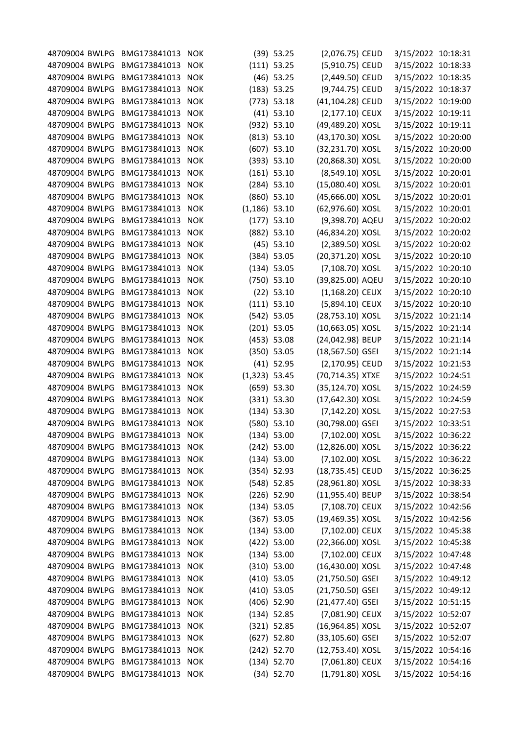|                |                                                                                                                                                                                                                                                                                                                                                                                                                                                                                                                                                                                                                                                                                                                                                                                                                                                                            | <b>NOK</b>                                                                                                                                                                                                                                                                                                                                                                                                                                       |                                                                                                                                                                                                                                                                                                                                                                                                                                                                          |               |                                                                                                                                                                                                                                                                                                                                                                                                                                                                                                                                                                                                                                                                                                                                                                                                                                        |                                                                                                                                                                                                                                                                                                                                                                                                                                                                                                                                                                                                                                                                                                                                                                                                                                                                                                                                                                              |                                                                                                                                                                                                                                                                                                                                                                                                                                                                                                                                                                                                                                                                                                                                                 |
|----------------|----------------------------------------------------------------------------------------------------------------------------------------------------------------------------------------------------------------------------------------------------------------------------------------------------------------------------------------------------------------------------------------------------------------------------------------------------------------------------------------------------------------------------------------------------------------------------------------------------------------------------------------------------------------------------------------------------------------------------------------------------------------------------------------------------------------------------------------------------------------------------|--------------------------------------------------------------------------------------------------------------------------------------------------------------------------------------------------------------------------------------------------------------------------------------------------------------------------------------------------------------------------------------------------------------------------------------------------|--------------------------------------------------------------------------------------------------------------------------------------------------------------------------------------------------------------------------------------------------------------------------------------------------------------------------------------------------------------------------------------------------------------------------------------------------------------------------|---------------|----------------------------------------------------------------------------------------------------------------------------------------------------------------------------------------------------------------------------------------------------------------------------------------------------------------------------------------------------------------------------------------------------------------------------------------------------------------------------------------------------------------------------------------------------------------------------------------------------------------------------------------------------------------------------------------------------------------------------------------------------------------------------------------------------------------------------------------|------------------------------------------------------------------------------------------------------------------------------------------------------------------------------------------------------------------------------------------------------------------------------------------------------------------------------------------------------------------------------------------------------------------------------------------------------------------------------------------------------------------------------------------------------------------------------------------------------------------------------------------------------------------------------------------------------------------------------------------------------------------------------------------------------------------------------------------------------------------------------------------------------------------------------------------------------------------------------|-------------------------------------------------------------------------------------------------------------------------------------------------------------------------------------------------------------------------------------------------------------------------------------------------------------------------------------------------------------------------------------------------------------------------------------------------------------------------------------------------------------------------------------------------------------------------------------------------------------------------------------------------------------------------------------------------------------------------------------------------|
|                | BMG173841013                                                                                                                                                                                                                                                                                                                                                                                                                                                                                                                                                                                                                                                                                                                                                                                                                                                               | <b>NOK</b>                                                                                                                                                                                                                                                                                                                                                                                                                                       |                                                                                                                                                                                                                                                                                                                                                                                                                                                                          |               |                                                                                                                                                                                                                                                                                                                                                                                                                                                                                                                                                                                                                                                                                                                                                                                                                                        | 3/15/2022 10:19:11                                                                                                                                                                                                                                                                                                                                                                                                                                                                                                                                                                                                                                                                                                                                                                                                                                                                                                                                                           |                                                                                                                                                                                                                                                                                                                                                                                                                                                                                                                                                                                                                                                                                                                                                 |
|                | BMG173841013                                                                                                                                                                                                                                                                                                                                                                                                                                                                                                                                                                                                                                                                                                                                                                                                                                                               | <b>NOK</b>                                                                                                                                                                                                                                                                                                                                                                                                                                       |                                                                                                                                                                                                                                                                                                                                                                                                                                                                          |               |                                                                                                                                                                                                                                                                                                                                                                                                                                                                                                                                                                                                                                                                                                                                                                                                                                        |                                                                                                                                                                                                                                                                                                                                                                                                                                                                                                                                                                                                                                                                                                                                                                                                                                                                                                                                                                              |                                                                                                                                                                                                                                                                                                                                                                                                                                                                                                                                                                                                                                                                                                                                                 |
|                | BMG173841013                                                                                                                                                                                                                                                                                                                                                                                                                                                                                                                                                                                                                                                                                                                                                                                                                                                               | <b>NOK</b>                                                                                                                                                                                                                                                                                                                                                                                                                                       |                                                                                                                                                                                                                                                                                                                                                                                                                                                                          |               |                                                                                                                                                                                                                                                                                                                                                                                                                                                                                                                                                                                                                                                                                                                                                                                                                                        | 3/15/2022 10:20:00                                                                                                                                                                                                                                                                                                                                                                                                                                                                                                                                                                                                                                                                                                                                                                                                                                                                                                                                                           |                                                                                                                                                                                                                                                                                                                                                                                                                                                                                                                                                                                                                                                                                                                                                 |
|                | BMG173841013                                                                                                                                                                                                                                                                                                                                                                                                                                                                                                                                                                                                                                                                                                                                                                                                                                                               | <b>NOK</b>                                                                                                                                                                                                                                                                                                                                                                                                                                       |                                                                                                                                                                                                                                                                                                                                                                                                                                                                          |               |                                                                                                                                                                                                                                                                                                                                                                                                                                                                                                                                                                                                                                                                                                                                                                                                                                        | 3/15/2022 10:20:00                                                                                                                                                                                                                                                                                                                                                                                                                                                                                                                                                                                                                                                                                                                                                                                                                                                                                                                                                           |                                                                                                                                                                                                                                                                                                                                                                                                                                                                                                                                                                                                                                                                                                                                                 |
|                | BMG173841013                                                                                                                                                                                                                                                                                                                                                                                                                                                                                                                                                                                                                                                                                                                                                                                                                                                               | <b>NOK</b>                                                                                                                                                                                                                                                                                                                                                                                                                                       |                                                                                                                                                                                                                                                                                                                                                                                                                                                                          |               |                                                                                                                                                                                                                                                                                                                                                                                                                                                                                                                                                                                                                                                                                                                                                                                                                                        | 3/15/2022 10:20:01                                                                                                                                                                                                                                                                                                                                                                                                                                                                                                                                                                                                                                                                                                                                                                                                                                                                                                                                                           |                                                                                                                                                                                                                                                                                                                                                                                                                                                                                                                                                                                                                                                                                                                                                 |
|                | BMG173841013                                                                                                                                                                                                                                                                                                                                                                                                                                                                                                                                                                                                                                                                                                                                                                                                                                                               | <b>NOK</b>                                                                                                                                                                                                                                                                                                                                                                                                                                       |                                                                                                                                                                                                                                                                                                                                                                                                                                                                          |               |                                                                                                                                                                                                                                                                                                                                                                                                                                                                                                                                                                                                                                                                                                                                                                                                                                        | 3/15/2022 10:20:01                                                                                                                                                                                                                                                                                                                                                                                                                                                                                                                                                                                                                                                                                                                                                                                                                                                                                                                                                           |                                                                                                                                                                                                                                                                                                                                                                                                                                                                                                                                                                                                                                                                                                                                                 |
|                | BMG173841013                                                                                                                                                                                                                                                                                                                                                                                                                                                                                                                                                                                                                                                                                                                                                                                                                                                               | <b>NOK</b>                                                                                                                                                                                                                                                                                                                                                                                                                                       |                                                                                                                                                                                                                                                                                                                                                                                                                                                                          |               |                                                                                                                                                                                                                                                                                                                                                                                                                                                                                                                                                                                                                                                                                                                                                                                                                                        | 3/15/2022 10:20:01                                                                                                                                                                                                                                                                                                                                                                                                                                                                                                                                                                                                                                                                                                                                                                                                                                                                                                                                                           |                                                                                                                                                                                                                                                                                                                                                                                                                                                                                                                                                                                                                                                                                                                                                 |
|                | BMG173841013                                                                                                                                                                                                                                                                                                                                                                                                                                                                                                                                                                                                                                                                                                                                                                                                                                                               | <b>NOK</b>                                                                                                                                                                                                                                                                                                                                                                                                                                       |                                                                                                                                                                                                                                                                                                                                                                                                                                                                          |               |                                                                                                                                                                                                                                                                                                                                                                                                                                                                                                                                                                                                                                                                                                                                                                                                                                        |                                                                                                                                                                                                                                                                                                                                                                                                                                                                                                                                                                                                                                                                                                                                                                                                                                                                                                                                                                              |                                                                                                                                                                                                                                                                                                                                                                                                                                                                                                                                                                                                                                                                                                                                                 |
|                | BMG173841013                                                                                                                                                                                                                                                                                                                                                                                                                                                                                                                                                                                                                                                                                                                                                                                                                                                               | <b>NOK</b>                                                                                                                                                                                                                                                                                                                                                                                                                                       |                                                                                                                                                                                                                                                                                                                                                                                                                                                                          |               |                                                                                                                                                                                                                                                                                                                                                                                                                                                                                                                                                                                                                                                                                                                                                                                                                                        | 3/15/2022 10:20:02                                                                                                                                                                                                                                                                                                                                                                                                                                                                                                                                                                                                                                                                                                                                                                                                                                                                                                                                                           |                                                                                                                                                                                                                                                                                                                                                                                                                                                                                                                                                                                                                                                                                                                                                 |
|                | BMG173841013                                                                                                                                                                                                                                                                                                                                                                                                                                                                                                                                                                                                                                                                                                                                                                                                                                                               | <b>NOK</b>                                                                                                                                                                                                                                                                                                                                                                                                                                       |                                                                                                                                                                                                                                                                                                                                                                                                                                                                          |               |                                                                                                                                                                                                                                                                                                                                                                                                                                                                                                                                                                                                                                                                                                                                                                                                                                        |                                                                                                                                                                                                                                                                                                                                                                                                                                                                                                                                                                                                                                                                                                                                                                                                                                                                                                                                                                              |                                                                                                                                                                                                                                                                                                                                                                                                                                                                                                                                                                                                                                                                                                                                                 |
|                |                                                                                                                                                                                                                                                                                                                                                                                                                                                                                                                                                                                                                                                                                                                                                                                                                                                                            |                                                                                                                                                                                                                                                                                                                                                                                                                                                  |                                                                                                                                                                                                                                                                                                                                                                                                                                                                          |               |                                                                                                                                                                                                                                                                                                                                                                                                                                                                                                                                                                                                                                                                                                                                                                                                                                        |                                                                                                                                                                                                                                                                                                                                                                                                                                                                                                                                                                                                                                                                                                                                                                                                                                                                                                                                                                              |                                                                                                                                                                                                                                                                                                                                                                                                                                                                                                                                                                                                                                                                                                                                                 |
|                |                                                                                                                                                                                                                                                                                                                                                                                                                                                                                                                                                                                                                                                                                                                                                                                                                                                                            |                                                                                                                                                                                                                                                                                                                                                                                                                                                  |                                                                                                                                                                                                                                                                                                                                                                                                                                                                          |               |                                                                                                                                                                                                                                                                                                                                                                                                                                                                                                                                                                                                                                                                                                                                                                                                                                        |                                                                                                                                                                                                                                                                                                                                                                                                                                                                                                                                                                                                                                                                                                                                                                                                                                                                                                                                                                              |                                                                                                                                                                                                                                                                                                                                                                                                                                                                                                                                                                                                                                                                                                                                                 |
|                |                                                                                                                                                                                                                                                                                                                                                                                                                                                                                                                                                                                                                                                                                                                                                                                                                                                                            |                                                                                                                                                                                                                                                                                                                                                                                                                                                  |                                                                                                                                                                                                                                                                                                                                                                                                                                                                          |               |                                                                                                                                                                                                                                                                                                                                                                                                                                                                                                                                                                                                                                                                                                                                                                                                                                        |                                                                                                                                                                                                                                                                                                                                                                                                                                                                                                                                                                                                                                                                                                                                                                                                                                                                                                                                                                              |                                                                                                                                                                                                                                                                                                                                                                                                                                                                                                                                                                                                                                                                                                                                                 |
|                |                                                                                                                                                                                                                                                                                                                                                                                                                                                                                                                                                                                                                                                                                                                                                                                                                                                                            |                                                                                                                                                                                                                                                                                                                                                                                                                                                  |                                                                                                                                                                                                                                                                                                                                                                                                                                                                          |               |                                                                                                                                                                                                                                                                                                                                                                                                                                                                                                                                                                                                                                                                                                                                                                                                                                        |                                                                                                                                                                                                                                                                                                                                                                                                                                                                                                                                                                                                                                                                                                                                                                                                                                                                                                                                                                              |                                                                                                                                                                                                                                                                                                                                                                                                                                                                                                                                                                                                                                                                                                                                                 |
|                |                                                                                                                                                                                                                                                                                                                                                                                                                                                                                                                                                                                                                                                                                                                                                                                                                                                                            |                                                                                                                                                                                                                                                                                                                                                                                                                                                  |                                                                                                                                                                                                                                                                                                                                                                                                                                                                          |               |                                                                                                                                                                                                                                                                                                                                                                                                                                                                                                                                                                                                                                                                                                                                                                                                                                        |                                                                                                                                                                                                                                                                                                                                                                                                                                                                                                                                                                                                                                                                                                                                                                                                                                                                                                                                                                              |                                                                                                                                                                                                                                                                                                                                                                                                                                                                                                                                                                                                                                                                                                                                                 |
|                |                                                                                                                                                                                                                                                                                                                                                                                                                                                                                                                                                                                                                                                                                                                                                                                                                                                                            |                                                                                                                                                                                                                                                                                                                                                                                                                                                  |                                                                                                                                                                                                                                                                                                                                                                                                                                                                          |               |                                                                                                                                                                                                                                                                                                                                                                                                                                                                                                                                                                                                                                                                                                                                                                                                                                        |                                                                                                                                                                                                                                                                                                                                                                                                                                                                                                                                                                                                                                                                                                                                                                                                                                                                                                                                                                              |                                                                                                                                                                                                                                                                                                                                                                                                                                                                                                                                                                                                                                                                                                                                                 |
|                |                                                                                                                                                                                                                                                                                                                                                                                                                                                                                                                                                                                                                                                                                                                                                                                                                                                                            |                                                                                                                                                                                                                                                                                                                                                                                                                                                  |                                                                                                                                                                                                                                                                                                                                                                                                                                                                          |               |                                                                                                                                                                                                                                                                                                                                                                                                                                                                                                                                                                                                                                                                                                                                                                                                                                        |                                                                                                                                                                                                                                                                                                                                                                                                                                                                                                                                                                                                                                                                                                                                                                                                                                                                                                                                                                              |                                                                                                                                                                                                                                                                                                                                                                                                                                                                                                                                                                                                                                                                                                                                                 |
|                |                                                                                                                                                                                                                                                                                                                                                                                                                                                                                                                                                                                                                                                                                                                                                                                                                                                                            |                                                                                                                                                                                                                                                                                                                                                                                                                                                  |                                                                                                                                                                                                                                                                                                                                                                                                                                                                          |               |                                                                                                                                                                                                                                                                                                                                                                                                                                                                                                                                                                                                                                                                                                                                                                                                                                        |                                                                                                                                                                                                                                                                                                                                                                                                                                                                                                                                                                                                                                                                                                                                                                                                                                                                                                                                                                              |                                                                                                                                                                                                                                                                                                                                                                                                                                                                                                                                                                                                                                                                                                                                                 |
|                |                                                                                                                                                                                                                                                                                                                                                                                                                                                                                                                                                                                                                                                                                                                                                                                                                                                                            |                                                                                                                                                                                                                                                                                                                                                                                                                                                  |                                                                                                                                                                                                                                                                                                                                                                                                                                                                          |               |                                                                                                                                                                                                                                                                                                                                                                                                                                                                                                                                                                                                                                                                                                                                                                                                                                        |                                                                                                                                                                                                                                                                                                                                                                                                                                                                                                                                                                                                                                                                                                                                                                                                                                                                                                                                                                              |                                                                                                                                                                                                                                                                                                                                                                                                                                                                                                                                                                                                                                                                                                                                                 |
|                |                                                                                                                                                                                                                                                                                                                                                                                                                                                                                                                                                                                                                                                                                                                                                                                                                                                                            |                                                                                                                                                                                                                                                                                                                                                                                                                                                  |                                                                                                                                                                                                                                                                                                                                                                                                                                                                          |               |                                                                                                                                                                                                                                                                                                                                                                                                                                                                                                                                                                                                                                                                                                                                                                                                                                        |                                                                                                                                                                                                                                                                                                                                                                                                                                                                                                                                                                                                                                                                                                                                                                                                                                                                                                                                                                              |                                                                                                                                                                                                                                                                                                                                                                                                                                                                                                                                                                                                                                                                                                                                                 |
|                |                                                                                                                                                                                                                                                                                                                                                                                                                                                                                                                                                                                                                                                                                                                                                                                                                                                                            |                                                                                                                                                                                                                                                                                                                                                                                                                                                  |                                                                                                                                                                                                                                                                                                                                                                                                                                                                          |               |                                                                                                                                                                                                                                                                                                                                                                                                                                                                                                                                                                                                                                                                                                                                                                                                                                        |                                                                                                                                                                                                                                                                                                                                                                                                                                                                                                                                                                                                                                                                                                                                                                                                                                                                                                                                                                              |                                                                                                                                                                                                                                                                                                                                                                                                                                                                                                                                                                                                                                                                                                                                                 |
|                |                                                                                                                                                                                                                                                                                                                                                                                                                                                                                                                                                                                                                                                                                                                                                                                                                                                                            |                                                                                                                                                                                                                                                                                                                                                                                                                                                  |                                                                                                                                                                                                                                                                                                                                                                                                                                                                          |               |                                                                                                                                                                                                                                                                                                                                                                                                                                                                                                                                                                                                                                                                                                                                                                                                                                        |                                                                                                                                                                                                                                                                                                                                                                                                                                                                                                                                                                                                                                                                                                                                                                                                                                                                                                                                                                              |                                                                                                                                                                                                                                                                                                                                                                                                                                                                                                                                                                                                                                                                                                                                                 |
|                |                                                                                                                                                                                                                                                                                                                                                                                                                                                                                                                                                                                                                                                                                                                                                                                                                                                                            |                                                                                                                                                                                                                                                                                                                                                                                                                                                  |                                                                                                                                                                                                                                                                                                                                                                                                                                                                          |               |                                                                                                                                                                                                                                                                                                                                                                                                                                                                                                                                                                                                                                                                                                                                                                                                                                        |                                                                                                                                                                                                                                                                                                                                                                                                                                                                                                                                                                                                                                                                                                                                                                                                                                                                                                                                                                              |                                                                                                                                                                                                                                                                                                                                                                                                                                                                                                                                                                                                                                                                                                                                                 |
|                |                                                                                                                                                                                                                                                                                                                                                                                                                                                                                                                                                                                                                                                                                                                                                                                                                                                                            |                                                                                                                                                                                                                                                                                                                                                                                                                                                  |                                                                                                                                                                                                                                                                                                                                                                                                                                                                          |               |                                                                                                                                                                                                                                                                                                                                                                                                                                                                                                                                                                                                                                                                                                                                                                                                                                        |                                                                                                                                                                                                                                                                                                                                                                                                                                                                                                                                                                                                                                                                                                                                                                                                                                                                                                                                                                              |                                                                                                                                                                                                                                                                                                                                                                                                                                                                                                                                                                                                                                                                                                                                                 |
|                |                                                                                                                                                                                                                                                                                                                                                                                                                                                                                                                                                                                                                                                                                                                                                                                                                                                                            |                                                                                                                                                                                                                                                                                                                                                                                                                                                  |                                                                                                                                                                                                                                                                                                                                                                                                                                                                          |               |                                                                                                                                                                                                                                                                                                                                                                                                                                                                                                                                                                                                                                                                                                                                                                                                                                        |                                                                                                                                                                                                                                                                                                                                                                                                                                                                                                                                                                                                                                                                                                                                                                                                                                                                                                                                                                              |                                                                                                                                                                                                                                                                                                                                                                                                                                                                                                                                                                                                                                                                                                                                                 |
|                |                                                                                                                                                                                                                                                                                                                                                                                                                                                                                                                                                                                                                                                                                                                                                                                                                                                                            |                                                                                                                                                                                                                                                                                                                                                                                                                                                  |                                                                                                                                                                                                                                                                                                                                                                                                                                                                          |               |                                                                                                                                                                                                                                                                                                                                                                                                                                                                                                                                                                                                                                                                                                                                                                                                                                        |                                                                                                                                                                                                                                                                                                                                                                                                                                                                                                                                                                                                                                                                                                                                                                                                                                                                                                                                                                              |                                                                                                                                                                                                                                                                                                                                                                                                                                                                                                                                                                                                                                                                                                                                                 |
|                |                                                                                                                                                                                                                                                                                                                                                                                                                                                                                                                                                                                                                                                                                                                                                                                                                                                                            |                                                                                                                                                                                                                                                                                                                                                                                                                                                  |                                                                                                                                                                                                                                                                                                                                                                                                                                                                          |               |                                                                                                                                                                                                                                                                                                                                                                                                                                                                                                                                                                                                                                                                                                                                                                                                                                        |                                                                                                                                                                                                                                                                                                                                                                                                                                                                                                                                                                                                                                                                                                                                                                                                                                                                                                                                                                              |                                                                                                                                                                                                                                                                                                                                                                                                                                                                                                                                                                                                                                                                                                                                                 |
|                |                                                                                                                                                                                                                                                                                                                                                                                                                                                                                                                                                                                                                                                                                                                                                                                                                                                                            |                                                                                                                                                                                                                                                                                                                                                                                                                                                  |                                                                                                                                                                                                                                                                                                                                                                                                                                                                          |               |                                                                                                                                                                                                                                                                                                                                                                                                                                                                                                                                                                                                                                                                                                                                                                                                                                        |                                                                                                                                                                                                                                                                                                                                                                                                                                                                                                                                                                                                                                                                                                                                                                                                                                                                                                                                                                              |                                                                                                                                                                                                                                                                                                                                                                                                                                                                                                                                                                                                                                                                                                                                                 |
|                |                                                                                                                                                                                                                                                                                                                                                                                                                                                                                                                                                                                                                                                                                                                                                                                                                                                                            |                                                                                                                                                                                                                                                                                                                                                                                                                                                  |                                                                                                                                                                                                                                                                                                                                                                                                                                                                          |               |                                                                                                                                                                                                                                                                                                                                                                                                                                                                                                                                                                                                                                                                                                                                                                                                                                        |                                                                                                                                                                                                                                                                                                                                                                                                                                                                                                                                                                                                                                                                                                                                                                                                                                                                                                                                                                              |                                                                                                                                                                                                                                                                                                                                                                                                                                                                                                                                                                                                                                                                                                                                                 |
|                |                                                                                                                                                                                                                                                                                                                                                                                                                                                                                                                                                                                                                                                                                                                                                                                                                                                                            |                                                                                                                                                                                                                                                                                                                                                                                                                                                  |                                                                                                                                                                                                                                                                                                                                                                                                                                                                          |               |                                                                                                                                                                                                                                                                                                                                                                                                                                                                                                                                                                                                                                                                                                                                                                                                                                        |                                                                                                                                                                                                                                                                                                                                                                                                                                                                                                                                                                                                                                                                                                                                                                                                                                                                                                                                                                              |                                                                                                                                                                                                                                                                                                                                                                                                                                                                                                                                                                                                                                                                                                                                                 |
|                |                                                                                                                                                                                                                                                                                                                                                                                                                                                                                                                                                                                                                                                                                                                                                                                                                                                                            | <b>NOK</b>                                                                                                                                                                                                                                                                                                                                                                                                                                       |                                                                                                                                                                                                                                                                                                                                                                                                                                                                          |               |                                                                                                                                                                                                                                                                                                                                                                                                                                                                                                                                                                                                                                                                                                                                                                                                                                        |                                                                                                                                                                                                                                                                                                                                                                                                                                                                                                                                                                                                                                                                                                                                                                                                                                                                                                                                                                              |                                                                                                                                                                                                                                                                                                                                                                                                                                                                                                                                                                                                                                                                                                                                                 |
|                |                                                                                                                                                                                                                                                                                                                                                                                                                                                                                                                                                                                                                                                                                                                                                                                                                                                                            | <b>NOK</b>                                                                                                                                                                                                                                                                                                                                                                                                                                       |                                                                                                                                                                                                                                                                                                                                                                                                                                                                          |               |                                                                                                                                                                                                                                                                                                                                                                                                                                                                                                                                                                                                                                                                                                                                                                                                                                        |                                                                                                                                                                                                                                                                                                                                                                                                                                                                                                                                                                                                                                                                                                                                                                                                                                                                                                                                                                              |                                                                                                                                                                                                                                                                                                                                                                                                                                                                                                                                                                                                                                                                                                                                                 |
|                |                                                                                                                                                                                                                                                                                                                                                                                                                                                                                                                                                                                                                                                                                                                                                                                                                                                                            |                                                                                                                                                                                                                                                                                                                                                                                                                                                  |                                                                                                                                                                                                                                                                                                                                                                                                                                                                          |               |                                                                                                                                                                                                                                                                                                                                                                                                                                                                                                                                                                                                                                                                                                                                                                                                                                        |                                                                                                                                                                                                                                                                                                                                                                                                                                                                                                                                                                                                                                                                                                                                                                                                                                                                                                                                                                              |                                                                                                                                                                                                                                                                                                                                                                                                                                                                                                                                                                                                                                                                                                                                                 |
|                | BMG173841013                                                                                                                                                                                                                                                                                                                                                                                                                                                                                                                                                                                                                                                                                                                                                                                                                                                               |                                                                                                                                                                                                                                                                                                                                                                                                                                                  |                                                                                                                                                                                                                                                                                                                                                                                                                                                                          |               |                                                                                                                                                                                                                                                                                                                                                                                                                                                                                                                                                                                                                                                                                                                                                                                                                                        |                                                                                                                                                                                                                                                                                                                                                                                                                                                                                                                                                                                                                                                                                                                                                                                                                                                                                                                                                                              |                                                                                                                                                                                                                                                                                                                                                                                                                                                                                                                                                                                                                                                                                                                                                 |
|                |                                                                                                                                                                                                                                                                                                                                                                                                                                                                                                                                                                                                                                                                                                                                                                                                                                                                            | <b>NOK</b>                                                                                                                                                                                                                                                                                                                                                                                                                                       |                                                                                                                                                                                                                                                                                                                                                                                                                                                                          |               |                                                                                                                                                                                                                                                                                                                                                                                                                                                                                                                                                                                                                                                                                                                                                                                                                                        | 3/15/2022 10:42:56                                                                                                                                                                                                                                                                                                                                                                                                                                                                                                                                                                                                                                                                                                                                                                                                                                                                                                                                                           |                                                                                                                                                                                                                                                                                                                                                                                                                                                                                                                                                                                                                                                                                                                                                 |
|                |                                                                                                                                                                                                                                                                                                                                                                                                                                                                                                                                                                                                                                                                                                                                                                                                                                                                            | <b>NOK</b>                                                                                                                                                                                                                                                                                                                                                                                                                                       |                                                                                                                                                                                                                                                                                                                                                                                                                                                                          |               |                                                                                                                                                                                                                                                                                                                                                                                                                                                                                                                                                                                                                                                                                                                                                                                                                                        | 3/15/2022 10:45:38                                                                                                                                                                                                                                                                                                                                                                                                                                                                                                                                                                                                                                                                                                                                                                                                                                                                                                                                                           |                                                                                                                                                                                                                                                                                                                                                                                                                                                                                                                                                                                                                                                                                                                                                 |
|                | BMG173841013                                                                                                                                                                                                                                                                                                                                                                                                                                                                                                                                                                                                                                                                                                                                                                                                                                                               | <b>NOK</b>                                                                                                                                                                                                                                                                                                                                                                                                                                       |                                                                                                                                                                                                                                                                                                                                                                                                                                                                          |               |                                                                                                                                                                                                                                                                                                                                                                                                                                                                                                                                                                                                                                                                                                                                                                                                                                        | 3/15/2022 10:45:38                                                                                                                                                                                                                                                                                                                                                                                                                                                                                                                                                                                                                                                                                                                                                                                                                                                                                                                                                           |                                                                                                                                                                                                                                                                                                                                                                                                                                                                                                                                                                                                                                                                                                                                                 |
|                | BMG173841013                                                                                                                                                                                                                                                                                                                                                                                                                                                                                                                                                                                                                                                                                                                                                                                                                                                               | <b>NOK</b>                                                                                                                                                                                                                                                                                                                                                                                                                                       |                                                                                                                                                                                                                                                                                                                                                                                                                                                                          |               |                                                                                                                                                                                                                                                                                                                                                                                                                                                                                                                                                                                                                                                                                                                                                                                                                                        | 3/15/2022 10:47:48                                                                                                                                                                                                                                                                                                                                                                                                                                                                                                                                                                                                                                                                                                                                                                                                                                                                                                                                                           |                                                                                                                                                                                                                                                                                                                                                                                                                                                                                                                                                                                                                                                                                                                                                 |
|                | BMG173841013                                                                                                                                                                                                                                                                                                                                                                                                                                                                                                                                                                                                                                                                                                                                                                                                                                                               | <b>NOK</b>                                                                                                                                                                                                                                                                                                                                                                                                                                       |                                                                                                                                                                                                                                                                                                                                                                                                                                                                          |               |                                                                                                                                                                                                                                                                                                                                                                                                                                                                                                                                                                                                                                                                                                                                                                                                                                        | 3/15/2022 10:47:48                                                                                                                                                                                                                                                                                                                                                                                                                                                                                                                                                                                                                                                                                                                                                                                                                                                                                                                                                           |                                                                                                                                                                                                                                                                                                                                                                                                                                                                                                                                                                                                                                                                                                                                                 |
|                | BMG173841013                                                                                                                                                                                                                                                                                                                                                                                                                                                                                                                                                                                                                                                                                                                                                                                                                                                               | <b>NOK</b>                                                                                                                                                                                                                                                                                                                                                                                                                                       |                                                                                                                                                                                                                                                                                                                                                                                                                                                                          |               |                                                                                                                                                                                                                                                                                                                                                                                                                                                                                                                                                                                                                                                                                                                                                                                                                                        | 3/15/2022 10:49:12                                                                                                                                                                                                                                                                                                                                                                                                                                                                                                                                                                                                                                                                                                                                                                                                                                                                                                                                                           |                                                                                                                                                                                                                                                                                                                                                                                                                                                                                                                                                                                                                                                                                                                                                 |
|                | BMG173841013                                                                                                                                                                                                                                                                                                                                                                                                                                                                                                                                                                                                                                                                                                                                                                                                                                                               | <b>NOK</b>                                                                                                                                                                                                                                                                                                                                                                                                                                       |                                                                                                                                                                                                                                                                                                                                                                                                                                                                          |               |                                                                                                                                                                                                                                                                                                                                                                                                                                                                                                                                                                                                                                                                                                                                                                                                                                        | 3/15/2022 10:49:12                                                                                                                                                                                                                                                                                                                                                                                                                                                                                                                                                                                                                                                                                                                                                                                                                                                                                                                                                           |                                                                                                                                                                                                                                                                                                                                                                                                                                                                                                                                                                                                                                                                                                                                                 |
|                |                                                                                                                                                                                                                                                                                                                                                                                                                                                                                                                                                                                                                                                                                                                                                                                                                                                                            | <b>NOK</b>                                                                                                                                                                                                                                                                                                                                                                                                                                       |                                                                                                                                                                                                                                                                                                                                                                                                                                                                          |               |                                                                                                                                                                                                                                                                                                                                                                                                                                                                                                                                                                                                                                                                                                                                                                                                                                        | 3/15/2022 10:51:15                                                                                                                                                                                                                                                                                                                                                                                                                                                                                                                                                                                                                                                                                                                                                                                                                                                                                                                                                           |                                                                                                                                                                                                                                                                                                                                                                                                                                                                                                                                                                                                                                                                                                                                                 |
|                | BMG173841013                                                                                                                                                                                                                                                                                                                                                                                                                                                                                                                                                                                                                                                                                                                                                                                                                                                               | <b>NOK</b>                                                                                                                                                                                                                                                                                                                                                                                                                                       |                                                                                                                                                                                                                                                                                                                                                                                                                                                                          |               |                                                                                                                                                                                                                                                                                                                                                                                                                                                                                                                                                                                                                                                                                                                                                                                                                                        | 3/15/2022 10:52:07                                                                                                                                                                                                                                                                                                                                                                                                                                                                                                                                                                                                                                                                                                                                                                                                                                                                                                                                                           |                                                                                                                                                                                                                                                                                                                                                                                                                                                                                                                                                                                                                                                                                                                                                 |
|                | BMG173841013                                                                                                                                                                                                                                                                                                                                                                                                                                                                                                                                                                                                                                                                                                                                                                                                                                                               | <b>NOK</b>                                                                                                                                                                                                                                                                                                                                                                                                                                       |                                                                                                                                                                                                                                                                                                                                                                                                                                                                          |               |                                                                                                                                                                                                                                                                                                                                                                                                                                                                                                                                                                                                                                                                                                                                                                                                                                        | 3/15/2022 10:52:07                                                                                                                                                                                                                                                                                                                                                                                                                                                                                                                                                                                                                                                                                                                                                                                                                                                                                                                                                           |                                                                                                                                                                                                                                                                                                                                                                                                                                                                                                                                                                                                                                                                                                                                                 |
|                |                                                                                                                                                                                                                                                                                                                                                                                                                                                                                                                                                                                                                                                                                                                                                                                                                                                                            |                                                                                                                                                                                                                                                                                                                                                                                                                                                  |                                                                                                                                                                                                                                                                                                                                                                                                                                                                          |               |                                                                                                                                                                                                                                                                                                                                                                                                                                                                                                                                                                                                                                                                                                                                                                                                                                        |                                                                                                                                                                                                                                                                                                                                                                                                                                                                                                                                                                                                                                                                                                                                                                                                                                                                                                                                                                              |                                                                                                                                                                                                                                                                                                                                                                                                                                                                                                                                                                                                                                                                                                                                                 |
| 48709004 BWLPG | BMG173841013                                                                                                                                                                                                                                                                                                                                                                                                                                                                                                                                                                                                                                                                                                                                                                                                                                                               | <b>NOK</b>                                                                                                                                                                                                                                                                                                                                                                                                                                       |                                                                                                                                                                                                                                                                                                                                                                                                                                                                          | $(627)$ 52.80 | (33,105.60) GSEI                                                                                                                                                                                                                                                                                                                                                                                                                                                                                                                                                                                                                                                                                                                                                                                                                       | 3/15/2022 10:52:07                                                                                                                                                                                                                                                                                                                                                                                                                                                                                                                                                                                                                                                                                                                                                                                                                                                                                                                                                           |                                                                                                                                                                                                                                                                                                                                                                                                                                                                                                                                                                                                                                                                                                                                                 |
| 48709004 BWLPG | BMG173841013                                                                                                                                                                                                                                                                                                                                                                                                                                                                                                                                                                                                                                                                                                                                                                                                                                                               | <b>NOK</b>                                                                                                                                                                                                                                                                                                                                                                                                                                       |                                                                                                                                                                                                                                                                                                                                                                                                                                                                          | $(242)$ 52.70 | (12,753.40) XOSL                                                                                                                                                                                                                                                                                                                                                                                                                                                                                                                                                                                                                                                                                                                                                                                                                       | 3/15/2022 10:54:16                                                                                                                                                                                                                                                                                                                                                                                                                                                                                                                                                                                                                                                                                                                                                                                                                                                                                                                                                           |                                                                                                                                                                                                                                                                                                                                                                                                                                                                                                                                                                                                                                                                                                                                                 |
| 48709004 BWLPG | BMG173841013                                                                                                                                                                                                                                                                                                                                                                                                                                                                                                                                                                                                                                                                                                                                                                                                                                                               | <b>NOK</b>                                                                                                                                                                                                                                                                                                                                                                                                                                       |                                                                                                                                                                                                                                                                                                                                                                                                                                                                          | (134) 52.70   | (7,061.80) CEUX                                                                                                                                                                                                                                                                                                                                                                                                                                                                                                                                                                                                                                                                                                                                                                                                                        | 3/15/2022 10:54:16                                                                                                                                                                                                                                                                                                                                                                                                                                                                                                                                                                                                                                                                                                                                                                                                                                                                                                                                                           |                                                                                                                                                                                                                                                                                                                                                                                                                                                                                                                                                                                                                                                                                                                                                 |
|                | 48709004 BWLPG<br>48709004 BWLPG<br>48709004 BWLPG<br>48709004 BWLPG<br>48709004 BWLPG<br>48709004 BWLPG<br>48709004 BWLPG<br>48709004 BWLPG<br>48709004 BWLPG<br>48709004 BWLPG<br>48709004 BWLPG<br>48709004 BWLPG<br>48709004 BWLPG<br>48709004 BWLPG<br>48709004 BWLPG<br>48709004 BWLPG<br>48709004 BWLPG<br>48709004 BWLPG<br>48709004 BWLPG<br>48709004 BWLPG<br>48709004 BWLPG<br>48709004 BWLPG<br>48709004 BWLPG<br>48709004 BWLPG<br>48709004 BWLPG<br>48709004 BWLPG<br>48709004 BWLPG<br>48709004 BWLPG<br>48709004 BWLPG<br>48709004 BWLPG<br>48709004 BWLPG<br>48709004 BWLPG<br>48709004 BWLPG<br>48709004 BWLPG<br>48709004 BWLPG<br>48709004 BWLPG<br>48709004 BWLPG<br>48709004 BWLPG<br>48709004 BWLPG<br>48709004 BWLPG<br>48709004 BWLPG<br>48709004 BWLPG<br>48709004 BWLPG<br>48709004 BWLPG<br>48709004 BWLPG<br>48709004 BWLPG<br>48709004 BWLPG | 48709004 BWLPG<br>BMG173841013<br>BMG173841013<br>BMG173841013<br>BMG173841013<br>BMG173841013<br>BMG173841013<br>BMG173841013<br>BMG173841013<br>BMG173841013<br>BMG173841013<br>BMG173841013<br>BMG173841013<br>BMG173841013<br>BMG173841013<br>BMG173841013<br>BMG173841013<br>BMG173841013<br>BMG173841013<br>BMG173841013<br>BMG173841013<br>BMG173841013<br>48709004 BWLPG<br>BMG173841013<br>BMG173841013<br>BMG173841013<br>BMG173841013 | <b>NOK</b><br><b>NOK</b><br><b>NOK</b><br><b>NOK</b><br><b>NOK</b><br><b>NOK</b><br><b>NOK</b><br><b>NOK</b><br><b>NOK</b><br><b>NOK</b><br>BMG173841013<br><b>NOK</b><br><b>NOK</b><br><b>NOK</b><br><b>NOK</b><br><b>NOK</b><br><b>NOK</b><br><b>NOK</b><br><b>NOK</b><br><b>NOK</b><br><b>NOK</b><br><b>NOK</b><br>BMG173841013<br><b>NOK</b><br><b>NOK</b><br><b>NOK</b><br>BMG173841013<br><b>NOK</b><br><b>NOK</b><br>BMG173841013<br>BMG173841013<br>BMG173841013 |               | $(39)$ 53.25<br>$(111)$ 53.25<br>$(46)$ 53.25<br>$(183)$ 53.25<br>$(773)$ 53.18<br>$(41)$ 53.10<br>(932) 53.10<br>(813) 53.10<br>$(607)$ 53.10<br>(393) 53.10<br>$(161)$ 53.10<br>$(284)$ 53.10<br>$(860)$ 53.10<br>$(1, 186)$ 53.10<br>$(177)$ 53.10<br>$(882)$ 53.10<br>$(45)$ 53.10<br>(384) 53.05<br>$(134)$ 53.05<br>$(750)$ 53.10<br>$(22)$ 53.10<br>(111) 53.10<br>$(542)$ 53.05<br>$(201)$ 53.05<br>$(453)$ 53.08<br>$(350)$ 53.05<br>$(41)$ 52.95<br>$(1,323)$ 53.45<br>$(659)$ 53.30<br>(331) 53.30<br>(134) 53.30<br>$(580)$ 53.10<br>$(134)$ 53.00<br>$(242)$ 53.00<br>(134) 53.00<br>(354) 52.93<br>$(548)$ 52.85<br>$(226)$ 52.90<br>$(134)$ 53.05<br>$(367)$ 53.05<br>(134) 53.00<br>$(422)$ 53.00<br>(134) 53.00<br>$(310)$ 53.00<br>$(410)$ 53.05<br>$(410)$ 53.05<br>$(406)$ 52.90<br>$(134)$ 52.85<br>$(321)$ 52.85 | (2,076.75) CEUD<br>(5,910.75) CEUD<br>(2,449.50) CEUD<br>(9,744.75) CEUD<br>(41,104.28) CEUD<br>(2,177.10) CEUX<br>(49,489.20) XOSL<br>(43,170.30) XOSL<br>(32,231.70) XOSL<br>(20,868.30) XOSL<br>(8,549.10) XOSL<br>(15,080.40) XOSL<br>(45,666.00) XOSL<br>(62,976.60) XOSL<br>(46,834.20) XOSL<br>(2,389.50) XOSL<br>(20,371.20) XOSL<br>(7,108.70) XOSL<br>(39,825.00) AQEU<br>$(1,168.20)$ CEUX<br>(5,894.10) CEUX<br>(28,753.10) XOSL<br>(10,663.05) XOSL<br>(24,042.98) BEUP<br>(18,567.50) GSEI<br>(2,170.95) CEUD<br>(70,714.35) XTXE<br>(35,124.70) XOSL<br>(17,642.30) XOSL<br>(7,142.20) XOSL<br>(30,798.00) GSEI<br>(7,102.00) XOSL<br>(12,826.00) XOSL<br>(7,102.00) XOSL<br>(18,735.45) CEUD<br>(28,961.80) XOSL<br>(11,955.40) BEUP<br>(7,108.70) CEUX<br>(19,469.35) XOSL<br>(7,102.00) CEUX<br>(22,366.00) XOSL<br>(7,102.00) CEUX<br>(16,430.00) XOSL<br>(21,750.50) GSEI<br>(21,750.50) GSEI<br>(21,477.40) GSEI<br>(7,081.90) CEUX<br>(16,964.85) XOSL | 3/15/2022 10:18:31<br>3/15/2022 10:18:33<br>3/15/2022 10:18:35<br>3/15/2022 10:18:37<br>3/15/2022 10:19:00<br>3/15/2022 10:19:11<br>3/15/2022 10:20:00<br>3/15/2022 10:20:01<br>(9,398.70) AQEU<br>3/15/2022 10:20:02<br>3/15/2022 10:20:02<br>3/15/2022 10:20:10<br>3/15/2022 10:20:10<br>3/15/2022 10:20:10<br>3/15/2022 10:20:10<br>3/15/2022 10:20:10<br>3/15/2022 10:21:14<br>3/15/2022 10:21:14<br>3/15/2022 10:21:14<br>3/15/2022 10:21:14<br>3/15/2022 10:21:53<br>3/15/2022 10:24:51<br>3/15/2022 10:24:59<br>3/15/2022 10:24:59<br>3/15/2022 10:27:53<br>3/15/2022 10:33:51<br>3/15/2022 10:36:22<br>3/15/2022 10:36:22<br>3/15/2022 10:36:22<br>3/15/2022 10:36:25<br>3/15/2022 10:38:33<br>3/15/2022 10:38:54<br>3/15/2022 10:42:56 |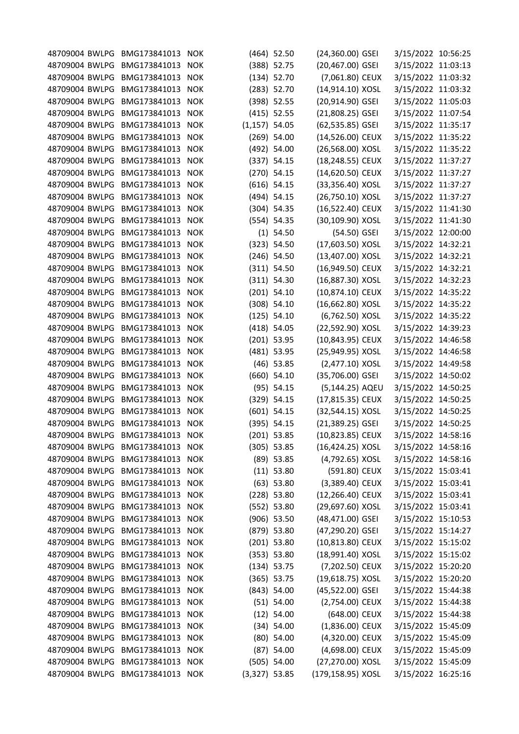| 48709004 BWLPG BMG173841013 |              | <b>NOK</b> |                  | $(464)$ 52.50 | (24,360.00) GSEI  | 3/15/2022 10:56:25 |  |
|-----------------------------|--------------|------------|------------------|---------------|-------------------|--------------------|--|
| 48709004 BWLPG              | BMG173841013 | <b>NOK</b> |                  | $(388)$ 52.75 | (20,467.00) GSEI  | 3/15/2022 11:03:13 |  |
| 48709004 BWLPG              | BMG173841013 | <b>NOK</b> |                  | $(134)$ 52.70 | (7,061.80) CEUX   | 3/15/2022 11:03:32 |  |
| 48709004 BWLPG              | BMG173841013 | <b>NOK</b> |                  | $(283)$ 52.70 | (14,914.10) XOSL  | 3/15/2022 11:03:32 |  |
| 48709004 BWLPG              | BMG173841013 | <b>NOK</b> |                  | (398) 52.55   | (20,914.90) GSEI  | 3/15/2022 11:05:03 |  |
| 48709004 BWLPG              | BMG173841013 | <b>NOK</b> |                  | $(415)$ 52.55 | (21,808.25) GSEI  | 3/15/2022 11:07:54 |  |
| 48709004 BWLPG              | BMG173841013 |            |                  |               |                   |                    |  |
|                             |              | <b>NOK</b> | $(1, 157)$ 54.05 |               | (62,535.85) GSEI  | 3/15/2022 11:35:17 |  |
| 48709004 BWLPG              | BMG173841013 | <b>NOK</b> |                  | $(269)$ 54.00 | (14,526.00) CEUX  | 3/15/2022 11:35:22 |  |
| 48709004 BWLPG              | BMG173841013 | <b>NOK</b> |                  | (492) 54.00   | (26,568.00) XOSL  | 3/15/2022 11:35:22 |  |
| 48709004 BWLPG              | BMG173841013 | <b>NOK</b> |                  | (337) 54.15   | (18,248.55) CEUX  | 3/15/2022 11:37:27 |  |
| 48709004 BWLPG              | BMG173841013 | <b>NOK</b> |                  | $(270)$ 54.15 | (14,620.50) CEUX  | 3/15/2022 11:37:27 |  |
| 48709004 BWLPG              | BMG173841013 | <b>NOK</b> |                  | $(616)$ 54.15 | (33,356.40) XOSL  | 3/15/2022 11:37:27 |  |
| 48709004 BWLPG              | BMG173841013 | <b>NOK</b> |                  | (494) 54.15   | (26,750.10) XOSL  | 3/15/2022 11:37:27 |  |
| 48709004 BWLPG              | BMG173841013 | <b>NOK</b> |                  | $(304)$ 54.35 | (16,522.40) CEUX  | 3/15/2022 11:41:30 |  |
| 48709004 BWLPG              | BMG173841013 | <b>NOK</b> |                  | (554) 54.35   | (30,109.90) XOSL  | 3/15/2022 11:41:30 |  |
| 48709004 BWLPG              | BMG173841013 | <b>NOK</b> |                  | $(1)$ 54.50   | (54.50) GSEI      | 3/15/2022 12:00:00 |  |
| 48709004 BWLPG              | BMG173841013 | <b>NOK</b> |                  | (323) 54.50   | (17,603.50) XOSL  | 3/15/2022 14:32:21 |  |
| 48709004 BWLPG              | BMG173841013 | <b>NOK</b> |                  | $(246)$ 54.50 | (13,407.00) XOSL  | 3/15/2022 14:32:21 |  |
| 48709004 BWLPG              | BMG173841013 | <b>NOK</b> |                  | (311) 54.50   | (16,949.50) CEUX  | 3/15/2022 14:32:21 |  |
| 48709004 BWLPG              | BMG173841013 | <b>NOK</b> |                  | (311) 54.30   | (16,887.30) XOSL  | 3/15/2022 14:32:23 |  |
| 48709004 BWLPG              | BMG173841013 | <b>NOK</b> |                  | $(201)$ 54.10 | (10,874.10) CEUX  | 3/15/2022 14:35:22 |  |
| 48709004 BWLPG              | BMG173841013 | <b>NOK</b> |                  | $(308)$ 54.10 | (16,662.80) XOSL  | 3/15/2022 14:35:22 |  |
| 48709004 BWLPG              | BMG173841013 | <b>NOK</b> |                  | $(125)$ 54.10 | (6,762.50) XOSL   | 3/15/2022 14:35:22 |  |
| 48709004 BWLPG              | BMG173841013 | <b>NOK</b> |                  | $(418)$ 54.05 | (22,592.90) XOSL  | 3/15/2022 14:39:23 |  |
| 48709004 BWLPG              | BMG173841013 | <b>NOK</b> |                  | $(201)$ 53.95 | (10,843.95) CEUX  | 3/15/2022 14:46:58 |  |
| 48709004 BWLPG              | BMG173841013 | <b>NOK</b> |                  | (481) 53.95   | (25,949.95) XOSL  | 3/15/2022 14:46:58 |  |
| 48709004 BWLPG              | BMG173841013 | <b>NOK</b> |                  | $(46)$ 53.85  | (2,477.10) XOSL   | 3/15/2022 14:49:58 |  |
| 48709004 BWLPG              | BMG173841013 | <b>NOK</b> |                  | $(660)$ 54.10 | (35,706.00) GSEI  | 3/15/2022 14:50:02 |  |
| 48709004 BWLPG              | BMG173841013 | <b>NOK</b> |                  | $(95)$ 54.15  | (5,144.25) AQEU   | 3/15/2022 14:50:25 |  |
| 48709004 BWLPG              | BMG173841013 | <b>NOK</b> |                  | $(329)$ 54.15 | (17,815.35) CEUX  | 3/15/2022 14:50:25 |  |
| 48709004 BWLPG              | BMG173841013 | <b>NOK</b> |                  | $(601)$ 54.15 | (32,544.15) XOSL  | 3/15/2022 14:50:25 |  |
| 48709004 BWLPG              | BMG173841013 | <b>NOK</b> |                  | $(395)$ 54.15 | (21,389.25) GSEI  | 3/15/2022 14:50:25 |  |
| 48709004 BWLPG              | BMG173841013 |            |                  | $(201)$ 53.85 | (10,823.85) CEUX  |                    |  |
|                             |              | <b>NOK</b> |                  |               |                   | 3/15/2022 14:58:16 |  |
| 48709004 BWLPG              | BMG173841013 | <b>NOK</b> |                  | $(305)$ 53.85 | (16,424.25) XOSL  | 3/15/2022 14:58:16 |  |
| 48709004 BWLPG              | BMG173841013 | <b>NOK</b> |                  | $(89)$ 53.85  | (4,792.65) XOSL   | 3/15/2022 14:58:16 |  |
| 48709004 BWLPG              | BMG173841013 | <b>NOK</b> |                  | $(11)$ 53.80  | (591.80) CEUX     | 3/15/2022 15:03:41 |  |
| 48709004 BWLPG              | BMG173841013 | <b>NOK</b> |                  | $(63)$ 53.80  | (3,389.40) CEUX   | 3/15/2022 15:03:41 |  |
| 48709004 BWLPG              | BMG173841013 | <b>NOK</b> |                  | $(228)$ 53.80 | (12,266.40) CEUX  | 3/15/2022 15:03:41 |  |
| 48709004 BWLPG              | BMG173841013 | <b>NOK</b> |                  | (552) 53.80   | (29,697.60) XOSL  | 3/15/2022 15:03:41 |  |
| 48709004 BWLPG              | BMG173841013 | <b>NOK</b> |                  | $(906)$ 53.50 | (48,471.00) GSEI  | 3/15/2022 15:10:53 |  |
| 48709004 BWLPG              | BMG173841013 | <b>NOK</b> |                  | (879) 53.80   | (47,290.20) GSEI  | 3/15/2022 15:14:27 |  |
| 48709004 BWLPG              | BMG173841013 | <b>NOK</b> |                  | $(201)$ 53.80 | (10,813.80) CEUX  | 3/15/2022 15:15:02 |  |
| 48709004 BWLPG              | BMG173841013 | <b>NOK</b> |                  | (353) 53.80   | (18,991.40) XOSL  | 3/15/2022 15:15:02 |  |
| 48709004 BWLPG              | BMG173841013 | <b>NOK</b> |                  | $(134)$ 53.75 | (7,202.50) CEUX   | 3/15/2022 15:20:20 |  |
| 48709004 BWLPG              | BMG173841013 | <b>NOK</b> |                  | $(365)$ 53.75 | (19,618.75) XOSL  | 3/15/2022 15:20:20 |  |
| 48709004 BWLPG              | BMG173841013 | <b>NOK</b> |                  | (843) 54.00   | (45,522.00) GSEI  | 3/15/2022 15:44:38 |  |
| 48709004 BWLPG              | BMG173841013 | <b>NOK</b> |                  | (51) 54.00    | (2,754.00) CEUX   | 3/15/2022 15:44:38 |  |
| 48709004 BWLPG              | BMG173841013 | <b>NOK</b> |                  | $(12)$ 54.00  | (648.00) CEUX     | 3/15/2022 15:44:38 |  |
| 48709004 BWLPG              | BMG173841013 | <b>NOK</b> |                  | (34) 54.00    | $(1,836.00)$ CEUX | 3/15/2022 15:45:09 |  |
| 48709004 BWLPG              | BMG173841013 | <b>NOK</b> |                  | $(80)$ 54.00  | (4,320.00) CEUX   | 3/15/2022 15:45:09 |  |
| 48709004 BWLPG              | BMG173841013 | <b>NOK</b> |                  | $(87)$ 54.00  | (4,698.00) CEUX   | 3/15/2022 15:45:09 |  |
| 48709004 BWLPG              | BMG173841013 | <b>NOK</b> |                  | (505) 54.00   | (27,270.00) XOSL  | 3/15/2022 15:45:09 |  |
| 48709004 BWLPG              | BMG173841013 | <b>NOK</b> | $(3,327)$ 53.85  |               | (179,158.95) XOSL | 3/15/2022 16:25:16 |  |
|                             |              |            |                  |               |                   |                    |  |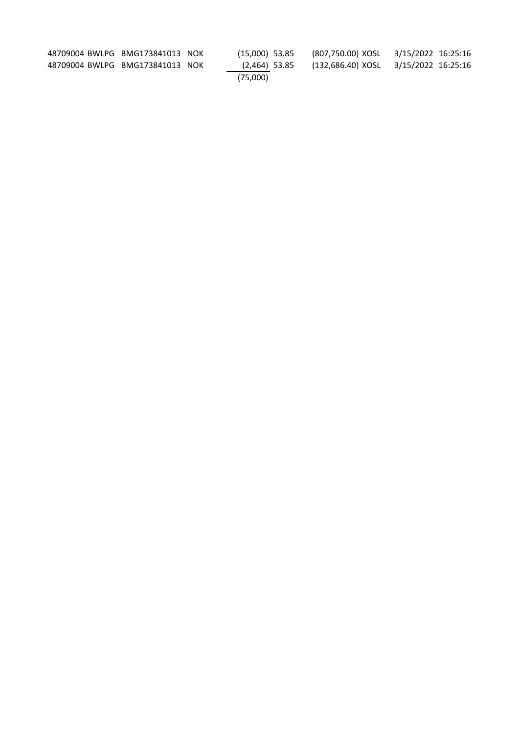| 48709004 BWLPG BMG173841013 NOK |  | (15.000) 53.85 | (807,750.00) XOSL 3/15/2022 16:25:16 |  |  |
|---------------------------------|--|----------------|--------------------------------------|--|--|
| 48709004 BWLPG BMG173841013 NOK |  | (2,464) 53.85  | (132,686.40) XOSL 3/15/2022 16:25:16 |  |  |
|                                 |  | (75.000)       |                                      |  |  |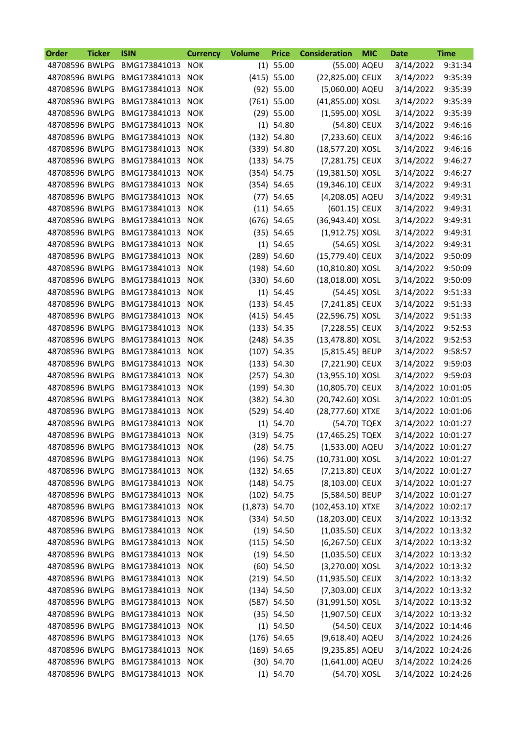| Order          | <b>Ticker</b> | <b>ISIN</b>                     | <b>Currency</b> | <b>Volume</b>   | <b>Price</b>  | <b>Consideration</b> | <b>MIC</b> | <b>Date</b>        | <b>Time</b> |
|----------------|---------------|---------------------------------|-----------------|-----------------|---------------|----------------------|------------|--------------------|-------------|
| 48708596 BWLPG |               | BMG173841013                    | <b>NOK</b>      |                 | $(1)$ 55.00   | (55.00) AQEU         |            | 3/14/2022          | 9:31:34     |
| 48708596 BWLPG |               | BMG173841013                    | <b>NOK</b>      |                 | $(415)$ 55.00 | (22,825.00) CEUX     |            | 3/14/2022          | 9:35:39     |
| 48708596 BWLPG |               | BMG173841013                    | <b>NOK</b>      |                 | (92) 55.00    | (5,060.00) AQEU      |            | 3/14/2022          | 9:35:39     |
| 48708596 BWLPG |               | BMG173841013                    | <b>NOK</b>      |                 | $(761)$ 55.00 | (41,855.00) XOSL     |            | 3/14/2022          | 9:35:39     |
| 48708596 BWLPG |               | BMG173841013                    | <b>NOK</b>      |                 | $(29)$ 55.00  | (1,595.00) XOSL      |            | 3/14/2022          | 9:35:39     |
| 48708596 BWLPG |               | BMG173841013                    | <b>NOK</b>      |                 | $(1)$ 54.80   | (54.80) CEUX         |            | 3/14/2022          | 9:46:16     |
| 48708596 BWLPG |               | BMG173841013                    | <b>NOK</b>      |                 | (132) 54.80   | (7,233.60) CEUX      |            | 3/14/2022          | 9:46:16     |
| 48708596 BWLPG |               | BMG173841013                    | <b>NOK</b>      |                 | $(339)$ 54.80 | (18,577.20) XOSL     |            | 3/14/2022          | 9:46:16     |
| 48708596 BWLPG |               | BMG173841013                    | <b>NOK</b>      |                 | (133) 54.75   | (7,281.75) CEUX      |            | 3/14/2022          | 9:46:27     |
| 48708596 BWLPG |               | BMG173841013                    | <b>NOK</b>      |                 | (354) 54.75   | (19,381.50) XOSL     |            | 3/14/2022          | 9:46:27     |
| 48708596 BWLPG |               | BMG173841013                    | <b>NOK</b>      |                 | (354) 54.65   | (19,346.10) CEUX     |            | 3/14/2022          | 9:49:31     |
| 48708596 BWLPG |               | BMG173841013                    | <b>NOK</b>      |                 | $(77)$ 54.65  | (4,208.05) AQEU      |            | 3/14/2022          | 9:49:31     |
| 48708596 BWLPG |               | BMG173841013                    | <b>NOK</b>      |                 | $(11)$ 54.65  | (601.15) CEUX        |            | 3/14/2022          | 9:49:31     |
| 48708596 BWLPG |               | BMG173841013                    | <b>NOK</b>      |                 | $(676)$ 54.65 | (36,943.40) XOSL     |            | 3/14/2022          | 9:49:31     |
| 48708596 BWLPG |               | BMG173841013                    | <b>NOK</b>      |                 | (35) 54.65    | (1,912.75) XOSL      |            | 3/14/2022          | 9:49:31     |
| 48708596 BWLPG |               | BMG173841013                    | <b>NOK</b>      | (1)             | 54.65         | (54.65) XOSL         |            | 3/14/2022          | 9:49:31     |
| 48708596 BWLPG |               | BMG173841013                    | <b>NOK</b>      |                 | $(289)$ 54.60 | (15,779.40) CEUX     |            | 3/14/2022          | 9:50:09     |
| 48708596 BWLPG |               | BMG173841013                    | <b>NOK</b>      |                 | $(198)$ 54.60 | (10,810.80) XOSL     |            | 3/14/2022          | 9:50:09     |
| 48708596 BWLPG |               | BMG173841013                    | <b>NOK</b>      |                 | $(330)$ 54.60 | (18,018.00) XOSL     |            | 3/14/2022          | 9:50:09     |
| 48708596 BWLPG |               | BMG173841013                    | <b>NOK</b>      |                 | $(1)$ 54.45   | (54.45) XOSL         |            | 3/14/2022          | 9:51:33     |
| 48708596 BWLPG |               | BMG173841013                    | <b>NOK</b>      |                 | (133) 54.45   | (7,241.85) CEUX      |            | 3/14/2022          | 9:51:33     |
| 48708596 BWLPG |               | BMG173841013                    | <b>NOK</b>      |                 | $(415)$ 54.45 | (22,596.75) XOSL     |            | 3/14/2022          | 9:51:33     |
| 48708596 BWLPG |               | BMG173841013                    | <b>NOK</b>      |                 | (133) 54.35   | (7,228.55) CEUX      |            | 3/14/2022          | 9:52:53     |
| 48708596 BWLPG |               | BMG173841013                    | <b>NOK</b>      |                 | $(248)$ 54.35 | (13,478.80) XOSL     |            | 3/14/2022          | 9:52:53     |
| 48708596 BWLPG |               | BMG173841013                    | <b>NOK</b>      |                 | $(107)$ 54.35 | (5,815.45) BEUP      |            | 3/14/2022          | 9:58:57     |
| 48708596 BWLPG |               | BMG173841013                    | <b>NOK</b>      |                 | (133) 54.30   | (7,221.90) CEUX      |            | 3/14/2022          | 9:59:03     |
| 48708596 BWLPG |               | BMG173841013                    | <b>NOK</b>      |                 | $(257)$ 54.30 | (13,955.10) XOSL     |            | 3/14/2022          | 9:59:03     |
| 48708596 BWLPG |               | BMG173841013                    | <b>NOK</b>      |                 | $(199)$ 54.30 | (10,805.70) CEUX     |            | 3/14/2022 10:01:05 |             |
| 48708596 BWLPG |               |                                 |                 |                 | (382) 54.30   | (20,742.60) XOSL     |            | 3/14/2022 10:01:05 |             |
|                |               | BMG173841013                    | <b>NOK</b>      |                 |               |                      |            |                    |             |
| 48708596 BWLPG |               | BMG173841013                    | <b>NOK</b>      |                 | (529) 54.40   | (28,777.60) XTXE     |            | 3/14/2022 10:01:06 |             |
| 48708596 BWLPG |               | BMG173841013                    | <b>NOK</b>      |                 | (1) 54.70     | (54.70) TQEX         |            | 3/14/2022 10:01:27 |             |
| 48708596 BWLPG |               | BMG173841013                    | <b>NOK</b>      |                 | $(319)$ 54.75 | (17,465.25) TQEX     |            | 3/14/2022 10:01:27 |             |
|                |               | 48708596 BWLPG BMG173841013 NOK |                 |                 | $(28)$ 54.75  | (1,533.00) AQEU      |            | 3/14/2022 10:01:27 |             |
|                |               | 48708596 BWLPG BMG173841013 NOK |                 |                 | $(196)$ 54.75 | (10,731.00) XOSL     |            | 3/14/2022 10:01:27 |             |
|                |               | 48708596 BWLPG BMG173841013 NOK |                 |                 | (132) 54.65   | (7,213.80) CEUX      |            | 3/14/2022 10:01:27 |             |
| 48708596 BWLPG |               | BMG173841013 NOK                |                 |                 | $(148)$ 54.75 | (8,103.00) CEUX      |            | 3/14/2022 10:01:27 |             |
| 48708596 BWLPG |               | BMG173841013                    | <b>NOK</b>      |                 | $(102)$ 54.75 | (5,584.50) BEUP      |            | 3/14/2022 10:01:27 |             |
| 48708596 BWLPG |               | BMG173841013                    | <b>NOK</b>      | $(1,873)$ 54.70 |               | (102,453.10) XTXE    |            | 3/14/2022 10:02:17 |             |
| 48708596 BWLPG |               | BMG173841013 NOK                |                 |                 | (334) 54.50   | (18,203.00) CEUX     |            | 3/14/2022 10:13:32 |             |
| 48708596 BWLPG |               | BMG173841013 NOK                |                 |                 | $(19)$ 54.50  | (1,035.50) CEUX      |            | 3/14/2022 10:13:32 |             |
| 48708596 BWLPG |               | BMG173841013 NOK                |                 |                 | (115) 54.50   | (6,267.50) CEUX      |            | 3/14/2022 10:13:32 |             |
| 48708596 BWLPG |               | BMG173841013 NOK                |                 |                 | $(19)$ 54.50  | $(1,035.50)$ CEUX    |            | 3/14/2022 10:13:32 |             |
| 48708596 BWLPG |               | BMG173841013 NOK                |                 |                 | $(60)$ 54.50  | (3,270.00) XOSL      |            | 3/14/2022 10:13:32 |             |
| 48708596 BWLPG |               | BMG173841013 NOK                |                 |                 | $(219)$ 54.50 | (11,935.50) CEUX     |            | 3/14/2022 10:13:32 |             |
| 48708596 BWLPG |               | BMG173841013                    | <b>NOK</b>      |                 | (134) 54.50   | (7,303.00) CEUX      |            | 3/14/2022 10:13:32 |             |
| 48708596 BWLPG |               | BMG173841013 NOK                |                 |                 | $(587)$ 54.50 | (31,991.50) XOSL     |            | 3/14/2022 10:13:32 |             |
| 48708596 BWLPG |               | BMG173841013 NOK                |                 |                 | (35) 54.50    | (1,907.50) CEUX      |            | 3/14/2022 10:13:32 |             |
| 48708596 BWLPG |               | BMG173841013                    | <b>NOK</b>      |                 | $(1)$ 54.50   | (54.50) CEUX         |            | 3/14/2022 10:14:46 |             |
| 48708596 BWLPG |               | BMG173841013                    | <b>NOK</b>      |                 | $(176)$ 54.65 | (9,618.40) AQEU      |            | 3/14/2022 10:24:26 |             |
| 48708596 BWLPG |               | BMG173841013 NOK                |                 |                 | $(169)$ 54.65 | (9,235.85) AQEU      |            | 3/14/2022 10:24:26 |             |
| 48708596 BWLPG |               | BMG173841013 NOK                |                 |                 | $(30)$ 54.70  | (1,641.00) AQEU      |            | 3/14/2022 10:24:26 |             |
|                |               | 48708596 BWLPG BMG173841013 NOK |                 |                 | $(1)$ 54.70   | (54.70) XOSL         |            | 3/14/2022 10:24:26 |             |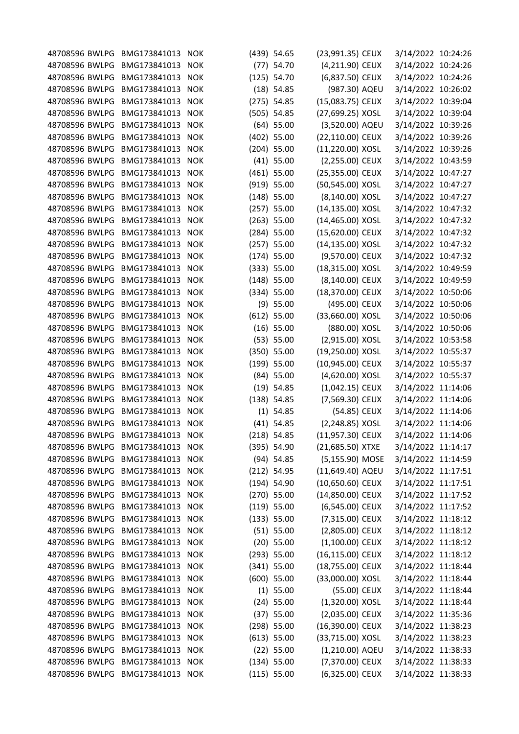| 48708596 BWLPG BMG173841013 |                  | <b>NOK</b> | (439) 54.65   | (23,991.35) CEUX  | 3/14/2022 10:24:26 |  |
|-----------------------------|------------------|------------|---------------|-------------------|--------------------|--|
| 48708596 BWLPG              | BMG173841013     | <b>NOK</b> | $(77)$ 54.70  | (4,211.90) CEUX   | 3/14/2022 10:24:26 |  |
| 48708596 BWLPG              | BMG173841013     | <b>NOK</b> | (125) 54.70   | (6,837.50) CEUX   | 3/14/2022 10:24:26 |  |
| 48708596 BWLPG              | BMG173841013     | <b>NOK</b> | $(18)$ 54.85  | (987.30) AQEU     | 3/14/2022 10:26:02 |  |
| 48708596 BWLPG              | BMG173841013     | <b>NOK</b> | $(275)$ 54.85 | (15,083.75) CEUX  | 3/14/2022 10:39:04 |  |
| 48708596 BWLPG              | BMG173841013     | <b>NOK</b> | $(505)$ 54.85 | (27,699.25) XOSL  | 3/14/2022 10:39:04 |  |
| 48708596 BWLPG              | BMG173841013     | <b>NOK</b> | $(64)$ 55.00  | (3,520.00) AQEU   | 3/14/2022 10:39:26 |  |
| 48708596 BWLPG              | BMG173841013     | <b>NOK</b> | $(402)$ 55.00 | (22,110.00) CEUX  | 3/14/2022 10:39:26 |  |
| 48708596 BWLPG              | BMG173841013     | <b>NOK</b> | $(204)$ 55.00 | (11,220.00) XOSL  | 3/14/2022 10:39:26 |  |
| 48708596 BWLPG              | BMG173841013     | <b>NOK</b> | $(41)$ 55.00  | (2,255.00) CEUX   | 3/14/2022 10:43:59 |  |
| 48708596 BWLPG              | BMG173841013     | <b>NOK</b> | $(461)$ 55.00 | (25,355.00) CEUX  | 3/14/2022 10:47:27 |  |
| 48708596 BWLPG              | BMG173841013     | <b>NOK</b> | (919) 55.00   | (50,545.00) XOSL  | 3/14/2022 10:47:27 |  |
| 48708596 BWLPG              | BMG173841013     | <b>NOK</b> | $(148)$ 55.00 | (8,140.00) XOSL   | 3/14/2022 10:47:27 |  |
| 48708596 BWLPG              |                  |            |               |                   |                    |  |
|                             | BMG173841013     | <b>NOK</b> | $(257)$ 55.00 | (14,135.00) XOSL  | 3/14/2022 10:47:32 |  |
| 48708596 BWLPG              | BMG173841013     | <b>NOK</b> | $(263)$ 55.00 | (14,465.00) XOSL  | 3/14/2022 10:47:32 |  |
| 48708596 BWLPG              | BMG173841013     | <b>NOK</b> | $(284)$ 55.00 | (15,620.00) CEUX  | 3/14/2022 10:47:32 |  |
| 48708596 BWLPG              | BMG173841013     | <b>NOK</b> | $(257)$ 55.00 | (14,135.00) XOSL  | 3/14/2022 10:47:32 |  |
| 48708596 BWLPG              | BMG173841013     | <b>NOK</b> | $(174)$ 55.00 | (9,570.00) CEUX   | 3/14/2022 10:47:32 |  |
| 48708596 BWLPG              | BMG173841013     | <b>NOK</b> | (333) 55.00   | (18,315.00) XOSL  | 3/14/2022 10:49:59 |  |
| 48708596 BWLPG              | BMG173841013     | <b>NOK</b> | $(148)$ 55.00 | (8,140.00) CEUX   | 3/14/2022 10:49:59 |  |
| 48708596 BWLPG              | BMG173841013     | <b>NOK</b> | (334) 55.00   | (18,370.00) CEUX  | 3/14/2022 10:50:06 |  |
| 48708596 BWLPG              | BMG173841013     | <b>NOK</b> | $(9)$ 55.00   | (495.00) CEUX     | 3/14/2022 10:50:06 |  |
| 48708596 BWLPG              | BMG173841013     | <b>NOK</b> | $(612)$ 55.00 | (33,660.00) XOSL  | 3/14/2022 10:50:06 |  |
| 48708596 BWLPG              | BMG173841013     | <b>NOK</b> | $(16)$ 55.00  | (880.00) XOSL     | 3/14/2022 10:50:06 |  |
| 48708596 BWLPG              | BMG173841013     | <b>NOK</b> | (53) 55.00    | (2,915.00) XOSL   | 3/14/2022 10:53:58 |  |
| 48708596 BWLPG              | BMG173841013     | <b>NOK</b> | $(350)$ 55.00 | (19,250.00) XOSL  | 3/14/2022 10:55:37 |  |
| 48708596 BWLPG              | BMG173841013     | <b>NOK</b> | $(199)$ 55.00 | (10,945.00) CEUX  | 3/14/2022 10:55:37 |  |
| 48708596 BWLPG              | BMG173841013     | <b>NOK</b> | $(84)$ 55.00  | (4,620.00) XOSL   | 3/14/2022 10:55:37 |  |
| 48708596 BWLPG              | BMG173841013     | <b>NOK</b> | $(19)$ 54.85  | (1,042.15) CEUX   | 3/14/2022 11:14:06 |  |
| 48708596 BWLPG              | BMG173841013     | <b>NOK</b> | $(138)$ 54.85 | (7,569.30) CEUX   | 3/14/2022 11:14:06 |  |
| 48708596 BWLPG              | BMG173841013     | <b>NOK</b> | $(1)$ 54.85   | (54.85) CEUX      | 3/14/2022 11:14:06 |  |
| 48708596 BWLPG              | BMG173841013     | <b>NOK</b> | $(41)$ 54.85  | (2,248.85) XOSL   | 3/14/2022 11:14:06 |  |
| 48708596 BWLPG              | BMG173841013 NOK |            | $(218)$ 54.85 | (11,957.30) CEUX  | 3/14/2022 11:14:06 |  |
| 48708596 BWLPG              | BMG173841013     | <b>NOK</b> | (395) 54.90   | (21,685.50) XTXE  | 3/14/2022 11:14:17 |  |
| 48708596 BWLPG              | BMG173841013     | <b>NOK</b> | $(94)$ 54.85  | (5,155.90) MOSE   | 3/14/2022 11:14:59 |  |
| 48708596 BWLPG              | BMG173841013 NOK |            | $(212)$ 54.95 | (11,649.40) AQEU  | 3/14/2022 11:17:51 |  |
| 48708596 BWLPG              | BMG173841013 NOK |            | $(194)$ 54.90 | (10,650.60) CEUX  | 3/14/2022 11:17:51 |  |
| 48708596 BWLPG              | BMG173841013     | <b>NOK</b> | $(270)$ 55.00 | (14,850.00) CEUX  | 3/14/2022 11:17:52 |  |
| 48708596 BWLPG              | BMG173841013     | <b>NOK</b> | (119) 55.00   | (6,545.00) CEUX   | 3/14/2022 11:17:52 |  |
| 48708596 BWLPG              | BMG173841013 NOK |            | (133) 55.00   | (7,315.00) CEUX   | 3/14/2022 11:18:12 |  |
|                             |                  |            |               |                   |                    |  |
| 48708596 BWLPG              | BMG173841013 NOK |            | $(51)$ 55.00  | (2,805.00) CEUX   | 3/14/2022 11:18:12 |  |
| 48708596 BWLPG              | BMG173841013     | <b>NOK</b> | $(20)$ 55.00  | $(1,100.00)$ CEUX | 3/14/2022 11:18:12 |  |
| 48708596 BWLPG              | BMG173841013     | <b>NOK</b> | (293) 55.00   | (16,115.00) CEUX  | 3/14/2022 11:18:12 |  |
| 48708596 BWLPG              | BMG173841013 NOK |            | $(341)$ 55.00 | (18,755.00) CEUX  | 3/14/2022 11:18:44 |  |
| 48708596 BWLPG              | BMG173841013     | <b>NOK</b> | $(600)$ 55.00 | (33,000.00) XOSL  | 3/14/2022 11:18:44 |  |
| 48708596 BWLPG              | BMG173841013     | <b>NOK</b> | $(1)$ 55.00   | (55.00) CEUX      | 3/14/2022 11:18:44 |  |
| 48708596 BWLPG              | BMG173841013 NOK |            | $(24)$ 55.00  | (1,320.00) XOSL   | 3/14/2022 11:18:44 |  |
| 48708596 BWLPG              | BMG173841013 NOK |            | (37) 55.00    | (2,035.00) CEUX   | 3/14/2022 11:35:36 |  |
| 48708596 BWLPG              | BMG173841013     | <b>NOK</b> | (298) 55.00   | (16,390.00) CEUX  | 3/14/2022 11:38:23 |  |
| 48708596 BWLPG              | BMG173841013     | <b>NOK</b> | (613) 55.00   | (33,715.00) XOSL  | 3/14/2022 11:38:23 |  |
| 48708596 BWLPG              | BMG173841013 NOK |            | $(22)$ 55.00  | (1,210.00) AQEU   | 3/14/2022 11:38:33 |  |
| 48708596 BWLPG              | BMG173841013     | <b>NOK</b> | $(134)$ 55.00 | (7,370.00) CEUX   | 3/14/2022 11:38:33 |  |
| 48708596 BWLPG              | BMG173841013 NOK |            | (115) 55.00   | (6,325.00) CEUX   | 3/14/2022 11:38:33 |  |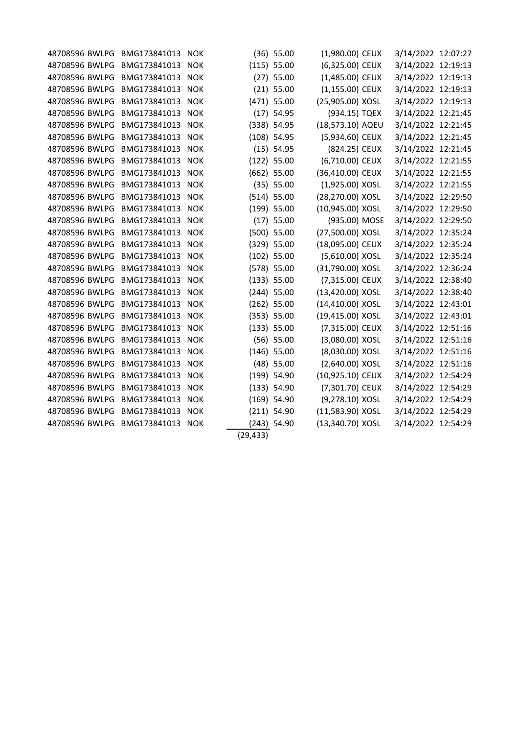| 48708596 BWLPG | BMG173841013     | <b>NOK</b> |           | $(36)$ 55.00  | (1,980.00) CEUX  | 3/14/2022 12:07:27 |  |
|----------------|------------------|------------|-----------|---------------|------------------|--------------------|--|
| 48708596 BWLPG | BMG173841013     | <b>NOK</b> |           | (115) 55.00   | (6,325.00) CEUX  | 3/14/2022 12:19:13 |  |
| 48708596 BWLPG | BMG173841013     | <b>NOK</b> |           | $(27)$ 55.00  | (1,485.00) CEUX  | 3/14/2022 12:19:13 |  |
| 48708596 BWLPG | BMG173841013     | <b>NOK</b> |           | $(21)$ 55.00  | (1,155.00) CEUX  | 3/14/2022 12:19:13 |  |
| 48708596 BWLPG | BMG173841013     | <b>NOK</b> |           | $(471)$ 55.00 | (25,905.00) XOSL | 3/14/2022 12:19:13 |  |
| 48708596 BWLPG | BMG173841013     | <b>NOK</b> |           | $(17)$ 54.95  | (934.15) TQEX    | 3/14/2022 12:21:45 |  |
| 48708596 BWLPG | BMG173841013     | <b>NOK</b> |           | (338) 54.95   | (18,573.10) AQEU | 3/14/2022 12:21:45 |  |
| 48708596 BWLPG | BMG173841013 NOK |            |           | $(108)$ 54.95 | (5,934.60) CEUX  | 3/14/2022 12:21:45 |  |
| 48708596 BWLPG | BMG173841013     | <b>NOK</b> |           | $(15)$ 54.95  | (824.25) CEUX    | 3/14/2022 12:21:45 |  |
| 48708596 BWLPG | BMG173841013     | <b>NOK</b> |           | $(122)$ 55.00 | (6,710.00) CEUX  | 3/14/2022 12:21:55 |  |
| 48708596 BWLPG | BMG173841013     | <b>NOK</b> |           | $(662)$ 55.00 | (36,410.00) CEUX | 3/14/2022 12:21:55 |  |
| 48708596 BWLPG | BMG173841013     | <b>NOK</b> |           | (35) 55.00    | (1,925.00) XOSL  | 3/14/2022 12:21:55 |  |
| 48708596 BWLPG | BMG173841013     | <b>NOK</b> |           | (514) 55.00   | (28,270.00) XOSL | 3/14/2022 12:29:50 |  |
| 48708596 BWLPG | BMG173841013     | <b>NOK</b> |           | $(199)$ 55.00 | (10,945.00) XOSL | 3/14/2022 12:29:50 |  |
| 48708596 BWLPG | BMG173841013     | <b>NOK</b> |           | $(17)$ 55.00  | (935.00) MOSE    | 3/14/2022 12:29:50 |  |
| 48708596 BWLPG | BMG173841013     | <b>NOK</b> |           | $(500)$ 55.00 | (27,500.00) XOSL | 3/14/2022 12:35:24 |  |
| 48708596 BWLPG | BMG173841013     | <b>NOK</b> |           | (329) 55.00   | (18,095.00) CEUX | 3/14/2022 12:35:24 |  |
| 48708596 BWLPG | BMG173841013     | <b>NOK</b> |           | $(102)$ 55.00 | (5,610.00) XOSL  | 3/14/2022 12:35:24 |  |
| 48708596 BWLPG | BMG173841013 NOK |            |           | (578) 55.00   | (31,790.00) XOSL | 3/14/2022 12:36:24 |  |
| 48708596 BWLPG | BMG173841013     | <b>NOK</b> |           | (133) 55.00   | (7,315.00) CEUX  | 3/14/2022 12:38:40 |  |
| 48708596 BWLPG | BMG173841013     | <b>NOK</b> |           | $(244)$ 55.00 | (13,420.00) XOSL | 3/14/2022 12:38:40 |  |
| 48708596 BWLPG | BMG173841013     | <b>NOK</b> |           | $(262)$ 55.00 | (14,410.00) XOSL | 3/14/2022 12:43:01 |  |
| 48708596 BWLPG | BMG173841013 NOK |            |           | (353) 55.00   | (19,415.00) XOSL | 3/14/2022 12:43:01 |  |
| 48708596 BWLPG | BMG173841013     | <b>NOK</b> |           | (133) 55.00   | (7,315.00) CEUX  | 3/14/2022 12:51:16 |  |
| 48708596 BWLPG | BMG173841013     | <b>NOK</b> |           | $(56)$ 55.00  | (3,080.00) XOSL  | 3/14/2022 12:51:16 |  |
| 48708596 BWLPG | BMG173841013     | <b>NOK</b> |           | $(146)$ 55.00 | (8,030.00) XOSL  | 3/14/2022 12:51:16 |  |
| 48708596 BWLPG | BMG173841013     | <b>NOK</b> |           | $(48)$ 55.00  | (2,640.00) XOSL  | 3/14/2022 12:51:16 |  |
| 48708596 BWLPG | BMG173841013     | <b>NOK</b> |           | (199) 54.90   | (10,925.10) CEUX | 3/14/2022 12:54:29 |  |
| 48708596 BWLPG | BMG173841013     | <b>NOK</b> |           | (133) 54.90   | (7,301.70) CEUX  | 3/14/2022 12:54:29 |  |
| 48708596 BWLPG | BMG173841013 NOK |            |           | $(169)$ 54.90 | (9,278.10) XOSL  | 3/14/2022 12:54:29 |  |
| 48708596 BWLPG | BMG173841013 NOK |            |           | (211) 54.90   | (11,583.90) XOSL | 3/14/2022 12:54:29 |  |
| 48708596 BWLPG | BMG173841013 NOK |            |           | $(243)$ 54.90 | (13,340.70) XOSL | 3/14/2022 12:54:29 |  |
|                |                  |            | (29, 433) |               |                  |                    |  |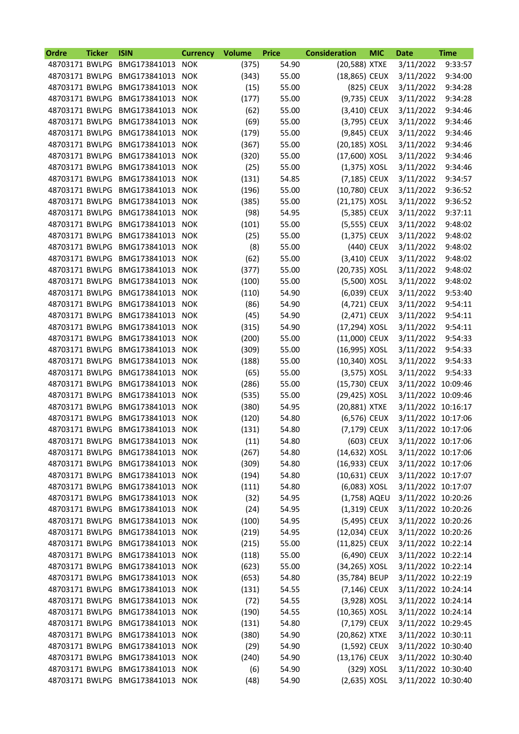| Ordre          | <b>Ticker</b> | <b>ISIN</b>                                         | <b>Currency</b>          | <b>Volume</b> | <b>Price</b>   | <b>Consideration</b>          | <b>MIC</b> | <b>Date</b>        | <b>Time</b> |
|----------------|---------------|-----------------------------------------------------|--------------------------|---------------|----------------|-------------------------------|------------|--------------------|-------------|
| 48703171 BWLPG |               | BMG173841013                                        | <b>NOK</b>               | (375)         | 54.90          | (20,588) XTXE                 |            | 3/11/2022          | 9:33:57     |
| 48703171 BWLPG |               | BMG173841013                                        | <b>NOK</b>               | (343)         | 55.00          | (18,865) CEUX                 |            | 3/11/2022          | 9:34:00     |
| 48703171 BWLPG |               | BMG173841013                                        | <b>NOK</b>               | (15)          | 55.00          |                               | (825) CEUX | 3/11/2022          | 9:34:28     |
| 48703171 BWLPG |               | BMG173841013                                        | <b>NOK</b>               | (177)         | 55.00          | (9,735) CEUX                  |            | 3/11/2022          | 9:34:28     |
| 48703171 BWLPG |               | BMG173841013 NOK                                    |                          | (62)          | 55.00          | (3,410) CEUX                  |            | 3/11/2022          | 9:34:46     |
| 48703171 BWLPG |               | BMG173841013 NOK                                    |                          | (69)          | 55.00          | (3,795) CEUX                  |            | 3/11/2022          | 9:34:46     |
| 48703171 BWLPG |               | BMG173841013                                        | <b>NOK</b>               | (179)         | 55.00          | (9,845) CEUX                  |            | 3/11/2022          | 9:34:46     |
| 48703171 BWLPG |               | BMG173841013                                        | <b>NOK</b>               | (367)         | 55.00          | (20,185) XOSL                 |            | 3/11/2022          | 9:34:46     |
| 48703171 BWLPG |               | BMG173841013                                        | <b>NOK</b>               | (320)         | 55.00          | (17,600) XOSL                 |            | 3/11/2022          | 9:34:46     |
| 48703171 BWLPG |               | BMG173841013                                        | <b>NOK</b>               | (25)          | 55.00          | $(1,375)$ XOSL                |            | 3/11/2022          | 9:34:46     |
| 48703171 BWLPG |               | BMG173841013 NOK                                    |                          | (131)         | 54.85          | (7,185) CEUX                  |            | 3/11/2022          | 9:34:57     |
| 48703171 BWLPG |               | BMG173841013 NOK                                    |                          | (196)         | 55.00          | (10,780) CEUX                 |            | 3/11/2022          | 9:36:52     |
| 48703171 BWLPG |               | BMG173841013                                        | <b>NOK</b>               | (385)         | 55.00          | (21,175) XOSL                 |            | 3/11/2022          | 9:36:52     |
| 48703171 BWLPG |               | BMG173841013                                        | <b>NOK</b>               | (98)          | 54.95          | (5,385) CEUX                  |            | 3/11/2022          | 9:37:11     |
| 48703171 BWLPG |               | BMG173841013                                        | <b>NOK</b>               | (101)         | 55.00          | (5,555) CEUX                  |            | 3/11/2022          | 9:48:02     |
| 48703171 BWLPG |               | BMG173841013 NOK                                    |                          | (25)          | 55.00          | (1,375) CEUX                  |            | 3/11/2022          | 9:48:02     |
| 48703171 BWLPG |               | BMG173841013 NOK                                    |                          | (8)           | 55.00          |                               | (440) CEUX | 3/11/2022          | 9:48:02     |
| 48703171 BWLPG |               | BMG173841013                                        | <b>NOK</b>               | (62)          | 55.00          | (3,410) CEUX                  |            | 3/11/2022          | 9:48:02     |
| 48703171 BWLPG |               | BMG173841013                                        | <b>NOK</b>               | (377)         | 55.00          | (20,735) XOSL                 |            | 3/11/2022          | 9:48:02     |
| 48703171 BWLPG |               | BMG173841013                                        | <b>NOK</b>               | (100)         | 55.00          | (5,500) XOSL                  |            | 3/11/2022          | 9:48:02     |
| 48703171 BWLPG |               | BMG173841013                                        | <b>NOK</b>               | (110)         | 54.90          | (6,039) CEUX                  |            | 3/11/2022          | 9:53:40     |
| 48703171 BWLPG |               | BMG173841013 NOK                                    |                          | (86)          | 54.90          | (4,721) CEUX                  |            | 3/11/2022          | 9:54:11     |
| 48703171 BWLPG |               | BMG173841013 NOK                                    |                          | (45)          | 54.90          | (2,471) CEUX                  |            | 3/11/2022          | 9:54:11     |
| 48703171 BWLPG |               | BMG173841013                                        | <b>NOK</b>               | (315)         | 54.90          | (17,294) XOSL                 |            | 3/11/2022          | 9:54:11     |
| 48703171 BWLPG |               | BMG173841013                                        | <b>NOK</b>               | (200)         | 55.00          | (11,000) CEUX                 |            | 3/11/2022          | 9:54:33     |
| 48703171 BWLPG |               | BMG173841013                                        | <b>NOK</b>               | (309)         | 55.00          | (16,995) XOSL                 |            | 3/11/2022          | 9:54:33     |
| 48703171 BWLPG |               | BMG173841013 NOK                                    |                          | (188)         | 55.00          | (10,340) XOSL                 |            | 3/11/2022          | 9:54:33     |
| 48703171 BWLPG |               | BMG173841013 NOK                                    |                          | (65)          | 55.00          | (3,575) XOSL                  |            | 3/11/2022          | 9:54:33     |
| 48703171 BWLPG |               | BMG173841013 NOK                                    |                          | (286)         | 55.00          | (15,730) CEUX                 |            | 3/11/2022 10:09:46 |             |
| 48703171 BWLPG |               | BMG173841013                                        |                          |               |                |                               |            | 3/11/2022 10:09:46 |             |
| 48703171 BWLPG |               | BMG173841013                                        | <b>NOK</b><br><b>NOK</b> | (535)         | 55.00<br>54.95 | (29,425) XOSL                 |            | 3/11/2022 10:16:17 |             |
| 48703171 BWLPG |               | BMG173841013 NOK                                    |                          | (380)         | 54.80          | (20,881) XTXE<br>(6,576) CEUX |            | 3/11/2022 10:17:06 |             |
|                |               |                                                     |                          | (120)         |                | (7,179) CEUX                  |            | 3/11/2022 10:17:06 |             |
| 48703171 BWLPG |               | 48703171 BWLPG BMG173841013 NOK<br>BMG173841013 NOK |                          | (131)         | 54.80<br>54.80 |                               | (603) CEUX | 3/11/2022 10:17:06 |             |
|                |               |                                                     |                          | (11)          |                |                               |            |                    |             |
| 48703171 BWLPG |               | BMG173841013 NOK                                    |                          | (267)         | 54.80          | (14,632) XOSL                 |            | 3/11/2022 10:17:06 |             |
| 48703171 BWLPG |               | BMG173841013 NOK                                    |                          | (309)         | 54.80          | (16,933) CEUX                 |            | 3/11/2022 10:17:06 |             |
| 48703171 BWLPG |               | BMG173841013 NOK                                    |                          | (194)         | 54.80          | (10,631) CEUX                 |            | 3/11/2022 10:17:07 |             |
| 48703171 BWLPG |               | BMG173841013 NOK                                    |                          | (111)         | 54.80          | (6,083) XOSL                  |            | 3/11/2022 10:17:07 |             |
| 48703171 BWLPG |               | BMG173841013 NOK                                    |                          | (32)          | 54.95          | (1,758) AQEU                  |            | 3/11/2022 10:20:26 |             |
| 48703171 BWLPG |               | BMG173841013 NOK                                    |                          | (24)          | 54.95          | (1,319) CEUX                  |            | 3/11/2022 10:20:26 |             |
| 48703171 BWLPG |               | BMG173841013 NOK                                    |                          | (100)         | 54.95          | (5,495) CEUX                  |            | 3/11/2022 10:20:26 |             |
| 48703171 BWLPG |               | BMG173841013                                        | <b>NOK</b>               | (219)         | 54.95          | (12,034) CEUX                 |            | 3/11/2022 10:20:26 |             |
| 48703171 BWLPG |               | BMG173841013 NOK                                    |                          | (215)         | 55.00          | (11,825) CEUX                 |            | 3/11/2022 10:22:14 |             |
| 48703171 BWLPG |               | BMG173841013 NOK                                    |                          | (118)         | 55.00          | (6,490) CEUX                  |            | 3/11/2022 10:22:14 |             |
| 48703171 BWLPG |               | BMG173841013 NOK                                    |                          | (623)         | 55.00          | (34,265) XOSL                 |            | 3/11/2022 10:22:14 |             |
| 48703171 BWLPG |               | BMG173841013 NOK                                    |                          | (653)         | 54.80          | (35,784) BEUP                 |            | 3/11/2022 10:22:19 |             |
| 48703171 BWLPG |               | BMG173841013 NOK                                    |                          | (131)         | 54.55          | (7,146) CEUX                  |            | 3/11/2022 10:24:14 |             |
| 48703171 BWLPG |               | BMG173841013                                        | <b>NOK</b>               | (72)          | 54.55          | (3,928) XOSL                  |            | 3/11/2022 10:24:14 |             |
| 48703171 BWLPG |               | BMG173841013 NOK                                    |                          | (190)         | 54.55          | (10,365) XOSL                 |            | 3/11/2022 10:24:14 |             |
| 48703171 BWLPG |               | BMG173841013 NOK                                    |                          | (131)         | 54.80          | (7,179) CEUX                  |            | 3/11/2022 10:29:45 |             |
| 48703171 BWLPG |               | BMG173841013 NOK                                    |                          | (380)         | 54.90          | (20,862) XTXE                 |            | 3/11/2022 10:30:11 |             |
| 48703171 BWLPG |               | BMG173841013 NOK                                    |                          | (29)          | 54.90          | (1,592) CEUX                  |            | 3/11/2022 10:30:40 |             |
| 48703171 BWLPG |               | BMG173841013 NOK                                    |                          | (240)         | 54.90          | (13,176) CEUX                 |            | 3/11/2022 10:30:40 |             |
| 48703171 BWLPG |               | BMG173841013 NOK                                    |                          | (6)           | 54.90          |                               | (329) XOSL | 3/11/2022 10:30:40 |             |
|                |               | 48703171 BWLPG BMG173841013 NOK                     |                          | (48)          | 54.90          | $(2,635)$ XOSL                |            | 3/11/2022 10:30:40 |             |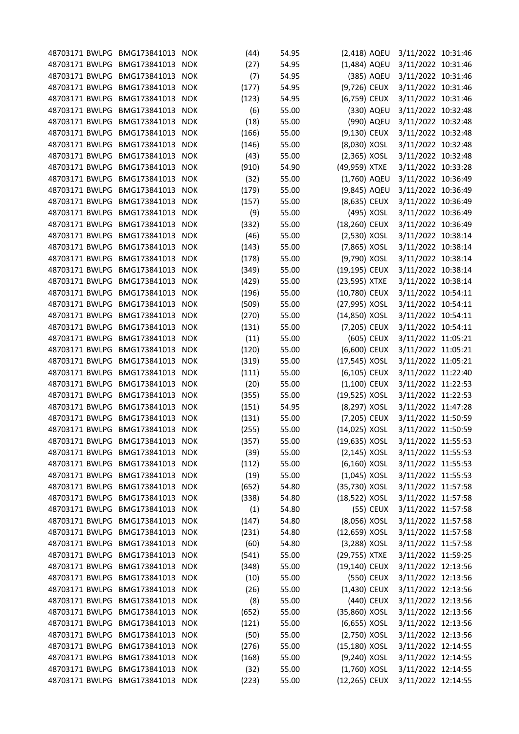| 48703171 BWLPG BMG173841013 NOK |                  |            | (44)  | 54.95 | (2,418) AQEU    |            | 3/11/2022 10:31:46 |  |
|---------------------------------|------------------|------------|-------|-------|-----------------|------------|--------------------|--|
| 48703171 BWLPG BMG173841013 NOK |                  |            | (27)  | 54.95 | (1,484) AQEU    |            | 3/11/2022 10:31:46 |  |
| 48703171 BWLPG                  | BMG173841013     | <b>NOK</b> | (7)   | 54.95 |                 | (385) AQEU | 3/11/2022 10:31:46 |  |
| 48703171 BWLPG                  | BMG173841013     | <b>NOK</b> | (177) | 54.95 | (9,726) CEUX    |            | 3/11/2022 10:31:46 |  |
| 48703171 BWLPG                  | BMG173841013     | <b>NOK</b> | (123) | 54.95 | (6,759) CEUX    |            | 3/11/2022 10:31:46 |  |
| 48703171 BWLPG                  | BMG173841013     | <b>NOK</b> | (6)   | 55.00 |                 | (330) AQEU | 3/11/2022 10:32:48 |  |
| 48703171 BWLPG                  | BMG173841013 NOK |            | (18)  | 55.00 |                 | (990) AQEU | 3/11/2022 10:32:48 |  |
| 48703171 BWLPG                  | BMG173841013     | <b>NOK</b> | (166) | 55.00 | (9,130) CEUX    |            | 3/11/2022 10:32:48 |  |
| 48703171 BWLPG                  | BMG173841013     | <b>NOK</b> | (146) | 55.00 | (8,030) XOSL    |            | 3/11/2022 10:32:48 |  |
| 48703171 BWLPG                  | BMG173841013     | <b>NOK</b> | (43)  | 55.00 | (2,365) XOSL    |            | 3/11/2022 10:32:48 |  |
| 48703171 BWLPG                  | BMG173841013     | <b>NOK</b> | (910) | 54.90 | (49,959) XTXE   |            | 3/11/2022 10:33:28 |  |
| 48703171 BWLPG                  | BMG173841013 NOK |            | (32)  | 55.00 | (1,760) AQEU    |            | 3/11/2022 10:36:49 |  |
| 48703171 BWLPG                  | BMG173841013 NOK |            | (179) | 55.00 | (9,845) AQEU    |            | 3/11/2022 10:36:49 |  |
|                                 |                  |            |       |       |                 |            |                    |  |
| 48703171 BWLPG                  | BMG173841013     | <b>NOK</b> | (157) | 55.00 | (8,635) CEUX    |            | 3/11/2022 10:36:49 |  |
| 48703171 BWLPG                  | BMG173841013     | <b>NOK</b> | (9)   | 55.00 | (495) XOSL      |            | 3/11/2022 10:36:49 |  |
| 48703171 BWLPG                  | BMG173841013     | <b>NOK</b> | (332) | 55.00 | (18,260) CEUX   |            | 3/11/2022 10:36:49 |  |
| 48703171 BWLPG                  | BMG173841013     | <b>NOK</b> | (46)  | 55.00 | (2,530) XOSL    |            | 3/11/2022 10:38:14 |  |
| 48703171 BWLPG                  | BMG173841013 NOK |            | (143) | 55.00 | (7,865) XOSL    |            | 3/11/2022 10:38:14 |  |
| 48703171 BWLPG                  | BMG173841013 NOK |            | (178) | 55.00 | (9,790) XOSL    |            | 3/11/2022 10:38:14 |  |
| 48703171 BWLPG                  | BMG173841013     | <b>NOK</b> | (349) | 55.00 | (19,195) CEUX   |            | 3/11/2022 10:38:14 |  |
| 48703171 BWLPG                  | BMG173841013     | <b>NOK</b> | (429) | 55.00 | (23,595) XTXE   |            | 3/11/2022 10:38:14 |  |
| 48703171 BWLPG                  | BMG173841013     | <b>NOK</b> | (196) | 55.00 | (10,780) CEUX   |            | 3/11/2022 10:54:11 |  |
| 48703171 BWLPG                  | BMG173841013 NOK |            | (509) | 55.00 | (27,995) XOSL   |            | 3/11/2022 10:54:11 |  |
| 48703171 BWLPG                  | BMG173841013 NOK |            | (270) | 55.00 | (14,850) XOSL   |            | 3/11/2022 10:54:11 |  |
| 48703171 BWLPG                  | BMG173841013     | <b>NOK</b> | (131) | 55.00 | (7,205) CEUX    |            | 3/11/2022 10:54:11 |  |
| 48703171 BWLPG                  | BMG173841013     | <b>NOK</b> | (11)  | 55.00 | (605) CEUX      |            | 3/11/2022 11:05:21 |  |
| 48703171 BWLPG                  | BMG173841013     | <b>NOK</b> | (120) | 55.00 | (6,600) CEUX    |            | 3/11/2022 11:05:21 |  |
| 48703171 BWLPG                  | BMG173841013     | <b>NOK</b> | (319) | 55.00 | (17,545) XOSL   |            | 3/11/2022 11:05:21 |  |
| 48703171 BWLPG                  | BMG173841013 NOK |            | (111) | 55.00 | (6,105) CEUX    |            | 3/11/2022 11:22:40 |  |
| 48703171 BWLPG                  | BMG173841013 NOK |            | (20)  | 55.00 | (1,100) CEUX    |            | 3/11/2022 11:22:53 |  |
| 48703171 BWLPG                  | BMG173841013     | <b>NOK</b> | (355) | 55.00 | (19,525) XOSL   |            | 3/11/2022 11:22:53 |  |
| 48703171 BWLPG                  | BMG173841013     | <b>NOK</b> | (151) | 54.95 | (8,297) XOSL    |            | 3/11/2022 11:47:28 |  |
| 48703171 BWLPG                  | BMG173841013     | <b>NOK</b> | (131) | 55.00 | (7,205) CEUX    |            | 3/11/2022 11:50:59 |  |
| 48703171 BWLPG BMG173841013 NOK |                  |            | (255) | 55.00 | (14,025) XOSL   |            | 3/11/2022 11:50:59 |  |
| 48703171 BWLPG BMG173841013 NOK |                  |            | (357) | 55.00 | (19,635) XOSL   |            | 3/11/2022 11:55:53 |  |
| 48703171 BWLPG                  | BMG173841013     | <b>NOK</b> | (39)  | 55.00 | $(2, 145)$ XOSL |            | 3/11/2022 11:55:53 |  |
| 48703171 BWLPG                  | BMG173841013     | <b>NOK</b> | (112) | 55.00 | (6,160) XOSL    |            | 3/11/2022 11:55:53 |  |
| 48703171 BWLPG                  | BMG173841013     | <b>NOK</b> | (19)  | 55.00 | $(1,045)$ XOSL  |            | 3/11/2022 11:55:53 |  |
| 48703171 BWLPG                  | BMG173841013     | <b>NOK</b> | (652) | 54.80 | (35,730) XOSL   |            | 3/11/2022 11:57:58 |  |
| 48703171 BWLPG                  | BMG173841013 NOK |            | (338) | 54.80 | (18,522) XOSL   |            | 3/11/2022 11:57:58 |  |
| 48703171 BWLPG                  | BMG173841013     | <b>NOK</b> | (1)   | 54.80 |                 | (55) CEUX  | 3/11/2022 11:57:58 |  |
| 48703171 BWLPG                  | BMG173841013     | <b>NOK</b> | (147) | 54.80 | (8,056) XOSL    |            | 3/11/2022 11:57:58 |  |
| 48703171 BWLPG                  | BMG173841013     | <b>NOK</b> | (231) | 54.80 | (12,659) XOSL   |            | 3/11/2022 11:57:58 |  |
| 48703171 BWLPG                  | BMG173841013     | <b>NOK</b> | (60)  | 54.80 | (3,288) XOSL    |            | 3/11/2022 11:57:58 |  |
|                                 |                  |            |       |       |                 |            |                    |  |
| 48703171 BWLPG                  | BMG173841013     | <b>NOK</b> | (541) | 55.00 | (29,755) XTXE   |            | 3/11/2022 11:59:25 |  |
| 48703171 BWLPG                  | BMG173841013 NOK |            | (348) | 55.00 | (19,140) CEUX   |            | 3/11/2022 12:13:56 |  |
| 48703171 BWLPG                  | BMG173841013     | <b>NOK</b> | (10)  | 55.00 | (550) CEUX      |            | 3/11/2022 12:13:56 |  |
| 48703171 BWLPG                  | BMG173841013     | <b>NOK</b> | (26)  | 55.00 | (1,430) CEUX    |            | 3/11/2022 12:13:56 |  |
| 48703171 BWLPG                  | BMG173841013     | <b>NOK</b> | (8)   | 55.00 | (440) CEUX      |            | 3/11/2022 12:13:56 |  |
| 48703171 BWLPG                  | BMG173841013     | <b>NOK</b> | (652) | 55.00 | (35,860) XOSL   |            | 3/11/2022 12:13:56 |  |
| 48703171 BWLPG                  | BMG173841013     | <b>NOK</b> | (121) | 55.00 | (6,655) XOSL    |            | 3/11/2022 12:13:56 |  |
| 48703171 BWLPG                  | BMG173841013     | <b>NOK</b> | (50)  | 55.00 | (2,750) XOSL    |            | 3/11/2022 12:13:56 |  |
| 48703171 BWLPG                  | BMG173841013     | <b>NOK</b> | (276) | 55.00 | (15,180) XOSL   |            | 3/11/2022 12:14:55 |  |
| 48703171 BWLPG                  | BMG173841013     | <b>NOK</b> | (168) | 55.00 | (9,240) XOSL    |            | 3/11/2022 12:14:55 |  |
| 48703171 BWLPG                  | BMG173841013     | <b>NOK</b> | (32)  | 55.00 | $(1,760)$ XOSL  |            | 3/11/2022 12:14:55 |  |
| 48703171 BWLPG BMG173841013 NOK |                  |            | (223) | 55.00 | (12,265) CEUX   |            | 3/11/2022 12:14:55 |  |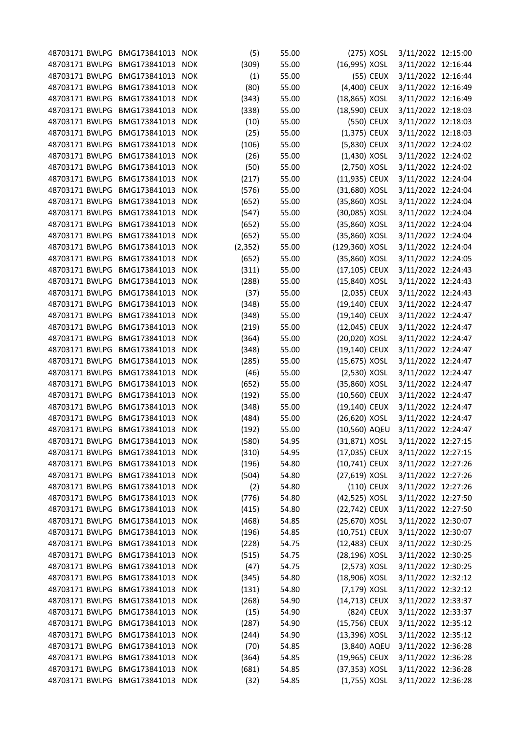| 48703171 BWLPG BMG173841013 NOK |                  |            | (5)      | 55.00 | (275) XOSL     | 3/11/2022 12:15:00 |  |
|---------------------------------|------------------|------------|----------|-------|----------------|--------------------|--|
| 48703171 BWLPG BMG173841013 NOK |                  |            | (309)    | 55.00 | (16,995) XOSL  | 3/11/2022 12:16:44 |  |
| 48703171 BWLPG                  | BMG173841013     | <b>NOK</b> | (1)      | 55.00 | (55) CEUX      | 3/11/2022 12:16:44 |  |
| 48703171 BWLPG                  | BMG173841013     | <b>NOK</b> | (80)     | 55.00 | (4,400) CEUX   | 3/11/2022 12:16:49 |  |
| 48703171 BWLPG                  | BMG173841013     | <b>NOK</b> | (343)    | 55.00 | (18,865) XOSL  | 3/11/2022 12:16:49 |  |
| 48703171 BWLPG                  | BMG173841013     | <b>NOK</b> | (338)    | 55.00 | (18,590) CEUX  | 3/11/2022 12:18:03 |  |
| 48703171 BWLPG                  | BMG173841013 NOK |            | (10)     | 55.00 | (550) CEUX     | 3/11/2022 12:18:03 |  |
| 48703171 BWLPG                  | BMG173841013     | <b>NOK</b> | (25)     | 55.00 | $(1,375)$ CEUX | 3/11/2022 12:18:03 |  |
| 48703171 BWLPG                  | BMG173841013     | <b>NOK</b> | (106)    | 55.00 | (5,830) CEUX   | 3/11/2022 12:24:02 |  |
| 48703171 BWLPG                  | BMG173841013     | <b>NOK</b> | (26)     | 55.00 | $(1,430)$ XOSL | 3/11/2022 12:24:02 |  |
| 48703171 BWLPG                  | BMG173841013     | <b>NOK</b> | (50)     | 55.00 | (2,750) XOSL   | 3/11/2022 12:24:02 |  |
| 48703171 BWLPG                  | BMG173841013 NOK |            | (217)    | 55.00 | (11,935) CEUX  | 3/11/2022 12:24:04 |  |
| 48703171 BWLPG                  | BMG173841013 NOK |            | (576)    | 55.00 | (31,680) XOSL  | 3/11/2022 12:24:04 |  |
|                                 |                  |            |          |       |                | 3/11/2022 12:24:04 |  |
| 48703171 BWLPG                  | BMG173841013     | <b>NOK</b> | (652)    | 55.00 | (35,860) XOSL  |                    |  |
| 48703171 BWLPG                  | BMG173841013     | <b>NOK</b> | (547)    | 55.00 | (30,085) XOSL  | 3/11/2022 12:24:04 |  |
| 48703171 BWLPG                  | BMG173841013     | <b>NOK</b> | (652)    | 55.00 | (35,860) XOSL  | 3/11/2022 12:24:04 |  |
| 48703171 BWLPG                  | BMG173841013     | <b>NOK</b> | (652)    | 55.00 | (35,860) XOSL  | 3/11/2022 12:24:04 |  |
| 48703171 BWLPG                  | BMG173841013 NOK |            | (2, 352) | 55.00 | (129,360) XOSL | 3/11/2022 12:24:04 |  |
| 48703171 BWLPG                  | BMG173841013 NOK |            | (652)    | 55.00 | (35,860) XOSL  | 3/11/2022 12:24:05 |  |
| 48703171 BWLPG                  | BMG173841013     | <b>NOK</b> | (311)    | 55.00 | (17,105) CEUX  | 3/11/2022 12:24:43 |  |
| 48703171 BWLPG                  | BMG173841013     | <b>NOK</b> | (288)    | 55.00 | (15,840) XOSL  | 3/11/2022 12:24:43 |  |
| 48703171 BWLPG                  | BMG173841013     | <b>NOK</b> | (37)     | 55.00 | (2,035) CEUX   | 3/11/2022 12:24:43 |  |
| 48703171 BWLPG                  | BMG173841013 NOK |            | (348)    | 55.00 | (19,140) CEUX  | 3/11/2022 12:24:47 |  |
| 48703171 BWLPG                  | BMG173841013 NOK |            | (348)    | 55.00 | (19,140) CEUX  | 3/11/2022 12:24:47 |  |
| 48703171 BWLPG                  | BMG173841013     | <b>NOK</b> | (219)    | 55.00 | (12,045) CEUX  | 3/11/2022 12:24:47 |  |
| 48703171 BWLPG                  | BMG173841013     | <b>NOK</b> | (364)    | 55.00 | (20,020) XOSL  | 3/11/2022 12:24:47 |  |
| 48703171 BWLPG                  | BMG173841013     | <b>NOK</b> | (348)    | 55.00 | (19,140) CEUX  | 3/11/2022 12:24:47 |  |
| 48703171 BWLPG                  | BMG173841013     | <b>NOK</b> | (285)    | 55.00 | (15,675) XOSL  | 3/11/2022 12:24:47 |  |
| 48703171 BWLPG                  | BMG173841013 NOK |            | (46)     | 55.00 | $(2,530)$ XOSL | 3/11/2022 12:24:47 |  |
| 48703171 BWLPG                  | BMG173841013 NOK |            | (652)    | 55.00 | (35,860) XOSL  | 3/11/2022 12:24:47 |  |
| 48703171 BWLPG                  | BMG173841013     | <b>NOK</b> | (192)    | 55.00 | (10,560) CEUX  | 3/11/2022 12:24:47 |  |
| 48703171 BWLPG                  | BMG173841013     | <b>NOK</b> | (348)    | 55.00 | (19,140) CEUX  | 3/11/2022 12:24:47 |  |
| 48703171 BWLPG                  | BMG173841013     | <b>NOK</b> | (484)    | 55.00 | (26,620) XOSL  | 3/11/2022 12:24:47 |  |
| 48703171 BWLPG BMG173841013 NOK |                  |            | (192)    | 55.00 | (10,560) AQEU  | 3/11/2022 12:24:47 |  |
| 48703171 BWLPG BMG173841013 NOK |                  |            | (580)    | 54.95 | (31,871) XOSL  | 3/11/2022 12:27:15 |  |
| 48703171 BWLPG                  | BMG173841013     | NOK        | (310)    | 54.95 | (17,035) CEUX  | 3/11/2022 12:27:15 |  |
| 48703171 BWLPG                  | BMG173841013     | <b>NOK</b> | (196)    | 54.80 | (10,741) CEUX  | 3/11/2022 12:27:26 |  |
| 48703171 BWLPG                  | BMG173841013     | <b>NOK</b> | (504)    | 54.80 | (27,619) XOSL  | 3/11/2022 12:27:26 |  |
| 48703171 BWLPG                  | BMG173841013     | <b>NOK</b> | (2)      | 54.80 | (110) CEUX     | 3/11/2022 12:27:26 |  |
| 48703171 BWLPG                  | BMG173841013 NOK |            | (776)    | 54.80 | (42,525) XOSL  | 3/11/2022 12:27:50 |  |
| 48703171 BWLPG                  | BMG173841013 NOK |            | (415)    | 54.80 | (22,742) CEUX  | 3/11/2022 12:27:50 |  |
| 48703171 BWLPG                  | BMG173841013     | <b>NOK</b> | (468)    | 54.85 | (25,670) XOSL  | 3/11/2022 12:30:07 |  |
| 48703171 BWLPG                  | BMG173841013     | <b>NOK</b> |          |       | (10,751) CEUX  | 3/11/2022 12:30:07 |  |
|                                 |                  |            | (196)    | 54.85 |                |                    |  |
| 48703171 BWLPG                  | BMG173841013     | <b>NOK</b> | (228)    | 54.75 | (12,483) CEUX  | 3/11/2022 12:30:25 |  |
| 48703171 BWLPG                  | BMG173841013     | <b>NOK</b> | (515)    | 54.75 | (28,196) XOSL  | 3/11/2022 12:30:25 |  |
| 48703171 BWLPG                  | BMG173841013 NOK |            | (47)     | 54.75 | $(2,573)$ XOSL | 3/11/2022 12:30:25 |  |
| 48703171 BWLPG                  | BMG173841013     | <b>NOK</b> | (345)    | 54.80 | (18,906) XOSL  | 3/11/2022 12:32:12 |  |
| 48703171 BWLPG                  | BMG173841013     | <b>NOK</b> | (131)    | 54.80 | (7,179) XOSL   | 3/11/2022 12:32:12 |  |
| 48703171 BWLPG                  | BMG173841013     | <b>NOK</b> | (268)    | 54.90 | (14,713) CEUX  | 3/11/2022 12:33:37 |  |
| 48703171 BWLPG                  | BMG173841013     | <b>NOK</b> | (15)     | 54.90 | (824) CEUX     | 3/11/2022 12:33:37 |  |
| 48703171 BWLPG                  | BMG173841013     | <b>NOK</b> | (287)    | 54.90 | (15,756) CEUX  | 3/11/2022 12:35:12 |  |
| 48703171 BWLPG                  | BMG173841013     | <b>NOK</b> | (244)    | 54.90 | (13,396) XOSL  | 3/11/2022 12:35:12 |  |
| 48703171 BWLPG                  | BMG173841013     | <b>NOK</b> | (70)     | 54.85 | (3,840) AQEU   | 3/11/2022 12:36:28 |  |
| 48703171 BWLPG                  | BMG173841013     | <b>NOK</b> | (364)    | 54.85 | (19,965) CEUX  | 3/11/2022 12:36:28 |  |
| 48703171 BWLPG                  | BMG173841013     | <b>NOK</b> | (681)    | 54.85 | (37,353) XOSL  | 3/11/2022 12:36:28 |  |
| 48703171 BWLPG BMG173841013 NOK |                  |            | (32)     | 54.85 | $(1,755)$ XOSL | 3/11/2022 12:36:28 |  |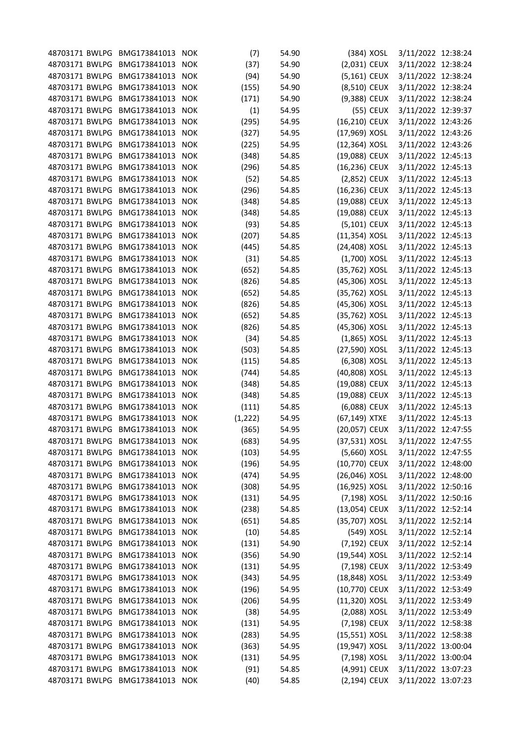| 48703171 BWLPG BMG173841013 NOK |                  |            | (7)      | 54.90          | (384) XOSL                     | 3/11/2022 12:38:24                       |  |
|---------------------------------|------------------|------------|----------|----------------|--------------------------------|------------------------------------------|--|
| 48703171 BWLPG                  | BMG173841013     | <b>NOK</b> | (37)     | 54.90          | (2,031) CEUX                   | 3/11/2022 12:38:24                       |  |
| 48703171 BWLPG                  | BMG173841013     | <b>NOK</b> | (94)     | 54.90          | (5,161) CEUX                   | 3/11/2022 12:38:24                       |  |
| 48703171 BWLPG                  | BMG173841013     | <b>NOK</b> | (155)    | 54.90          | (8,510) CEUX                   | 3/11/2022 12:38:24                       |  |
| 48703171 BWLPG                  | BMG173841013     | <b>NOK</b> | (171)    | 54.90          | (9,388) CEUX                   | 3/11/2022 12:38:24                       |  |
| 48703171 BWLPG                  | BMG173841013     | <b>NOK</b> | (1)      | 54.95          | (55) CEUX                      | 3/11/2022 12:39:37                       |  |
| 48703171 BWLPG                  | BMG173841013 NOK |            | (295)    | 54.95          | (16,210) CEUX                  | 3/11/2022 12:43:26                       |  |
| 48703171 BWLPG                  | BMG173841013     | <b>NOK</b> | (327)    | 54.95          | (17,969) XOSL                  | 3/11/2022 12:43:26                       |  |
| 48703171 BWLPG                  | BMG173841013     | <b>NOK</b> | (225)    | 54.95          | (12,364) XOSL                  | 3/11/2022 12:43:26                       |  |
| 48703171 BWLPG                  | BMG173841013     | <b>NOK</b> | (348)    | 54.85          | (19,088) CEUX                  | 3/11/2022 12:45:13                       |  |
| 48703171 BWLPG                  | BMG173841013     | <b>NOK</b> | (296)    | 54.85          | (16,236) CEUX                  | 3/11/2022 12:45:13                       |  |
| 48703171 BWLPG                  | BMG173841013     | <b>NOK</b> | (52)     | 54.85          | (2,852) CEUX                   | 3/11/2022 12:45:13                       |  |
| 48703171 BWLPG                  | BMG173841013     | <b>NOK</b> | (296)    | 54.85          | (16,236) CEUX                  | 3/11/2022 12:45:13                       |  |
| 48703171 BWLPG                  | BMG173841013     | <b>NOK</b> | (348)    | 54.85          | (19,088) CEUX                  | 3/11/2022 12:45:13                       |  |
| 48703171 BWLPG                  | BMG173841013     | <b>NOK</b> | (348)    | 54.85          | (19,088) CEUX                  | 3/11/2022 12:45:13                       |  |
| 48703171 BWLPG                  | BMG173841013     | <b>NOK</b> |          | 54.85          |                                | 3/11/2022 12:45:13                       |  |
|                                 |                  |            | (93)     |                | (5,101) CEUX                   |                                          |  |
| 48703171 BWLPG                  | BMG173841013     | <b>NOK</b> | (207)    | 54.85          | $(11, 354)$ XOSL               | 3/11/2022 12:45:13                       |  |
| 48703171 BWLPG                  | BMG173841013 NOK |            | (445)    | 54.85          | (24,408) XOSL                  | 3/11/2022 12:45:13                       |  |
| 48703171 BWLPG                  | BMG173841013     | <b>NOK</b> | (31)     | 54.85          | (1,700) XOSL                   | 3/11/2022 12:45:13                       |  |
| 48703171 BWLPG                  | BMG173841013     | <b>NOK</b> | (652)    | 54.85          | (35,762) XOSL                  | 3/11/2022 12:45:13                       |  |
| 48703171 BWLPG                  | BMG173841013     | <b>NOK</b> | (826)    | 54.85          | (45,306) XOSL                  | 3/11/2022 12:45:13                       |  |
| 48703171 BWLPG                  | BMG173841013     | <b>NOK</b> | (652)    | 54.85          | (35,762) XOSL                  | 3/11/2022 12:45:13                       |  |
| 48703171 BWLPG                  | BMG173841013     | <b>NOK</b> | (826)    | 54.85          | (45,306) XOSL                  | 3/11/2022 12:45:13                       |  |
| 48703171 BWLPG                  | BMG173841013     | <b>NOK</b> | (652)    | 54.85          | (35,762) XOSL                  | 3/11/2022 12:45:13                       |  |
| 48703171 BWLPG                  | BMG173841013     | <b>NOK</b> | (826)    | 54.85          | (45,306) XOSL                  | 3/11/2022 12:45:13                       |  |
| 48703171 BWLPG                  | BMG173841013     | <b>NOK</b> | (34)     | 54.85          | $(1,865)$ XOSL                 | 3/11/2022 12:45:13                       |  |
| 48703171 BWLPG                  | BMG173841013     | <b>NOK</b> | (503)    | 54.85          | (27,590) XOSL                  | 3/11/2022 12:45:13                       |  |
| 48703171 BWLPG                  | BMG173841013     | <b>NOK</b> | (115)    | 54.85          | (6,308) XOSL                   | 3/11/2022 12:45:13                       |  |
| 48703171 BWLPG                  | BMG173841013 NOK |            | (744)    | 54.85          | (40,808) XOSL                  | 3/11/2022 12:45:13                       |  |
| 48703171 BWLPG                  | BMG173841013     | <b>NOK</b> | (348)    | 54.85          | (19,088) CEUX                  | 3/11/2022 12:45:13                       |  |
| 48703171 BWLPG                  | BMG173841013     | <b>NOK</b> | (348)    | 54.85          | (19,088) CEUX                  | 3/11/2022 12:45:13                       |  |
| 48703171 BWLPG                  | BMG173841013     | <b>NOK</b> | (111)    | 54.85          | (6,088) CEUX                   | 3/11/2022 12:45:13                       |  |
| 48703171 BWLPG BMG173841013     |                  | <b>NOK</b> | (1, 222) | 54.95          | (67,149) XTXE                  | 3/11/2022 12:45:13                       |  |
| 48703171 BWLPG BMG173841013 NOK |                  |            | (365)    | 54.95          | (20,057) CEUX                  | 3/11/2022 12:47:55                       |  |
| 48703171 BWLPG BMG173841013 NOK |                  |            | (683)    | 54.95          | (37,531) XOSL                  | 3/11/2022 12:47:55                       |  |
| 48703171 BWLPG                  | BMG173841013     | <b>NOK</b> | (103)    | 54.95          | (5,660) XOSL                   | 3/11/2022 12:47:55                       |  |
| 48703171 BWLPG                  | BMG173841013     | <b>NOK</b> | (196)    | 54.95          | (10,770) CEUX                  | 3/11/2022 12:48:00                       |  |
| 48703171 BWLPG                  | BMG173841013     | <b>NOK</b> | (474)    | 54.95          | (26,046) XOSL                  | 3/11/2022 12:48:00                       |  |
| 48703171 BWLPG                  | BMG173841013     | <b>NOK</b> | (308)    | 54.95          | (16,925) XOSL                  | 3/11/2022 12:50:16                       |  |
| 48703171 BWLPG                  | BMG173841013 NOK |            | (131)    | 54.95          | (7,198) XOSL                   | 3/11/2022 12:50:16                       |  |
| 48703171 BWLPG                  | BMG173841013     | <b>NOK</b> | (238)    | 54.85          | (13,054) CEUX                  | 3/11/2022 12:52:14                       |  |
| 48703171 BWLPG                  | BMG173841013     | <b>NOK</b> | (651)    | 54.85          | (35,707) XOSL                  | 3/11/2022 12:52:14                       |  |
| 48703171 BWLPG                  | BMG173841013     | <b>NOK</b> | (10)     | 54.85          | (549) XOSL                     | 3/11/2022 12:52:14                       |  |
| 48703171 BWLPG                  | BMG173841013     | <b>NOK</b> | (131)    | 54.90          | (7,192) CEUX                   | 3/11/2022 12:52:14                       |  |
| 48703171 BWLPG                  | BMG173841013 NOK |            | (356)    | 54.90          | (19,544) XOSL                  | 3/11/2022 12:52:14                       |  |
| 48703171 BWLPG                  | BMG173841013 NOK |            | (131)    | 54.95          | (7,198) CEUX                   | 3/11/2022 12:53:49                       |  |
| 48703171 BWLPG                  | BMG173841013     | <b>NOK</b> | (343)    | 54.95          | (18,848) XOSL                  | 3/11/2022 12:53:49                       |  |
| 48703171 BWLPG                  | BMG173841013     |            |          |                |                                |                                          |  |
| 48703171 BWLPG                  | BMG173841013     | <b>NOK</b> | (196)    | 54.95<br>54.95 | (10,770) CEUX<br>(11,320) XOSL | 3/11/2022 12:53:49<br>3/11/2022 12:53:49 |  |
|                                 |                  | <b>NOK</b> | (206)    |                |                                |                                          |  |
| 48703171 BWLPG                  | BMG173841013     | <b>NOK</b> | (38)     | 54.95          | (2,088) XOSL                   | 3/11/2022 12:53:49                       |  |
| 48703171 BWLPG                  | BMG173841013 NOK |            | (131)    | 54.95          | (7,198) CEUX                   | 3/11/2022 12:58:38                       |  |
| 48703171 BWLPG                  | BMG173841013     | <b>NOK</b> | (283)    | 54.95          | (15,551) XOSL                  | 3/11/2022 12:58:38                       |  |
| 48703171 BWLPG                  | BMG173841013     | <b>NOK</b> | (363)    | 54.95          | (19,947) XOSL                  | 3/11/2022 13:00:04                       |  |
| 48703171 BWLPG                  | BMG173841013     | <b>NOK</b> | (131)    | 54.95          | (7,198) XOSL                   | 3/11/2022 13:00:04                       |  |
| 48703171 BWLPG                  | BMG173841013     | <b>NOK</b> | (91)     | 54.85          | (4,991) CEUX                   | 3/11/2022 13:07:23                       |  |
| 48703171 BWLPG BMG173841013 NOK |                  |            | (40)     | 54.85          | (2,194) CEUX                   | 3/11/2022 13:07:23                       |  |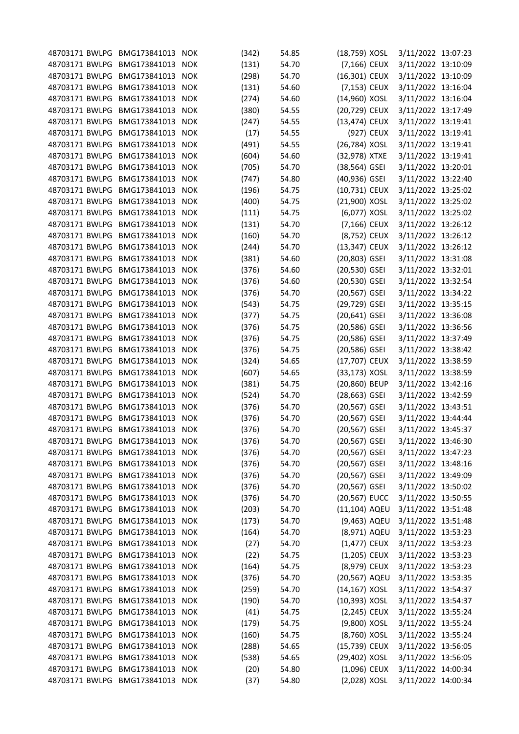| 48703171 BWLPG BMG173841013 NOK |                  |            | (342) | 54.85          | (18,759) XOSL | 3/11/2022 13:07:23 |  |
|---------------------------------|------------------|------------|-------|----------------|---------------|--------------------|--|
| 48703171 BWLPG                  | BMG173841013     | <b>NOK</b> | (131) | 54.70          | (7,166) CEUX  | 3/11/2022 13:10:09 |  |
| 48703171 BWLPG                  | BMG173841013     | <b>NOK</b> | (298) | 54.70          | (16,301) CEUX | 3/11/2022 13:10:09 |  |
| 48703171 BWLPG                  | BMG173841013     | <b>NOK</b> | (131) | 54.60          | (7,153) CEUX  | 3/11/2022 13:16:04 |  |
| 48703171 BWLPG                  | BMG173841013     | <b>NOK</b> | (274) | 54.60          | (14,960) XOSL | 3/11/2022 13:16:04 |  |
| 48703171 BWLPG                  | BMG173841013 NOK |            | (380) | 54.55          | (20,729) CEUX | 3/11/2022 13:17:49 |  |
| 48703171 BWLPG                  | BMG173841013 NOK |            | (247) | 54.55          | (13,474) CEUX | 3/11/2022 13:19:41 |  |
| 48703171 BWLPG                  | BMG173841013     | <b>NOK</b> | (17)  | 54.55          | (927) CEUX    | 3/11/2022 13:19:41 |  |
| 48703171 BWLPG                  | BMG173841013     | <b>NOK</b> | (491) | 54.55          | (26,784) XOSL | 3/11/2022 13:19:41 |  |
| 48703171 BWLPG                  | BMG173841013     | <b>NOK</b> | (604) | 54.60          | (32,978) XTXE | 3/11/2022 13:19:41 |  |
| 48703171 BWLPG                  | BMG173841013     | <b>NOK</b> | (705) | 54.70          | (38,564) GSEI | 3/11/2022 13:20:01 |  |
| 48703171 BWLPG                  | BMG173841013 NOK |            | (747) | 54.80          | (40,936) GSEI | 3/11/2022 13:22:40 |  |
| 48703171 BWLPG                  | BMG173841013 NOK |            | (196) | 54.75          | (10,731) CEUX | 3/11/2022 13:25:02 |  |
| 48703171 BWLPG                  | BMG173841013     | <b>NOK</b> | (400) | 54.75          | (21,900) XOSL | 3/11/2022 13:25:02 |  |
| 48703171 BWLPG                  | BMG173841013     | <b>NOK</b> | (111) | 54.75          | (6,077) XOSL  | 3/11/2022 13:25:02 |  |
| 48703171 BWLPG                  | BMG173841013     | <b>NOK</b> |       | 54.70          | (7,166) CEUX  | 3/11/2022 13:26:12 |  |
|                                 |                  |            | (131) |                |               |                    |  |
| 48703171 BWLPG                  | BMG173841013 NOK |            | (160) | 54.70          | (8,752) CEUX  | 3/11/2022 13:26:12 |  |
| 48703171 BWLPG                  | BMG173841013 NOK |            | (244) | 54.70          | (13,347) CEUX | 3/11/2022 13:26:12 |  |
| 48703171 BWLPG                  | BMG173841013     | <b>NOK</b> | (381) | 54.60          | (20,803) GSEI | 3/11/2022 13:31:08 |  |
| 48703171 BWLPG                  | BMG173841013     | <b>NOK</b> | (376) | 54.60          | (20,530) GSEI | 3/11/2022 13:32:01 |  |
| 48703171 BWLPG                  | BMG173841013     | <b>NOK</b> | (376) | 54.60          | (20,530) GSEI | 3/11/2022 13:32:54 |  |
| 48703171 BWLPG                  | BMG173841013     | <b>NOK</b> | (376) | 54.70          | (20,567) GSEI | 3/11/2022 13:34:22 |  |
| 48703171 BWLPG                  | BMG173841013 NOK |            | (543) | 54.75          | (29,729) GSEI | 3/11/2022 13:35:15 |  |
| 48703171 BWLPG                  | BMG173841013 NOK |            | (377) | 54.75          | (20,641) GSEI | 3/11/2022 13:36:08 |  |
| 48703171 BWLPG                  | BMG173841013     | <b>NOK</b> | (376) | 54.75          | (20,586) GSEI | 3/11/2022 13:36:56 |  |
| 48703171 BWLPG                  | BMG173841013     | <b>NOK</b> | (376) | 54.75          | (20,586) GSEI | 3/11/2022 13:37:49 |  |
| 48703171 BWLPG                  | BMG173841013     | <b>NOK</b> | (376) | 54.75          | (20,586) GSEI | 3/11/2022 13:38:42 |  |
| 48703171 BWLPG                  | BMG173841013     | <b>NOK</b> | (324) | 54.65          | (17,707) CEUX | 3/11/2022 13:38:59 |  |
| 48703171 BWLPG                  | BMG173841013 NOK |            | (607) | 54.65          | (33,173) XOSL | 3/11/2022 13:38:59 |  |
| 48703171 BWLPG                  | BMG173841013     | <b>NOK</b> | (381) | 54.75          | (20,860) BEUP | 3/11/2022 13:42:16 |  |
| 48703171 BWLPG                  | BMG173841013     | <b>NOK</b> | (524) | 54.70          | (28,663) GSEI | 3/11/2022 13:42:59 |  |
| 48703171 BWLPG                  | BMG173841013     | <b>NOK</b> | (376) | 54.70          | (20,567) GSEI | 3/11/2022 13:43:51 |  |
| 48703171 BWLPG BMG173841013     |                  | <b>NOK</b> | (376) | 54.70          | (20,567) GSEI | 3/11/2022 13:44:44 |  |
| 48703171 BWLPG BMG173841013 NOK |                  |            | (376) | 54.70          | (20,567) GSEI | 3/11/2022 13:45:37 |  |
| 48703171 BWLPG BMG173841013 NOK |                  |            | (376) | 54.70          | (20,567) GSEI | 3/11/2022 13:46:30 |  |
| 48703171 BWLPG                  | BMG173841013     | <b>NOK</b> | (376) | 54.70          | (20,567) GSEI | 3/11/2022 13:47:23 |  |
| 48703171 BWLPG                  | BMG173841013     | <b>NOK</b> | (376) | 54.70          | (20,567) GSEI | 3/11/2022 13:48:16 |  |
| 48703171 BWLPG                  | BMG173841013     | <b>NOK</b> | (376) | 54.70          | (20,567) GSEI | 3/11/2022 13:49:09 |  |
| 48703171 BWLPG                  | BMG173841013     | <b>NOK</b> | (376) | 54.70          | (20,567) GSEI | 3/11/2022 13:50:02 |  |
| 48703171 BWLPG                  | BMG173841013 NOK |            | (376) | 54.70          | (20,567) EUCC | 3/11/2022 13:50:55 |  |
| 48703171 BWLPG                  | BMG173841013     | <b>NOK</b> | (203) | 54.70          | (11,104) AQEU | 3/11/2022 13:51:48 |  |
| 48703171 BWLPG                  | BMG173841013     | <b>NOK</b> | (173) | 54.70          | (9,463) AQEU  | 3/11/2022 13:51:48 |  |
| 48703171 BWLPG                  | BMG173841013     | <b>NOK</b> | (164) | 54.70          | (8,971) AQEU  | 3/11/2022 13:53:23 |  |
| 48703171 BWLPG                  | BMG173841013     | <b>NOK</b> | (27)  | 54.70          | (1,477) CEUX  | 3/11/2022 13:53:23 |  |
| 48703171 BWLPG                  | BMG173841013 NOK |            | (22)  | 54.75          | (1,205) CEUX  | 3/11/2022 13:53:23 |  |
| 48703171 BWLPG                  | BMG173841013 NOK |            | (164) | 54.75          | (8,979) CEUX  | 3/11/2022 13:53:23 |  |
| 48703171 BWLPG                  | BMG173841013     | <b>NOK</b> | (376) | 54.70          | (20,567) AQEU | 3/11/2022 13:53:35 |  |
| 48703171 BWLPG                  | BMG173841013     |            |       |                | (14,167) XOSL | 3/11/2022 13:54:37 |  |
| 48703171 BWLPG                  | BMG173841013     | <b>NOK</b> | (259) | 54.70<br>54.70 | (10,393) XOSL | 3/11/2022 13:54:37 |  |
|                                 |                  | <b>NOK</b> | (190) |                |               |                    |  |
| 48703171 BWLPG                  | BMG173841013     | <b>NOK</b> | (41)  | 54.75          | (2,245) CEUX  | 3/11/2022 13:55:24 |  |
| 48703171 BWLPG                  | BMG173841013 NOK |            | (179) | 54.75          | (9,800) XOSL  | 3/11/2022 13:55:24 |  |
| 48703171 BWLPG                  | BMG173841013     | <b>NOK</b> | (160) | 54.75          | (8,760) XOSL  | 3/11/2022 13:55:24 |  |
| 48703171 BWLPG                  | BMG173841013     | <b>NOK</b> | (288) | 54.65          | (15,739) CEUX | 3/11/2022 13:56:05 |  |
| 48703171 BWLPG                  | BMG173841013     | <b>NOK</b> | (538) | 54.65          | (29,402) XOSL | 3/11/2022 13:56:05 |  |
| 48703171 BWLPG                  | BMG173841013     | <b>NOK</b> | (20)  | 54.80          | (1,096) CEUX  | 3/11/2022 14:00:34 |  |
| 48703171 BWLPG BMG173841013 NOK |                  |            | (37)  | 54.80          | (2,028) XOSL  | 3/11/2022 14:00:34 |  |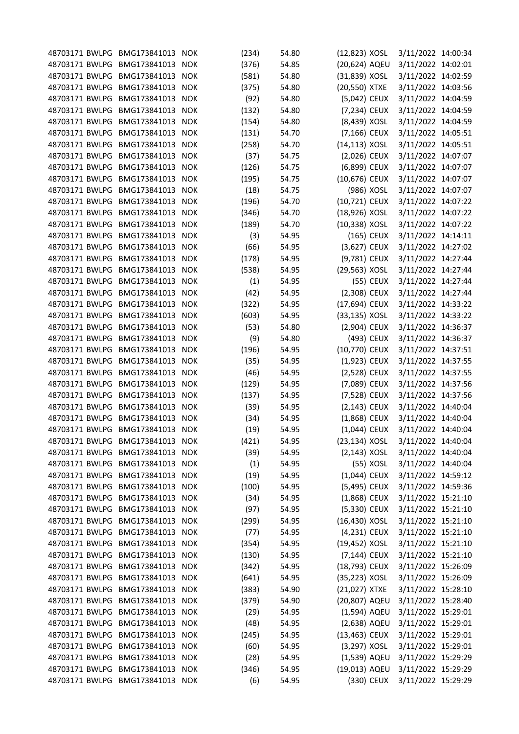| 48703171 BWLPG BMG173841013     |                  | <b>NOK</b> | (234) | 54.80 | (12,823) XOSL    |           | 3/11/2022 14:00:34 |  |
|---------------------------------|------------------|------------|-------|-------|------------------|-----------|--------------------|--|
| 48703171 BWLPG                  | BMG173841013     | <b>NOK</b> | (376) | 54.85 | (20,624) AQEU    |           | 3/11/2022 14:02:01 |  |
| 48703171 BWLPG                  | BMG173841013     | <b>NOK</b> | (581) | 54.80 | (31,839) XOSL    |           | 3/11/2022 14:02:59 |  |
| 48703171 BWLPG                  | BMG173841013     | <b>NOK</b> | (375) | 54.80 | (20,550) XTXE    |           | 3/11/2022 14:03:56 |  |
| 48703171 BWLPG                  | BMG173841013     | <b>NOK</b> | (92)  | 54.80 | (5,042) CEUX     |           | 3/11/2022 14:04:59 |  |
| 48703171 BWLPG                  | BMG173841013     | <b>NOK</b> | (132) | 54.80 | (7,234) CEUX     |           | 3/11/2022 14:04:59 |  |
| 48703171 BWLPG                  | BMG173841013     | <b>NOK</b> | (154) | 54.80 | (8,439) XOSL     |           | 3/11/2022 14:04:59 |  |
| 48703171 BWLPG                  | BMG173841013     | <b>NOK</b> | (131) | 54.70 | (7,166) CEUX     |           | 3/11/2022 14:05:51 |  |
| 48703171 BWLPG                  | BMG173841013     | <b>NOK</b> | (258) | 54.70 | $(14, 113)$ XOSL |           | 3/11/2022 14:05:51 |  |
|                                 | BMG173841013     | <b>NOK</b> |       |       |                  |           |                    |  |
| 48703171 BWLPG                  |                  |            | (37)  | 54.75 | (2,026) CEUX     |           | 3/11/2022 14:07:07 |  |
| 48703171 BWLPG                  | BMG173841013     | <b>NOK</b> | (126) | 54.75 | (6,899) CEUX     |           | 3/11/2022 14:07:07 |  |
| 48703171 BWLPG                  | BMG173841013     | <b>NOK</b> | (195) | 54.75 | (10,676) CEUX    |           | 3/11/2022 14:07:07 |  |
| 48703171 BWLPG                  | BMG173841013     | <b>NOK</b> | (18)  | 54.75 | (986) XOSL       |           | 3/11/2022 14:07:07 |  |
| 48703171 BWLPG                  | BMG173841013     | <b>NOK</b> | (196) | 54.70 | (10,721) CEUX    |           | 3/11/2022 14:07:22 |  |
| 48703171 BWLPG                  | BMG173841013     | <b>NOK</b> | (346) | 54.70 | (18,926) XOSL    |           | 3/11/2022 14:07:22 |  |
| 48703171 BWLPG                  | BMG173841013     | <b>NOK</b> | (189) | 54.70 | (10,338) XOSL    |           | 3/11/2022 14:07:22 |  |
| 48703171 BWLPG                  | BMG173841013     | <b>NOK</b> | (3)   | 54.95 | (165) CEUX       |           | 3/11/2022 14:14:11 |  |
| 48703171 BWLPG                  | BMG173841013     | <b>NOK</b> | (66)  | 54.95 | (3,627) CEUX     |           | 3/11/2022 14:27:02 |  |
| 48703171 BWLPG                  | BMG173841013     | <b>NOK</b> | (178) | 54.95 | (9,781) CEUX     |           | 3/11/2022 14:27:44 |  |
| 48703171 BWLPG                  | BMG173841013     | <b>NOK</b> | (538) | 54.95 | (29,563) XOSL    |           | 3/11/2022 14:27:44 |  |
| 48703171 BWLPG                  | BMG173841013     | <b>NOK</b> | (1)   | 54.95 |                  | (55) CEUX | 3/11/2022 14:27:44 |  |
| 48703171 BWLPG                  | BMG173841013     | <b>NOK</b> | (42)  | 54.95 | (2,308) CEUX     |           | 3/11/2022 14:27:44 |  |
| 48703171 BWLPG                  | BMG173841013     | <b>NOK</b> | (322) | 54.95 | (17,694) CEUX    |           | 3/11/2022 14:33:22 |  |
| 48703171 BWLPG                  | BMG173841013     | <b>NOK</b> | (603) | 54.95 | (33,135) XOSL    |           | 3/11/2022 14:33:22 |  |
| 48703171 BWLPG                  | BMG173841013     | <b>NOK</b> | (53)  | 54.80 | (2,904) CEUX     |           | 3/11/2022 14:36:37 |  |
| 48703171 BWLPG                  | BMG173841013     | <b>NOK</b> | (9)   | 54.80 | (493) CEUX       |           | 3/11/2022 14:36:37 |  |
| 48703171 BWLPG                  | BMG173841013     | <b>NOK</b> | (196) | 54.95 | (10,770) CEUX    |           | 3/11/2022 14:37:51 |  |
| 48703171 BWLPG                  | BMG173841013     | <b>NOK</b> | (35)  | 54.95 | (1,923) CEUX     |           | 3/11/2022 14:37:55 |  |
| 48703171 BWLPG                  | BMG173841013     | <b>NOK</b> | (46)  | 54.95 | (2,528) CEUX     |           | 3/11/2022 14:37:55 |  |
| 48703171 BWLPG                  | BMG173841013     | <b>NOK</b> | (129) | 54.95 | (7,089) CEUX     |           | 3/11/2022 14:37:56 |  |
|                                 |                  |            |       | 54.95 |                  |           |                    |  |
| 48703171 BWLPG                  | BMG173841013     | <b>NOK</b> | (137) |       | (7,528) CEUX     |           | 3/11/2022 14:37:56 |  |
| 48703171 BWLPG                  | BMG173841013     | <b>NOK</b> | (39)  | 54.95 | (2,143) CEUX     |           | 3/11/2022 14:40:04 |  |
| 48703171 BWLPG                  | BMG173841013     | <b>NOK</b> | (34)  | 54.95 | (1,868) CEUX     |           | 3/11/2022 14:40:04 |  |
| 48703171 BWLPG BMG173841013 NOK |                  |            | (19)  | 54.95 | $(1,044)$ CEUX   |           | 3/11/2022 14:40:04 |  |
| 48703171 BWLPG                  | BMG173841013 NOK |            | (421) | 54.95 | (23,134) XOSL    |           | 3/11/2022 14:40:04 |  |
| 48703171 BWLPG                  | BMG173841013     | <b>NOK</b> | (39)  | 54.95 | $(2, 143)$ XOSL  |           | 3/11/2022 14:40:04 |  |
| 48703171 BWLPG                  | BMG173841013     | <b>NOK</b> | (1)   | 54.95 |                  | (55) XOSL | 3/11/2022 14:40:04 |  |
| 48703171 BWLPG                  | BMG173841013     | <b>NOK</b> | (19)  | 54.95 | (1,044) CEUX     |           | 3/11/2022 14:59:12 |  |
| 48703171 BWLPG                  | BMG173841013 NOK |            | (100) | 54.95 | (5,495) CEUX     |           | 3/11/2022 14:59:36 |  |
| 48703171 BWLPG                  | BMG173841013 NOK |            | (34)  | 54.95 | (1,868) CEUX     |           | 3/11/2022 15:21:10 |  |
| 48703171 BWLPG                  | BMG173841013     | <b>NOK</b> | (97)  | 54.95 | (5,330) CEUX     |           | 3/11/2022 15:21:10 |  |
| 48703171 BWLPG                  | BMG173841013     | <b>NOK</b> | (299) | 54.95 | (16,430) XOSL    |           | 3/11/2022 15:21:10 |  |
| 48703171 BWLPG                  | BMG173841013     | <b>NOK</b> | (77)  | 54.95 | (4,231) CEUX     |           | 3/11/2022 15:21:10 |  |
| 48703171 BWLPG                  | BMG173841013     | <b>NOK</b> | (354) | 54.95 | (19,452) XOSL    |           | 3/11/2022 15:21:10 |  |
| 48703171 BWLPG                  | BMG173841013 NOK |            | (130) | 54.95 | (7,144) CEUX     |           | 3/11/2022 15:21:10 |  |
| 48703171 BWLPG                  | BMG173841013 NOK |            | (342) | 54.95 | (18,793) CEUX    |           | 3/11/2022 15:26:09 |  |
| 48703171 BWLPG                  | BMG173841013     | <b>NOK</b> | (641) | 54.95 | (35,223) XOSL    |           | 3/11/2022 15:26:09 |  |
| 48703171 BWLPG                  | BMG173841013     | <b>NOK</b> | (383) | 54.90 | (21,027) XTXE    |           | 3/11/2022 15:28:10 |  |
| 48703171 BWLPG                  | BMG173841013     | <b>NOK</b> | (379) | 54.90 | (20,807) AQEU    |           | 3/11/2022 15:28:40 |  |
| 48703171 BWLPG                  | BMG173841013 NOK |            | (29)  | 54.95 | (1,594) AQEU     |           | 3/11/2022 15:29:01 |  |
| 48703171 BWLPG                  | BMG173841013 NOK |            | (48)  |       | (2,638) AQEU     |           | 3/11/2022 15:29:01 |  |
|                                 |                  |            |       | 54.95 |                  |           |                    |  |
| 48703171 BWLPG                  | BMG173841013     | <b>NOK</b> | (245) | 54.95 | (13,463) CEUX    |           | 3/11/2022 15:29:01 |  |
| 48703171 BWLPG                  | BMG173841013     | <b>NOK</b> | (60)  | 54.95 | (3,297) XOSL     |           | 3/11/2022 15:29:01 |  |
| 48703171 BWLPG                  | BMG173841013     | <b>NOK</b> | (28)  | 54.95 | (1,539) AQEU     |           | 3/11/2022 15:29:29 |  |
| 48703171 BWLPG                  | BMG173841013 NOK |            | (346) | 54.95 | (19,013) AQEU    |           | 3/11/2022 15:29:29 |  |
| 48703171 BWLPG BMG173841013 NOK |                  |            | (6)   | 54.95 | (330) CEUX       |           | 3/11/2022 15:29:29 |  |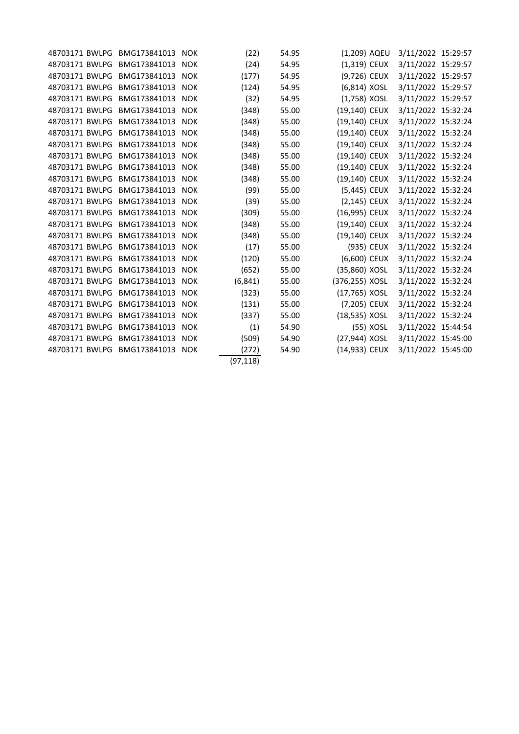| 48703171 BWLPG | BMG173841013     | <b>NOK</b> | (22)      | 54.95 | (1,209) AQEU    | 3/11/2022 15:29:57 |  |
|----------------|------------------|------------|-----------|-------|-----------------|--------------------|--|
| 48703171 BWLPG | BMG173841013     | <b>NOK</b> | (24)      | 54.95 | (1,319) CEUX    | 3/11/2022 15:29:57 |  |
| 48703171 BWLPG | BMG173841013     | <b>NOK</b> | (177)     | 54.95 | (9,726) CEUX    | 3/11/2022 15:29:57 |  |
| 48703171 BWLPG | BMG173841013     | <b>NOK</b> | (124)     | 54.95 | (6,814) XOSL    | 3/11/2022 15:29:57 |  |
| 48703171 BWLPG | BMG173841013 NOK |            | (32)      | 54.95 | (1,758) XOSL    | 3/11/2022 15:29:57 |  |
| 48703171 BWLPG | BMG173841013     | <b>NOK</b> | (348)     | 55.00 | (19,140) CEUX   | 3/11/2022 15:32:24 |  |
| 48703171 BWLPG | BMG173841013     | <b>NOK</b> | (348)     | 55.00 | (19,140) CEUX   | 3/11/2022 15:32:24 |  |
| 48703171 BWLPG | BMG173841013 NOK |            | (348)     | 55.00 | (19,140) CEUX   | 3/11/2022 15:32:24 |  |
| 48703171 BWLPG | BMG173841013     | <b>NOK</b> | (348)     | 55.00 | (19,140) CEUX   | 3/11/2022 15:32:24 |  |
| 48703171 BWLPG | BMG173841013     | <b>NOK</b> | (348)     | 55.00 | (19,140) CEUX   | 3/11/2022 15:32:24 |  |
| 48703171 BWLPG | BMG173841013 NOK |            | (348)     | 55.00 | (19,140) CEUX   | 3/11/2022 15:32:24 |  |
| 48703171 BWLPG | BMG173841013     | <b>NOK</b> | (348)     | 55.00 | (19,140) CEUX   | 3/11/2022 15:32:24 |  |
| 48703171 BWLPG | BMG173841013     | <b>NOK</b> | (99)      | 55.00 | (5,445) CEUX    | 3/11/2022 15:32:24 |  |
| 48703171 BWLPG | BMG173841013     | <b>NOK</b> | (39)      | 55.00 | $(2, 145)$ CEUX | 3/11/2022 15:32:24 |  |
| 48703171 BWLPG | BMG173841013     | <b>NOK</b> | (309)     | 55.00 | (16,995) CEUX   | 3/11/2022 15:32:24 |  |
| 48703171 BWLPG | BMG173841013     | <b>NOK</b> | (348)     | 55.00 | (19,140) CEUX   | 3/11/2022 15:32:24 |  |
| 48703171 BWLPG | BMG173841013     | <b>NOK</b> | (348)     | 55.00 | (19,140) CEUX   | 3/11/2022 15:32:24 |  |
| 48703171 BWLPG | BMG173841013     | <b>NOK</b> | (17)      | 55.00 | (935) CEUX      | 3/11/2022 15:32:24 |  |
| 48703171 BWLPG | BMG173841013     | <b>NOK</b> | (120)     | 55.00 | (6,600) CEUX    | 3/11/2022 15:32:24 |  |
| 48703171 BWLPG | BMG173841013     | <b>NOK</b> | (652)     | 55.00 | (35,860) XOSL   | 3/11/2022 15:32:24 |  |
| 48703171 BWLPG | BMG173841013     | <b>NOK</b> | (6, 841)  | 55.00 | (376,255) XOSL  | 3/11/2022 15:32:24 |  |
| 48703171 BWLPG | BMG173841013     | <b>NOK</b> | (323)     | 55.00 | (17,765) XOSL   | 3/11/2022 15:32:24 |  |
| 48703171 BWLPG | BMG173841013     | <b>NOK</b> | (131)     | 55.00 | (7,205) CEUX    | 3/11/2022 15:32:24 |  |
| 48703171 BWLPG | BMG173841013     | <b>NOK</b> | (337)     | 55.00 | (18,535) XOSL   | 3/11/2022 15:32:24 |  |
| 48703171 BWLPG | BMG173841013     | <b>NOK</b> | (1)       | 54.90 | (55) XOSL       | 3/11/2022 15:44:54 |  |
| 48703171 BWLPG | BMG173841013     | <b>NOK</b> | (509)     | 54.90 | (27,944) XOSL   | 3/11/2022 15:45:00 |  |
| 48703171 BWLPG | BMG173841013 NOK |            | (272)     | 54.90 | (14,933) CEUX   | 3/11/2022 15:45:00 |  |
|                |                  |            | (97, 118) |       |                 |                    |  |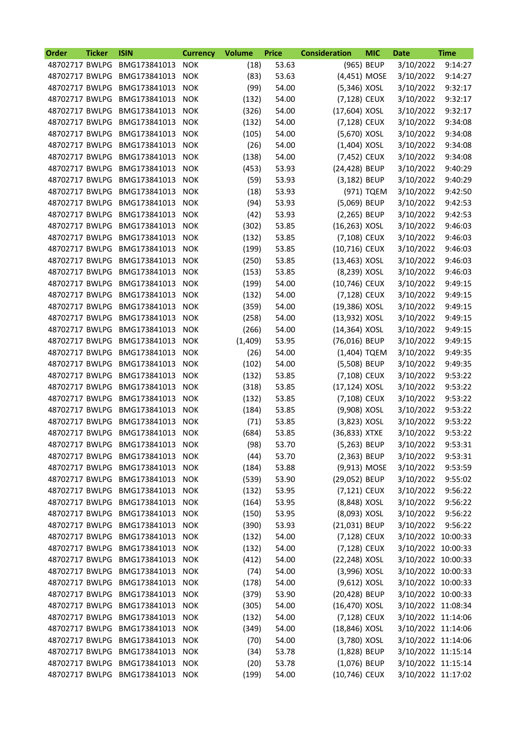| Order          | <b>Ticker</b> | <b>ISIN</b>                     | <b>Currency</b> | <b>Volume</b> | <b>Price</b> | <b>Consideration</b> | <b>MIC</b> | Date               | <b>Time</b> |
|----------------|---------------|---------------------------------|-----------------|---------------|--------------|----------------------|------------|--------------------|-------------|
| 48702717 BWLPG |               | BMG173841013                    | <b>NOK</b>      | (18)          | 53.63        |                      | (965) BEUP | 3/10/2022          | 9:14:27     |
| 48702717 BWLPG |               | BMG173841013                    | <b>NOK</b>      | (83)          | 53.63        | (4,451) MOSE         |            | 3/10/2022          | 9:14:27     |
| 48702717 BWLPG |               | BMG173841013                    | <b>NOK</b>      | (99)          | 54.00        | (5,346) XOSL         |            | 3/10/2022          | 9:32:17     |
| 48702717 BWLPG |               | BMG173841013                    | <b>NOK</b>      | (132)         | 54.00        | (7,128) CEUX         |            | 3/10/2022          | 9:32:17     |
| 48702717 BWLPG |               | BMG173841013                    | <b>NOK</b>      | (326)         | 54.00        | (17,604) XOSL        |            | 3/10/2022          | 9:32:17     |
| 48702717 BWLPG |               | BMG173841013                    | <b>NOK</b>      | (132)         | 54.00        | (7,128) CEUX         |            | 3/10/2022          | 9:34:08     |
| 48702717 BWLPG |               | BMG173841013                    | <b>NOK</b>      | (105)         | 54.00        | (5,670) XOSL         |            | 3/10/2022          | 9:34:08     |
| 48702717 BWLPG |               | BMG173841013                    | <b>NOK</b>      | (26)          | 54.00        | $(1,404)$ XOSL       |            | 3/10/2022          | 9:34:08     |
| 48702717 BWLPG |               | BMG173841013                    | <b>NOK</b>      | (138)         | 54.00        | (7,452) CEUX         |            | 3/10/2022          | 9:34:08     |
| 48702717 BWLPG |               | BMG173841013                    | <b>NOK</b>      | (453)         | 53.93        | (24,428) BEUP        |            | 3/10/2022          | 9:40:29     |
| 48702717 BWLPG |               | BMG173841013                    | <b>NOK</b>      | (59)          | 53.93        | (3,182) BEUP         |            | 3/10/2022          | 9:40:29     |
| 48702717 BWLPG |               | BMG173841013                    | <b>NOK</b>      | (18)          | 53.93        |                      | (971) TQEM | 3/10/2022          | 9:42:50     |
| 48702717 BWLPG |               | BMG173841013                    | <b>NOK</b>      | (94)          | 53.93        | (5,069) BEUP         |            | 3/10/2022          | 9:42:53     |
| 48702717 BWLPG |               | BMG173841013                    | <b>NOK</b>      | (42)          | 53.93        | (2,265) BEUP         |            | 3/10/2022          | 9:42:53     |
| 48702717 BWLPG |               | BMG173841013                    | <b>NOK</b>      | (302)         | 53.85        | (16,263) XOSL        |            | 3/10/2022          | 9:46:03     |
| 48702717 BWLPG |               | BMG173841013                    | <b>NOK</b>      | (132)         | 53.85        | (7,108) CEUX         |            | 3/10/2022          | 9:46:03     |
| 48702717 BWLPG |               | BMG173841013                    | <b>NOK</b>      | (199)         | 53.85        | (10,716) CEUX        |            | 3/10/2022          | 9:46:03     |
| 48702717 BWLPG |               | BMG173841013                    | <b>NOK</b>      | (250)         | 53.85        | (13,463) XOSL        |            | 3/10/2022          | 9:46:03     |
| 48702717 BWLPG |               | BMG173841013                    | <b>NOK</b>      | (153)         | 53.85        | (8,239) XOSL         |            | 3/10/2022          | 9:46:03     |
| 48702717 BWLPG |               | BMG173841013                    | <b>NOK</b>      | (199)         | 54.00        | (10,746) CEUX        |            | 3/10/2022          | 9:49:15     |
| 48702717 BWLPG |               | BMG173841013                    | <b>NOK</b>      | (132)         | 54.00        | (7,128) CEUX         |            | 3/10/2022          | 9:49:15     |
| 48702717 BWLPG |               | BMG173841013                    | <b>NOK</b>      | (359)         | 54.00        | (19,386) XOSL        |            | 3/10/2022          | 9:49:15     |
| 48702717 BWLPG |               | BMG173841013                    | <b>NOK</b>      | (258)         | 54.00        | (13,932) XOSL        |            | 3/10/2022          | 9:49:15     |
| 48702717 BWLPG |               | BMG173841013                    | <b>NOK</b>      | (266)         | 54.00        | (14,364) XOSL        |            | 3/10/2022          | 9:49:15     |
| 48702717 BWLPG |               | BMG173841013                    | <b>NOK</b>      | (1,409)       | 53.95        | (76,016) BEUP        |            | 3/10/2022          | 9:49:15     |
| 48702717 BWLPG |               | BMG173841013                    | <b>NOK</b>      | (26)          | 54.00        | (1,404) TQEM         |            | 3/10/2022          | 9:49:35     |
| 48702717 BWLPG |               | BMG173841013                    | <b>NOK</b>      | (102)         | 54.00        | (5,508) BEUP         |            | 3/10/2022          | 9:49:35     |
| 48702717 BWLPG |               | BMG173841013                    | <b>NOK</b>      | (132)         | 53.85        | (7,108) CEUX         |            | 3/10/2022          | 9:53:22     |
| 48702717 BWLPG |               | BMG173841013                    | <b>NOK</b>      | (318)         | 53.85        | (17,124) XOSL        |            | 3/10/2022          | 9:53:22     |
| 48702717 BWLPG |               | BMG173841013                    | <b>NOK</b>      | (132)         | 53.85        | (7,108) CEUX         |            | 3/10/2022          | 9:53:22     |
| 48702717 BWLPG |               | BMG173841013                    | <b>NOK</b>      | (184)         | 53.85        | (9,908) XOSL         |            | 3/10/2022          | 9:53:22     |
| 48702717 BWLPG |               | BMG173841013                    | <b>NOK</b>      | (71)          | 53.85        | (3,823) XOSL         |            | 3/10/2022          | 9:53:22     |
| 48702717 BWLPG |               | BMG173841013                    | <b>NOK</b>      | (684)         | 53.85        | (36,833) XTXE        |            | 3/10/2022          | 9:53:22     |
|                |               | 48702717 BWLPG BMG173841013     |                 |               | 53.70        | (5,263) BEUP         |            | 3/10/2022          | 9:53:31     |
| 48702717 BWLPG |               | BMG173841013                    | <b>NOK</b>      | (98)          | 53.70        | (2,363) BEUP         |            | 3/10/2022          | 9:53:31     |
| 48702717 BWLPG |               | BMG173841013                    | <b>NOK</b>      | (44)          |              |                      |            | 3/10/2022          | 9:53:59     |
|                |               |                                 | <b>NOK</b>      | (184)         | 53.88        | (9,913) MOSE         |            |                    |             |
| 48702717 BWLPG |               | BMG173841013                    | <b>NOK</b>      | (539)         | 53.90        | (29,052) BEUP        |            | 3/10/2022          | 9:55:02     |
| 48702717 BWLPG |               | BMG173841013                    | <b>NOK</b>      | (132)         | 53.95        | (7,121) CEUX         |            | 3/10/2022          | 9:56:22     |
| 48702717 BWLPG |               | BMG173841013                    | <b>NOK</b>      | (164)         | 53.95        | (8,848) XOSL         |            | 3/10/2022          | 9:56:22     |
| 48702717 BWLPG |               | BMG173841013                    | <b>NOK</b>      | (150)         | 53.95        | (8,093) XOSL         |            | 3/10/2022          | 9:56:22     |
| 48702717 BWLPG |               | BMG173841013                    | <b>NOK</b>      | (390)         | 53.93        | (21,031) BEUP        |            | 3/10/2022          | 9:56:22     |
| 48702717 BWLPG |               | BMG173841013                    | <b>NOK</b>      | (132)         | 54.00        | (7,128) CEUX         |            | 3/10/2022 10:00:33 |             |
| 48702717 BWLPG |               | BMG173841013                    | <b>NOK</b>      | (132)         | 54.00        | (7,128) CEUX         |            | 3/10/2022 10:00:33 |             |
| 48702717 BWLPG |               | BMG173841013                    | <b>NOK</b>      | (412)         | 54.00        | (22,248) XOSL        |            | 3/10/2022 10:00:33 |             |
| 48702717 BWLPG |               | BMG173841013                    | <b>NOK</b>      | (74)          | 54.00        | (3,996) XOSL         |            | 3/10/2022 10:00:33 |             |
| 48702717 BWLPG |               | BMG173841013                    | <b>NOK</b>      | (178)         | 54.00        | (9,612) XOSL         |            | 3/10/2022 10:00:33 |             |
| 48702717 BWLPG |               | BMG173841013                    | <b>NOK</b>      | (379)         | 53.90        | (20,428) BEUP        |            | 3/10/2022 10:00:33 |             |
| 48702717 BWLPG |               | BMG173841013                    | <b>NOK</b>      | (305)         | 54.00        | (16,470) XOSL        |            | 3/10/2022 11:08:34 |             |
| 48702717 BWLPG |               | BMG173841013                    | <b>NOK</b>      | (132)         | 54.00        | (7,128) CEUX         |            | 3/10/2022 11:14:06 |             |
| 48702717 BWLPG |               | BMG173841013 NOK                |                 | (349)         | 54.00        | (18,846) XOSL        |            | 3/10/2022 11:14:06 |             |
| 48702717 BWLPG |               | BMG173841013                    | <b>NOK</b>      | (70)          | 54.00        | (3,780) XOSL         |            | 3/10/2022 11:14:06 |             |
| 48702717 BWLPG |               | BMG173841013                    | <b>NOK</b>      | (34)          | 53.78        | (1,828) BEUP         |            | 3/10/2022 11:15:14 |             |
| 48702717 BWLPG |               | BMG173841013                    | <b>NOK</b>      | (20)          | 53.78        | (1,076) BEUP         |            | 3/10/2022 11:15:14 |             |
|                |               | 48702717 BWLPG BMG173841013 NOK |                 | (199)         | 54.00        | (10,746) CEUX        |            | 3/10/2022 11:17:02 |             |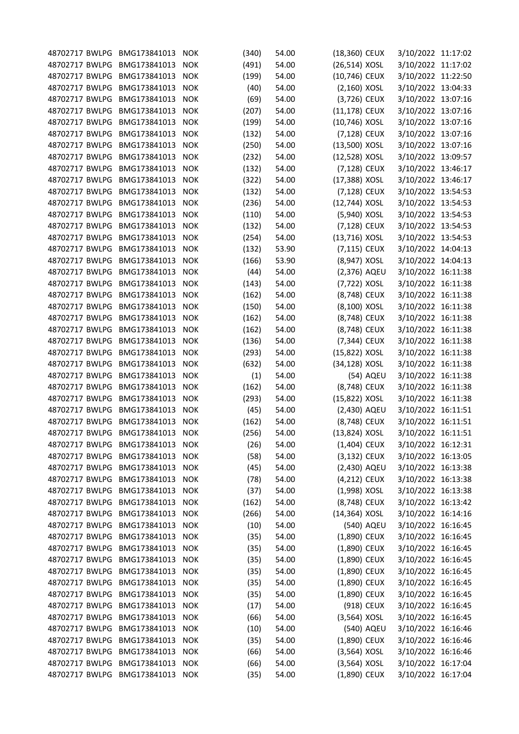| 48702717 BWLPG BMG173841013     |              | <b>NOK</b> | (340) | 54.00 | (18,360) CEUX  |            | 3/10/2022 11:17:02                       |  |
|---------------------------------|--------------|------------|-------|-------|----------------|------------|------------------------------------------|--|
| 48702717 BWLPG                  | BMG173841013 | <b>NOK</b> | (491) | 54.00 | (26,514) XOSL  |            | 3/10/2022 11:17:02                       |  |
| 48702717 BWLPG                  | BMG173841013 | <b>NOK</b> | (199) | 54.00 | (10,746) CEUX  |            | 3/10/2022 11:22:50                       |  |
| 48702717 BWLPG                  | BMG173841013 | <b>NOK</b> | (40)  | 54.00 | $(2,160)$ XOSL |            | 3/10/2022 13:04:33                       |  |
| 48702717 BWLPG                  | BMG173841013 | <b>NOK</b> | (69)  | 54.00 | (3,726) CEUX   |            | 3/10/2022 13:07:16                       |  |
| 48702717 BWLPG                  | BMG173841013 | <b>NOK</b> | (207) | 54.00 | (11,178) CEUX  |            | 3/10/2022 13:07:16                       |  |
| 48702717 BWLPG                  | BMG173841013 | <b>NOK</b> | (199) | 54.00 | (10,746) XOSL  |            | 3/10/2022 13:07:16                       |  |
| 48702717 BWLPG                  | BMG173841013 | <b>NOK</b> | (132) | 54.00 | (7,128) CEUX   |            | 3/10/2022 13:07:16                       |  |
| 48702717 BWLPG                  | BMG173841013 | <b>NOK</b> | (250) | 54.00 | (13,500) XOSL  |            | 3/10/2022 13:07:16                       |  |
| 48702717 BWLPG                  | BMG173841013 | <b>NOK</b> | (232) | 54.00 | (12,528) XOSL  |            | 3/10/2022 13:09:57                       |  |
| 48702717 BWLPG                  | BMG173841013 | <b>NOK</b> | (132) | 54.00 | (7,128) CEUX   |            | 3/10/2022 13:46:17                       |  |
| 48702717 BWLPG                  | BMG173841013 | <b>NOK</b> | (322) | 54.00 | (17,388) XOSL  |            | 3/10/2022 13:46:17                       |  |
| 48702717 BWLPG                  | BMG173841013 | <b>NOK</b> | (132) | 54.00 | (7,128) CEUX   |            | 3/10/2022 13:54:53                       |  |
| 48702717 BWLPG                  | BMG173841013 | <b>NOK</b> | (236) | 54.00 | (12,744) XOSL  |            | 3/10/2022 13:54:53                       |  |
| 48702717 BWLPG                  | BMG173841013 | <b>NOK</b> | (110) | 54.00 | (5,940) XOSL   |            | 3/10/2022 13:54:53                       |  |
| 48702717 BWLPG                  | BMG173841013 | <b>NOK</b> | (132) | 54.00 | (7,128) CEUX   |            | 3/10/2022 13:54:53                       |  |
| 48702717 BWLPG                  | BMG173841013 | <b>NOK</b> | (254) | 54.00 | (13,716) XOSL  |            | 3/10/2022 13:54:53                       |  |
| 48702717 BWLPG                  | BMG173841013 | <b>NOK</b> | (132) | 53.90 | (7,115) CEUX   |            | 3/10/2022 14:04:13                       |  |
| 48702717 BWLPG                  | BMG173841013 | <b>NOK</b> | (166) | 53.90 | (8,947) XOSL   |            | 3/10/2022 14:04:13                       |  |
| 48702717 BWLPG                  | BMG173841013 | <b>NOK</b> | (44)  | 54.00 | (2,376) AQEU   |            | 3/10/2022 16:11:38                       |  |
| 48702717 BWLPG                  | BMG173841013 | <b>NOK</b> | (143) | 54.00 | (7,722) XOSL   |            | 3/10/2022 16:11:38                       |  |
| 48702717 BWLPG                  | BMG173841013 | <b>NOK</b> | (162) | 54.00 | (8,748) CEUX   |            | 3/10/2022 16:11:38                       |  |
| 48702717 BWLPG                  | BMG173841013 | <b>NOK</b> | (150) | 54.00 | (8,100) XOSL   |            | 3/10/2022 16:11:38                       |  |
| 48702717 BWLPG                  | BMG173841013 | <b>NOK</b> | (162) | 54.00 | (8,748) CEUX   |            | 3/10/2022 16:11:38                       |  |
| 48702717 BWLPG                  | BMG173841013 | <b>NOK</b> | (162) | 54.00 | (8,748) CEUX   |            | 3/10/2022 16:11:38                       |  |
| 48702717 BWLPG                  | BMG173841013 | <b>NOK</b> |       | 54.00 |                |            |                                          |  |
| 48702717 BWLPG                  | BMG173841013 | <b>NOK</b> | (136) | 54.00 | (7,344) CEUX   |            | 3/10/2022 16:11:38                       |  |
|                                 |              |            | (293) |       | (15,822) XOSL  |            | 3/10/2022 16:11:38                       |  |
| 48702717 BWLPG                  | BMG173841013 | <b>NOK</b> | (632) | 54.00 | (34,128) XOSL  |            | 3/10/2022 16:11:38                       |  |
| 48702717 BWLPG                  | BMG173841013 | <b>NOK</b> | (1)   | 54.00 |                | (54) AQEU  | 3/10/2022 16:11:38                       |  |
| 48702717 BWLPG                  | BMG173841013 | <b>NOK</b> | (162) | 54.00 | (8,748) CEUX   |            | 3/10/2022 16:11:38                       |  |
| 48702717 BWLPG                  | BMG173841013 | <b>NOK</b> | (293) | 54.00 | (15,822) XOSL  |            | 3/10/2022 16:11:38<br>3/10/2022 16:11:51 |  |
| 48702717 BWLPG                  | BMG173841013 | <b>NOK</b> | (45)  | 54.00 | (2,430) AQEU   |            |                                          |  |
| 48702717 BWLPG                  | BMG173841013 | <b>NOK</b> | (162) | 54.00 | (8,748) CEUX   |            | 3/10/2022 16:11:51                       |  |
| 48702717 BWLPG                  | BMG173841013 | <b>NOK</b> | (256) | 54.00 | (13,824) XOSL  |            | 3/10/2022 16:11:51                       |  |
| 48702717 BWLPG BMG173841013     |              | NOK        | (26)  | 54.00 | (1,404) CEUX   |            | 3/10/2022 16:12:31                       |  |
| 48702717 BWLPG BMG173841013     |              | <b>NOK</b> | (58)  | 54.00 | (3,132) CEUX   |            | 3/10/2022 16:13:05                       |  |
| 48702717 BWLPG                  | BMG173841013 | <b>NOK</b> | (45)  | 54.00 | (2,430) AQEU   |            | 3/10/2022 16:13:38                       |  |
| 48702717 BWLPG                  | BMG173841013 | <b>NOK</b> | (78)  | 54.00 | (4,212) CEUX   |            | 3/10/2022 16:13:38                       |  |
| 48702717 BWLPG                  | BMG173841013 | <b>NOK</b> | (37)  | 54.00 | (1,998) XOSL   |            | 3/10/2022 16:13:38                       |  |
| 48702717 BWLPG                  | BMG173841013 | <b>NOK</b> | (162) | 54.00 | (8,748) CEUX   |            | 3/10/2022 16:13:42                       |  |
| 48702717 BWLPG                  | BMG173841013 | <b>NOK</b> | (266) | 54.00 | (14,364) XOSL  |            | 3/10/2022 16:14:16                       |  |
| 48702717 BWLPG                  | BMG173841013 | <b>NOK</b> | (10)  | 54.00 |                | (540) AQEU | 3/10/2022 16:16:45                       |  |
| 48702717 BWLPG                  | BMG173841013 | <b>NOK</b> | (35)  | 54.00 | (1,890) CEUX   |            | 3/10/2022 16:16:45                       |  |
| 48702717 BWLPG                  | BMG173841013 | <b>NOK</b> | (35)  | 54.00 | (1,890) CEUX   |            | 3/10/2022 16:16:45                       |  |
| 48702717 BWLPG                  | BMG173841013 | <b>NOK</b> | (35)  | 54.00 | (1,890) CEUX   |            | 3/10/2022 16:16:45                       |  |
| 48702717 BWLPG                  | BMG173841013 | <b>NOK</b> | (35)  | 54.00 | (1,890) CEUX   |            | 3/10/2022 16:16:45                       |  |
| 48702717 BWLPG                  | BMG173841013 | <b>NOK</b> | (35)  | 54.00 | (1,890) CEUX   |            | 3/10/2022 16:16:45                       |  |
| 48702717 BWLPG                  | BMG173841013 | <b>NOK</b> | (35)  | 54.00 | (1,890) CEUX   |            | 3/10/2022 16:16:45                       |  |
| 48702717 BWLPG                  | BMG173841013 | <b>NOK</b> | (17)  | 54.00 |                | (918) CEUX | 3/10/2022 16:16:45                       |  |
| 48702717 BWLPG                  | BMG173841013 | <b>NOK</b> | (66)  | 54.00 | $(3,564)$ XOSL |            | 3/10/2022 16:16:45                       |  |
| 48702717 BWLPG                  | BMG173841013 | NOK        | (10)  | 54.00 |                | (540) AQEU | 3/10/2022 16:16:46                       |  |
| 48702717 BWLPG                  | BMG173841013 | <b>NOK</b> | (35)  | 54.00 | (1,890) CEUX   |            | 3/10/2022 16:16:46                       |  |
| 48702717 BWLPG                  | BMG173841013 | <b>NOK</b> | (66)  | 54.00 | $(3,564)$ XOSL |            | 3/10/2022 16:16:46                       |  |
| 48702717 BWLPG                  | BMG173841013 | <b>NOK</b> | (66)  | 54.00 | $(3,564)$ XOSL |            | 3/10/2022 16:17:04                       |  |
| 48702717 BWLPG BMG173841013 NOK |              |            | (35)  | 54.00 | (1,890) CEUX   |            | 3/10/2022 16:17:04                       |  |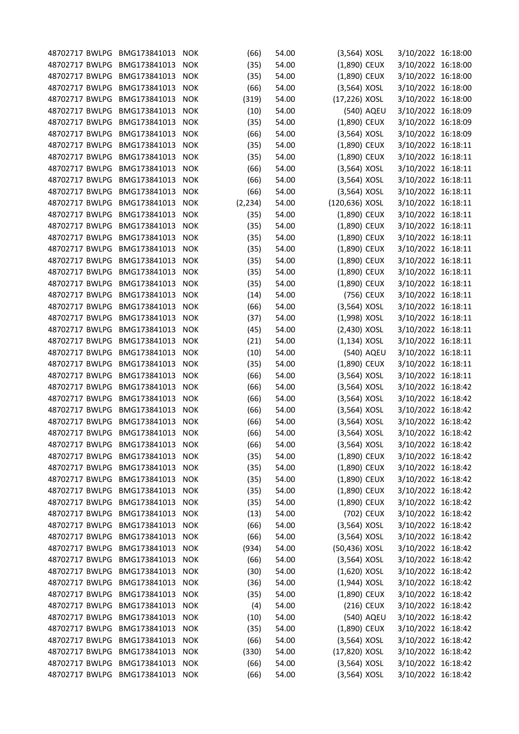| 48702717 BWLPG BMG173841013     |              | <b>NOK</b>               | (66)     | 54.00 | $(3,564)$ XOSL |            | 3/10/2022 16:18:00 |  |
|---------------------------------|--------------|--------------------------|----------|-------|----------------|------------|--------------------|--|
| 48702717 BWLPG                  | BMG173841013 | <b>NOK</b>               | (35)     | 54.00 | (1,890) CEUX   |            | 3/10/2022 16:18:00 |  |
| 48702717 BWLPG                  | BMG173841013 | <b>NOK</b>               | (35)     | 54.00 | (1,890) CEUX   |            | 3/10/2022 16:18:00 |  |
| 48702717 BWLPG                  | BMG173841013 | <b>NOK</b>               | (66)     | 54.00 | $(3,564)$ XOSL |            | 3/10/2022 16:18:00 |  |
| 48702717 BWLPG                  | BMG173841013 | <b>NOK</b>               | (319)    | 54.00 | (17,226) XOSL  |            | 3/10/2022 16:18:00 |  |
| 48702717 BWLPG                  | BMG173841013 | <b>NOK</b>               | (10)     | 54.00 |                | (540) AQEU | 3/10/2022 16:18:09 |  |
| 48702717 BWLPG                  | BMG173841013 | <b>NOK</b>               | (35)     | 54.00 | (1,890) CEUX   |            | 3/10/2022 16:18:09 |  |
| 48702717 BWLPG                  | BMG173841013 | <b>NOK</b>               | (66)     | 54.00 | $(3,564)$ XOSL |            | 3/10/2022 16:18:09 |  |
| 48702717 BWLPG                  | BMG173841013 | <b>NOK</b>               | (35)     | 54.00 | (1,890) CEUX   |            | 3/10/2022 16:18:11 |  |
| 48702717 BWLPG                  | BMG173841013 | <b>NOK</b>               | (35)     | 54.00 | (1,890) CEUX   |            | 3/10/2022 16:18:11 |  |
| 48702717 BWLPG                  | BMG173841013 | <b>NOK</b>               | (66)     | 54.00 | $(3,564)$ XOSL |            | 3/10/2022 16:18:11 |  |
| 48702717 BWLPG                  | BMG173841013 | <b>NOK</b>               | (66)     | 54.00 | $(3,564)$ XOSL |            | 3/10/2022 16:18:11 |  |
| 48702717 BWLPG                  | BMG173841013 | <b>NOK</b>               | (66)     | 54.00 | $(3,564)$ XOSL |            | 3/10/2022 16:18:11 |  |
| 48702717 BWLPG                  | BMG173841013 | <b>NOK</b>               | (2, 234) | 54.00 | (120,636) XOSL |            | 3/10/2022 16:18:11 |  |
| 48702717 BWLPG                  | BMG173841013 | <b>NOK</b>               | (35)     | 54.00 | (1,890) CEUX   |            | 3/10/2022 16:18:11 |  |
| 48702717 BWLPG                  | BMG173841013 | <b>NOK</b>               | (35)     | 54.00 | (1,890) CEUX   |            | 3/10/2022 16:18:11 |  |
| 48702717 BWLPG                  | BMG173841013 | <b>NOK</b>               | (35)     | 54.00 | (1,890) CEUX   |            | 3/10/2022 16:18:11 |  |
| 48702717 BWLPG                  | BMG173841013 | <b>NOK</b>               | (35)     | 54.00 | (1,890) CEUX   |            | 3/10/2022 16:18:11 |  |
| 48702717 BWLPG                  | BMG173841013 | <b>NOK</b>               | (35)     | 54.00 | (1,890) CEUX   |            | 3/10/2022 16:18:11 |  |
| 48702717 BWLPG                  | BMG173841013 | <b>NOK</b>               | (35)     | 54.00 | (1,890) CEUX   |            | 3/10/2022 16:18:11 |  |
| 48702717 BWLPG                  | BMG173841013 | <b>NOK</b>               | (35)     | 54.00 | (1,890) CEUX   |            | 3/10/2022 16:18:11 |  |
| 48702717 BWLPG                  | BMG173841013 | <b>NOK</b>               |          | 54.00 |                | (756) CEUX | 3/10/2022 16:18:11 |  |
| 48702717 BWLPG                  | BMG173841013 |                          | (14)     | 54.00 | $(3,564)$ XOSL |            | 3/10/2022 16:18:11 |  |
| 48702717 BWLPG                  | BMG173841013 | <b>NOK</b><br><b>NOK</b> | (66)     |       |                |            |                    |  |
|                                 |              |                          | (37)     | 54.00 | (1,998) XOSL   |            | 3/10/2022 16:18:11 |  |
| 48702717 BWLPG                  | BMG173841013 | <b>NOK</b>               | (45)     | 54.00 | (2,430) XOSL   |            | 3/10/2022 16:18:11 |  |
| 48702717 BWLPG                  | BMG173841013 | <b>NOK</b>               | (21)     | 54.00 | $(1,134)$ XOSL |            | 3/10/2022 16:18:11 |  |
| 48702717 BWLPG                  | BMG173841013 | <b>NOK</b>               | (10)     | 54.00 |                | (540) AQEU | 3/10/2022 16:18:11 |  |
| 48702717 BWLPG                  | BMG173841013 | <b>NOK</b>               | (35)     | 54.00 | (1,890) CEUX   |            | 3/10/2022 16:18:11 |  |
| 48702717 BWLPG                  | BMG173841013 | <b>NOK</b>               | (66)     | 54.00 | $(3,564)$ XOSL |            | 3/10/2022 16:18:11 |  |
| 48702717 BWLPG                  | BMG173841013 | <b>NOK</b>               | (66)     | 54.00 | $(3,564)$ XOSL |            | 3/10/2022 16:18:42 |  |
| 48702717 BWLPG                  | BMG173841013 | <b>NOK</b>               | (66)     | 54.00 | (3,564) XOSL   |            | 3/10/2022 16:18:42 |  |
| 48702717 BWLPG                  | BMG173841013 | <b>NOK</b>               | (66)     | 54.00 | $(3,564)$ XOSL |            | 3/10/2022 16:18:42 |  |
| 48702717 BWLPG                  | BMG173841013 | <b>NOK</b>               | (66)     | 54.00 | $(3,564)$ XOSL |            | 3/10/2022 16:18:42 |  |
| 48702717 BWLPG                  | BMG173841013 | <b>NOK</b>               | (66)     | 54.00 | (3,564) XOSL   |            | 3/10/2022 16:18:42 |  |
| 48702717 BWLPG BMG173841013     |              | <b>NOK</b>               | (66)     | 54.00 | (3,564) XOSL   |            | 3/10/2022 16:18:42 |  |
| 48702717 BWLPG BMG173841013     |              | <b>NOK</b>               | (35)     | 54.00 | (1,890) CEUX   |            | 3/10/2022 16:18:42 |  |
| 48702717 BWLPG                  | BMG173841013 | <b>NOK</b>               | (35)     | 54.00 | (1,890) CEUX   |            | 3/10/2022 16:18:42 |  |
| 48702717 BWLPG                  | BMG173841013 | <b>NOK</b>               | (35)     | 54.00 | $(1,890)$ CEUX |            | 3/10/2022 16:18:42 |  |
| 48702717 BWLPG                  | BMG173841013 | <b>NOK</b>               | (35)     | 54.00 | $(1,890)$ CEUX |            | 3/10/2022 16:18:42 |  |
| 48702717 BWLPG                  | BMG173841013 | <b>NOK</b>               | (35)     | 54.00 | (1,890) CEUX   |            | 3/10/2022 16:18:42 |  |
| 48702717 BWLPG                  | BMG173841013 | <b>NOK</b>               | (13)     | 54.00 |                | (702) CEUX | 3/10/2022 16:18:42 |  |
| 48702717 BWLPG                  | BMG173841013 | <b>NOK</b>               | (66)     | 54.00 | $(3,564)$ XOSL |            | 3/10/2022 16:18:42 |  |
| 48702717 BWLPG                  | BMG173841013 | <b>NOK</b>               | (66)     | 54.00 | $(3,564)$ XOSL |            | 3/10/2022 16:18:42 |  |
| 48702717 BWLPG                  | BMG173841013 | <b>NOK</b>               | (934)    | 54.00 | (50,436) XOSL  |            | 3/10/2022 16:18:42 |  |
| 48702717 BWLPG                  | BMG173841013 | <b>NOK</b>               | (66)     | 54.00 | $(3,564)$ XOSL |            | 3/10/2022 16:18:42 |  |
| 48702717 BWLPG                  | BMG173841013 | <b>NOK</b>               | (30)     | 54.00 | $(1,620)$ XOSL |            | 3/10/2022 16:18:42 |  |
| 48702717 BWLPG                  | BMG173841013 | <b>NOK</b>               | (36)     | 54.00 | $(1,944)$ XOSL |            | 3/10/2022 16:18:42 |  |
| 48702717 BWLPG                  | BMG173841013 | <b>NOK</b>               | (35)     | 54.00 | (1,890) CEUX   |            | 3/10/2022 16:18:42 |  |
| 48702717 BWLPG                  | BMG173841013 | <b>NOK</b>               | (4)      | 54.00 |                | (216) CEUX | 3/10/2022 16:18:42 |  |
| 48702717 BWLPG                  | BMG173841013 | <b>NOK</b>               | (10)     | 54.00 |                | (540) AQEU | 3/10/2022 16:18:42 |  |
| 48702717 BWLPG                  | BMG173841013 | <b>NOK</b>               | (35)     | 54.00 | (1,890) CEUX   |            | 3/10/2022 16:18:42 |  |
| 48702717 BWLPG                  | BMG173841013 | <b>NOK</b>               | (66)     | 54.00 | $(3,564)$ XOSL |            | 3/10/2022 16:18:42 |  |
| 48702717 BWLPG                  | BMG173841013 | <b>NOK</b>               | (330)    | 54.00 | (17,820) XOSL  |            | 3/10/2022 16:18:42 |  |
| 48702717 BWLPG                  | BMG173841013 | <b>NOK</b>               | (66)     | 54.00 | $(3,564)$ XOSL |            | 3/10/2022 16:18:42 |  |
| 48702717 BWLPG BMG173841013 NOK |              |                          | (66)     | 54.00 | $(3,564)$ XOSL |            | 3/10/2022 16:18:42 |  |
|                                 |              |                          |          |       |                |            |                    |  |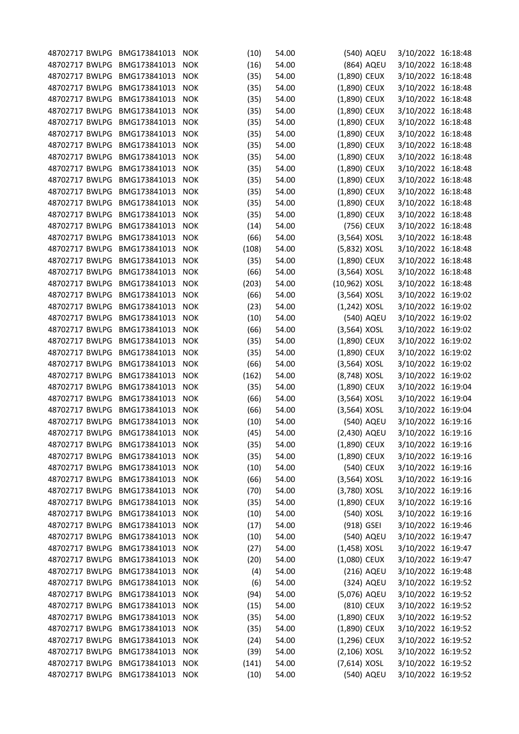| 48702717 BWLPG BMG173841013     |              | <b>NOK</b> | (10)  | 54.00 |                | (540) AQEU | 3/10/2022 16:18:48 |  |
|---------------------------------|--------------|------------|-------|-------|----------------|------------|--------------------|--|
| 48702717 BWLPG                  | BMG173841013 | <b>NOK</b> | (16)  | 54.00 |                | (864) AQEU | 3/10/2022 16:18:48 |  |
| 48702717 BWLPG                  | BMG173841013 | <b>NOK</b> | (35)  | 54.00 | (1,890) CEUX   |            | 3/10/2022 16:18:48 |  |
| 48702717 BWLPG                  | BMG173841013 | <b>NOK</b> | (35)  | 54.00 | (1,890) CEUX   |            | 3/10/2022 16:18:48 |  |
| 48702717 BWLPG                  | BMG173841013 | <b>NOK</b> | (35)  | 54.00 | (1,890) CEUX   |            | 3/10/2022 16:18:48 |  |
| 48702717 BWLPG                  | BMG173841013 | <b>NOK</b> | (35)  | 54.00 | (1,890) CEUX   |            | 3/10/2022 16:18:48 |  |
| 48702717 BWLPG                  | BMG173841013 | <b>NOK</b> | (35)  | 54.00 | (1,890) CEUX   |            | 3/10/2022 16:18:48 |  |
| 48702717 BWLPG                  | BMG173841013 | <b>NOK</b> | (35)  | 54.00 | (1,890) CEUX   |            | 3/10/2022 16:18:48 |  |
| 48702717 BWLPG                  | BMG173841013 | <b>NOK</b> | (35)  | 54.00 | (1,890) CEUX   |            | 3/10/2022 16:18:48 |  |
| 48702717 BWLPG                  | BMG173841013 | <b>NOK</b> | (35)  | 54.00 | (1,890) CEUX   |            | 3/10/2022 16:18:48 |  |
| 48702717 BWLPG                  | BMG173841013 | <b>NOK</b> | (35)  | 54.00 | (1,890) CEUX   |            | 3/10/2022 16:18:48 |  |
| 48702717 BWLPG                  | BMG173841013 | <b>NOK</b> | (35)  | 54.00 | (1,890) CEUX   |            | 3/10/2022 16:18:48 |  |
| 48702717 BWLPG                  | BMG173841013 | <b>NOK</b> | (35)  | 54.00 | (1,890) CEUX   |            | 3/10/2022 16:18:48 |  |
| 48702717 BWLPG                  | BMG173841013 | <b>NOK</b> | (35)  | 54.00 | $(1,890)$ CEUX |            | 3/10/2022 16:18:48 |  |
| 48702717 BWLPG                  | BMG173841013 | <b>NOK</b> | (35)  | 54.00 | (1,890) CEUX   |            | 3/10/2022 16:18:48 |  |
| 48702717 BWLPG                  | BMG173841013 | <b>NOK</b> | (14)  | 54.00 |                | (756) CEUX | 3/10/2022 16:18:48 |  |
| 48702717 BWLPG                  | BMG173841013 | <b>NOK</b> | (66)  | 54.00 | $(3,564)$ XOSL |            | 3/10/2022 16:18:48 |  |
| 48702717 BWLPG                  | BMG173841013 | <b>NOK</b> | (108) | 54.00 | (5,832) XOSL   |            | 3/10/2022 16:18:48 |  |
| 48702717 BWLPG                  | BMG173841013 | <b>NOK</b> | (35)  | 54.00 | (1,890) CEUX   |            | 3/10/2022 16:18:48 |  |
| 48702717 BWLPG                  | BMG173841013 | <b>NOK</b> | (66)  | 54.00 | $(3,564)$ XOSL |            | 3/10/2022 16:18:48 |  |
| 48702717 BWLPG                  | BMG173841013 | <b>NOK</b> | (203) | 54.00 | (10,962) XOSL  |            | 3/10/2022 16:18:48 |  |
| 48702717 BWLPG                  | BMG173841013 | <b>NOK</b> | (66)  | 54.00 | (3,564) XOSL   |            | 3/10/2022 16:19:02 |  |
| 48702717 BWLPG                  | BMG173841013 | <b>NOK</b> | (23)  | 54.00 | $(1,242)$ XOSL |            | 3/10/2022 16:19:02 |  |
| 48702717 BWLPG                  | BMG173841013 | <b>NOK</b> | (10)  | 54.00 |                | (540) AQEU | 3/10/2022 16:19:02 |  |
| 48702717 BWLPG                  | BMG173841013 | <b>NOK</b> | (66)  | 54.00 | $(3,564)$ XOSL |            | 3/10/2022 16:19:02 |  |
| 48702717 BWLPG                  | BMG173841013 | <b>NOK</b> | (35)  | 54.00 | (1,890) CEUX   |            | 3/10/2022 16:19:02 |  |
| 48702717 BWLPG                  | BMG173841013 | <b>NOK</b> | (35)  | 54.00 | (1,890) CEUX   |            | 3/10/2022 16:19:02 |  |
| 48702717 BWLPG                  | BMG173841013 | <b>NOK</b> | (66)  | 54.00 | $(3,564)$ XOSL |            | 3/10/2022 16:19:02 |  |
| 48702717 BWLPG                  | BMG173841013 | <b>NOK</b> | (162) | 54.00 | (8,748) XOSL   |            | 3/10/2022 16:19:02 |  |
| 48702717 BWLPG                  | BMG173841013 | <b>NOK</b> | (35)  | 54.00 | (1,890) CEUX   |            | 3/10/2022 16:19:04 |  |
| 48702717 BWLPG                  | BMG173841013 | <b>NOK</b> |       | 54.00 | $(3,564)$ XOSL |            | 3/10/2022 16:19:04 |  |
| 48702717 BWLPG                  | BMG173841013 | <b>NOK</b> | (66)  | 54.00 | $(3,564)$ XOSL |            | 3/10/2022 16:19:04 |  |
| 48702717 BWLPG                  | BMG173841013 |            | (66)  |       |                | (540) AQEU | 3/10/2022 16:19:16 |  |
| 48702717 BWLPG                  | BMG173841013 | <b>NOK</b> | (10)  | 54.00 |                |            |                    |  |
|                                 |              | <b>NOK</b> | (45)  | 54.00 | (2,430) AQEU   |            | 3/10/2022 16:19:16 |  |
| 48702717 BWLPG BMG173841013     |              | <b>NOK</b> | (35)  | 54.00 | (1,890) CEUX   |            | 3/10/2022 16:19:16 |  |
| 48702717 BWLPG BMG173841013     |              | <b>NOK</b> | (35)  | 54.00 | (1,890) CEUX   |            | 3/10/2022 16:19:16 |  |
| 48702717 BWLPG                  | BMG173841013 | <b>NOK</b> | (10)  | 54.00 |                | (540) CEUX | 3/10/2022 16:19:16 |  |
| 48702717 BWLPG                  | BMG173841013 | <b>NOK</b> | (66)  | 54.00 | $(3,564)$ XOSL |            | 3/10/2022 16:19:16 |  |
| 48702717 BWLPG                  | BMG173841013 | <b>NOK</b> | (70)  | 54.00 | (3,780) XOSL   |            | 3/10/2022 16:19:16 |  |
| 48702717 BWLPG                  | BMG173841013 | <b>NOK</b> | (35)  | 54.00 | (1,890) CEUX   |            | 3/10/2022 16:19:16 |  |
| 48702717 BWLPG                  | BMG173841013 | <b>NOK</b> | (10)  | 54.00 |                | (540) XOSL | 3/10/2022 16:19:16 |  |
| 48702717 BWLPG                  | BMG173841013 | <b>NOK</b> | (17)  | 54.00 | (918) GSEI     |            | 3/10/2022 16:19:46 |  |
| 48702717 BWLPG                  | BMG173841013 | <b>NOK</b> | (10)  | 54.00 |                | (540) AQEU | 3/10/2022 16:19:47 |  |
| 48702717 BWLPG                  | BMG173841013 | <b>NOK</b> | (27)  | 54.00 | $(1,458)$ XOSL |            | 3/10/2022 16:19:47 |  |
| 48702717 BWLPG                  | BMG173841013 | <b>NOK</b> | (20)  | 54.00 | (1,080) CEUX   |            | 3/10/2022 16:19:47 |  |
| 48702717 BWLPG                  | BMG173841013 | <b>NOK</b> | (4)   | 54.00 |                | (216) AQEU | 3/10/2022 16:19:48 |  |
| 48702717 BWLPG                  | BMG173841013 | <b>NOK</b> | (6)   | 54.00 |                | (324) AQEU | 3/10/2022 16:19:52 |  |
| 48702717 BWLPG                  | BMG173841013 | <b>NOK</b> | (94)  | 54.00 | (5,076) AQEU   |            | 3/10/2022 16:19:52 |  |
| 48702717 BWLPG                  | BMG173841013 | <b>NOK</b> | (15)  | 54.00 |                | (810) CEUX | 3/10/2022 16:19:52 |  |
| 48702717 BWLPG                  | BMG173841013 | <b>NOK</b> | (35)  | 54.00 | $(1,890)$ CEUX |            | 3/10/2022 16:19:52 |  |
| 48702717 BWLPG                  | BMG173841013 | <b>NOK</b> | (35)  | 54.00 | (1,890) CEUX   |            | 3/10/2022 16:19:52 |  |
| 48702717 BWLPG                  | BMG173841013 | <b>NOK</b> | (24)  | 54.00 | (1,296) CEUX   |            | 3/10/2022 16:19:52 |  |
| 48702717 BWLPG                  | BMG173841013 | <b>NOK</b> | (39)  | 54.00 | $(2,106)$ XOSL |            | 3/10/2022 16:19:52 |  |
| 48702717 BWLPG                  | BMG173841013 | <b>NOK</b> | (141) | 54.00 | (7,614) XOSL   |            | 3/10/2022 16:19:52 |  |
| 48702717 BWLPG BMG173841013 NOK |              |            | (10)  | 54.00 |                | (540) AQEU | 3/10/2022 16:19:52 |  |